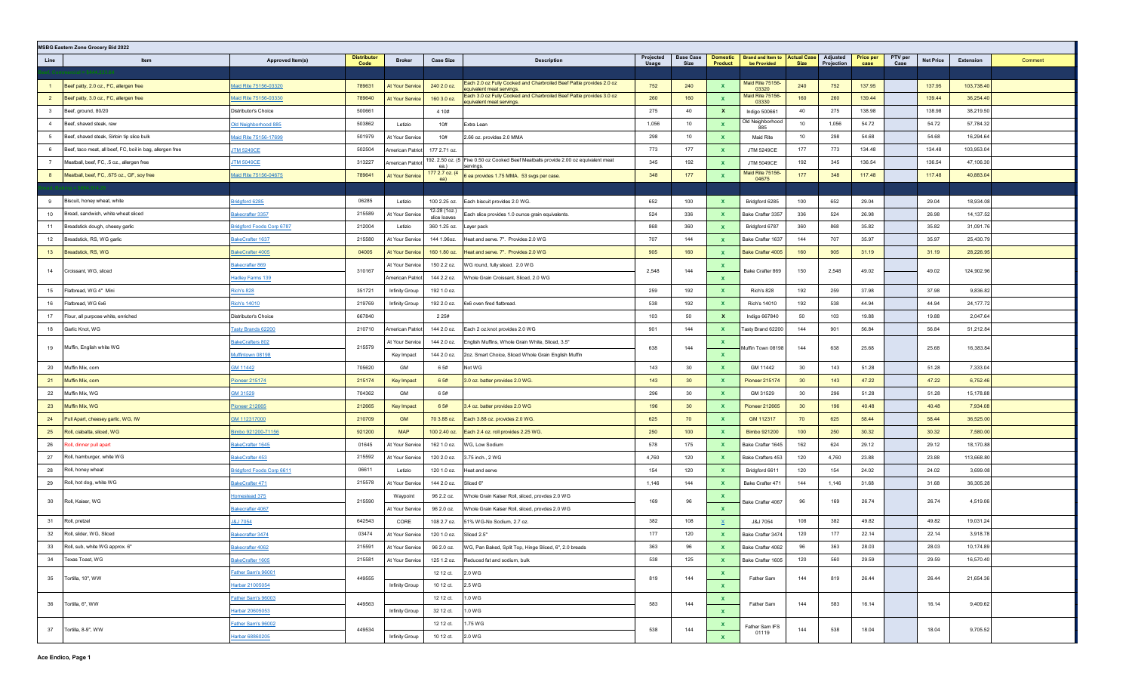|                | <b>MSBG Eastern Zone Grocery Bid 2022</b>                 |                                 |                            |                         |                              |                                                                                                    |                    |                          |                            |                                                     |                 |                        |                   |                 |                  |            |         |
|----------------|-----------------------------------------------------------|---------------------------------|----------------------------|-------------------------|------------------------------|----------------------------------------------------------------------------------------------------|--------------------|--------------------------|----------------------------|-----------------------------------------------------|-----------------|------------------------|-------------------|-----------------|------------------|------------|---------|
| Line           | Item                                                      | Approved Item(s)                | <b>Distributor</b><br>Code | <b>Broker</b>           | <b>Case Size</b>             | <b>Description</b>                                                                                 | Projected<br>Usage | <b>Base Case</b><br>Size | <b>Domestic</b><br>Product | <b>Brand and Item to Actual Case</b><br>be Provided | <b>Size</b>     | Adjusted<br>Projection | Price per<br>case | PTV per<br>Case | <b>Net Price</b> | Extension  | Comment |
|                |                                                           |                                 |                            |                         |                              |                                                                                                    |                    |                          |                            |                                                     |                 |                        |                   |                 |                  |            |         |
|                | Beef patty, 2.0 oz., FC, allergen free                    | Maid Rite 75156-03320           | 789631                     | At Your Service         | 240 2.0 oz.                  | Each 2.0 oz Fully Cooked and Charbroiled Beef Pattie provides 2.0 oz<br>equivalent meat servings   | 752                | 240                      | $\mathbf{x}$               | Maid Rite 75156-<br>03320                           | 240             | 752                    | 137.95            |                 | 137.95           | 103,738.40 |         |
| $\overline{2}$ | Beef patty, 3.0 oz., FC, allergen free                    | Maid Rite 75156-03330           | 789640                     | At Your Service         | 160 3.0 oz.                  | Each 3.0 oz Fully Cooked and Charbroiled Beef Pattie provides 3.0 oz<br>equivalent meat servings.  | 260                | 160                      | $\mathbf{x}$               | Maid Rite 75156-<br>03330                           | 160             | 260                    | 139.44            |                 | 139.44           | 36,254.40  |         |
| $\mathbf{3}$   | Beef, ground, 80/20                                       | Distributor's Choice            | 500661                     |                         | 4 1 0 #                      |                                                                                                    | 275                | 40                       | $\mathbf{x}$               | Indigo 500661                                       | 40              | 275                    | 138.98            |                 | 138.98           | 38,219.50  |         |
| $\overline{4}$ | Beef, shaved steak, raw                                   | Old Neighborhood 885            | 503862                     | Letizio                 | 10#                          | Extra Lean                                                                                         | 1,056              | 10                       | $\mathbf{x}$               | Old Neighborhood<br>885                             | 10              | 1,056                  | 54.72             |                 | 54.72            | 57,784.32  |         |
| -5             | Beef, shaved steak, Sirloin tip slice bulk                | Maid Rite 75156-17699           | 501979                     | At Your Service         | 10#                          | 2.66 oz. provides 2.0 MMA                                                                          | 298                | 10                       | $\mathbf{x}$               | Maid Rite                                           | 10              | 298                    | 54.68             |                 | 54.68            | 16,294.64  |         |
| 6              | Beef, taco meat, all beef, FC, boil in bag, allergen free | <b>TM 5249CE</b>                | 502504                     | <b>Imerican Patriot</b> | 177 2.71 oz.                 |                                                                                                    | 773                | 177                      | $\mathbf{x}$               | <b>JTM 5249CE</b>                                   | 177             | 773                    | 134.48            |                 | 134.48           | 103,953.04 |         |
| $\overline{7}$ | Meatball, beef, FC, .5 oz., allergen free                 | <b>JTM 5049CE</b>               | 313227                     | American Patriot        | ea.)                         | 192. 2.50 oz. (5   Five 0.50 oz Cooked Beef Meatballs provide 2.00 oz equivalent meat<br>servings. | 345                | 192                      | $\mathbf{x}$               | JTM 5049CE                                          | 192             | 345                    | 136.54            |                 | 136.54           | 47,106.30  |         |
| 8              | Meatball, beef, FC, .675 oz., GF, soy free                | Maid Rite 75156-04675           | 789641                     | At Your Service         | 177 2.7 oz. (4<br>ea)        | 6 ea provides 1.75 MMA. 53 svgs per case.                                                          | 348                | 177                      | $\mathbf{x}$               | Maid Rite 75156<br>04675                            | 177             | 348                    | 117.48            |                 | 117.48           | 40,883.04  |         |
|                |                                                           |                                 |                            |                         |                              |                                                                                                    |                    |                          |                            |                                                     |                 |                        |                   |                 |                  |            |         |
| 9              | Biscuit, honey wheat, white                               | <b>Iridgford 6285</b>           | 06285                      | Letizio                 | 100 2.25 oz.                 | Each biscuit provides 2.0 WG.                                                                      | 652                | 100                      | $\mathbf{x}$               | Bridgford 6285                                      | 100             | 652                    | 29.04             |                 | 29.04            | 18,934.08  |         |
| 10             | Bread, sandwich, white wheat sliced                       | lakecrafter 3357                | 215589                     | At Your Service         | 12-28 (1oz.)<br>slice loaves | Each slice provides 1.0 ounce grain equivalents.                                                   | 524                | 336                      | $\mathbf{x}$               | Bake Crafter 3357                                   | 336             | 524                    | 26.98             |                 | 26.98            | 14,137.52  |         |
| 11             | Breadstick dough, cheesy garlic                           | <b>Indgford Foods Corp 6787</b> | 212004                     | Letizio                 | 360 1.25 oz.                 | Layer pack                                                                                         | 868                | 360                      | $\mathbf{x}$               | Bridgford 6787                                      | 360             | 868                    | 35.82             |                 | 35.82            | 31,091.76  |         |
| 12             | Breadstick, RS, WG garlic                                 | akeCrafter 1637                 | 215580                     | At Your Service         | 144 1.96oz.                  | Heat and serve. 7". Provides 2.0 WG                                                                | 707                | 144                      | $\mathbf{x}$               | Bake Crafter 1637                                   | 144             | 707                    | 35.97             |                 | 35.97            | 25,430.79  |         |
| 13             | Breadstick, RS, WG                                        | <u>kakeCrafter</u> 4005         | 04005                      | <b>At Your Service</b>  | 160 1.80 oz.                 | Heat and serve. 7". Provides 2.0 WG                                                                | 905                | 160                      | $\mathbf{x}$               | Bake Crafter 4005                                   | 160             | 905                    | 31.19             |                 | 31.19            | 28,226.95  |         |
| 14             | Croissant, WG, sliced                                     | Bakecrafter 869                 | 310167                     | At Your Service         | 150 2.2 oz.                  | WG round, fully sliced. 2.0 WG                                                                     | 2,548              | 144                      | $\mathbf{x}$               | Bake Crafter 869                                    | 150             | 2,548                  | 49.02             |                 | 49.02            | 124,902.96 |         |
|                |                                                           | <b>Hadley Farms 139</b>         |                            | American Patriot        | 144 2.2 oz.                  | Whole Grain Croissant, Sliced, 2.0 WG                                                              |                    |                          | $\mathbf{x}$               |                                                     |                 |                        |                   |                 |                  |            |         |
| 15             | Flatbread, WG 4" Mini                                     | <b>Rich's 828</b>               | 351721                     | Infinity Group          | 192 1.0 oz.                  |                                                                                                    | 259                | 192                      | $\mathbf{x}$               | Rich's 828                                          | 192             | 259                    | 37.98             |                 | 37.98            | 9,836.82   |         |
| 16             | Flatbread, WG 6x6                                         | <b>Rich's 14010</b>             | 219769                     | Infinity Group          | 192 2.0 oz.                  | 6x6 oven fired flatbread.                                                                          | 538                | 192                      | $\mathbf{x}$               | Rich's 14010                                        | 192             | 538                    | 44.94             |                 | 44.94            | 24,177.72  |         |
| 17             | Flour, all purpose white, enriched                        | Distributor's Choice            | 667840                     |                         | 2 2 5 #                      |                                                                                                    | 103                | 50                       | $\mathbf{x}$               | Indigo 667840                                       | 50              | 103                    | 19.88             |                 | 19.88            | 2,047.64   |         |
| 18             | Garlic Knot, WG                                           | Fasty Brands 62200              | 210710                     | American Patriot        | 144 2.0 oz.                  | Each 2 oz.knot provides 2.0 WG                                                                     | 901                | 144                      | $\mathbf{x}$               | Tasty Brand 62200                                   | 144             | 901                    | 56.84             |                 | 56.84            | 51,212.84  |         |
|                |                                                           | BakeCrafters 802                |                            | At Your Service         | 144 2.0 oz.                  | English Muffins, Whole Grain White, Sliced, 3.5"                                                   |                    |                          | $\mathbf{x}$               |                                                     |                 |                        |                   |                 |                  |            |         |
| 19             | Muffin, English white WG                                  | Muffintown 08198                | 215579                     | Key Impact              | 144 2.0 oz.                  | 2oz. Smart Choice, Sliced Whole Grain English Muffin                                               | 638                | 144                      | $\mathbf{x}$               | Muffin Town 08198                                   | 144             | 638                    | 25.68             |                 | 25.68            | 16,383.84  |         |
| 20             | Muffin Mix, corn                                          | GM 11442                        | 705620                     | GM                      | 6 5#                         | Not WG                                                                                             | 143                | 30                       | $\mathbf{x}$               | GM 11442                                            | 30              | 143                    | 51.28             |                 | 51.28            | 7,333.04   |         |
| 21             | Muffin Mix, corn                                          | Pioneer 215174                  | 215174                     | Key Impact              | 6 5#                         | 3.0 oz. batter provides 2.0 WG.                                                                    | 143                | 30 <sup>°</sup>          | $\mathbf{x}$               | <b>Pioneer 215174</b>                               | 30 <sup>°</sup> | 143                    | 47.22             |                 | 47.22            | 6,752.46   |         |
| 22             | Muffin Mix, WG                                            | GM 31529                        | 704362                     | GM                      | 6 5#                         |                                                                                                    | 296                | 30                       | $\mathbf{x}$               | GM 31529                                            | 30              | 296                    | 51.28             |                 | 51.28            | 15,178.88  |         |
| 23             | Muffin Mix, WG                                            | Pioneer 212665                  | 212665                     | Key Impact              | 6 5#                         | 3.4 oz. batter provides 2.0 WG                                                                     | 196                | 30                       | $\mathbf{x}$               | <b>Pioneer 212665</b>                               | 30 <sup>°</sup> | 196                    | 40.48             |                 | 40.48            | 7,934.08   |         |
| 24             | Pull Apart, cheesey garlic, WG, IW                        | GM 112317000                    | 210709                     | <b>GM</b>               | 70 3.88 oz.                  | Each 3.88 oz. provides 2.0 WG.                                                                     | 625                | 70                       | $\mathbf{x}$               | GM 112317                                           | 70              | 625                    | 58.44             |                 | 58.44            | 36,525.00  |         |
| 25             | Roll, ciabatta, sliced, WG                                | limbo 921200-71156              | 921200                     | <b>MAP</b>              | 100 2.40 oz.                 | Each 2.4 oz. roll provides 2.25 WG.                                                                | 250                | 100                      | $\mathbf{x}$               | Bimbo 921200                                        | 100             | 250                    | 30.32             |                 | 30.32            | 7,580.00   |         |
| 26             | loll, dinner pull apart                                   | lakeCrafter 1645                | 01645                      | At Your Service         | 162 1.0 oz.                  | WG, Low Sodium                                                                                     | 578                | 175                      | $\mathbf{x}$               | Bake Crafter 1645                                   | 162             | 624                    | 29.12             |                 | 29.12            | 18,170.88  |         |
| 27             | Roll, hamburger, white WG                                 | akeCrafter 453                  | 215592                     | At Your Service         | 120 2.0 oz.                  | 3.75 inch., 2 WG                                                                                   | 4,760              | 120                      | $\mathbf{x}$               | Bake Crafters 453                                   | 120             | 4,760                  | 23.88             |                 | 23.88            | 113,668.80 |         |
| 28             | Roll, honey wheat                                         | <b>Indgford Foods Corp 6611</b> | 06611                      | Letizio                 | 120 1.0 oz.                  | Heat and serve                                                                                     | 154                | 120                      | $\mathbf{x}$               | Bridgford 6611                                      | 120             | 154                    | 24.02             |                 | 24.02            | 3,699.08   |         |
| 29             | Roll, hot dog, white WG                                   | akeCrafter 471                  | 215578                     | At Your Service         | 144 2.0 oz.                  | Sliced 6"                                                                                          | 1,146              | 144                      | $\mathbf{x}$               | Bake Crafter 471                                    | 144             | 1,146                  | 31.68             |                 | 31.68            | 36,305.28  |         |
|                |                                                           | <b>Homestead 375</b>            |                            | Waypoint                | 96 2.2 oz.                   | Whole Grain Kaiser Roll, sliced, provdes 2.0 WG                                                    |                    |                          | $\mathbf{x}$               |                                                     |                 |                        |                   |                 |                  |            |         |
| 30             | Roll, Kaiser, WG                                          | Bakecrafter 4067                | 215590                     | At Your Service         | 96 2.0 oz.                   | Whole Grain Kaiser Roll, sliced, provdes 2.0 WG                                                    | 169                | 96                       | $\mathbf{x}$               | Bake Crafter 4067                                   | 96              | 169                    | 26.74             |                 | 26.74            | 4,519.06   |         |
| 31             | Roll, pretzel                                             | <b>J&amp;J 7054</b>             | 642543                     | CORE                    | 108 2.7 oz.                  | 51% WG-No Sodium, 2.7 oz.                                                                          | 382                | 108                      | X.                         | J&J 7054                                            | 108             | 382                    | 49.82             |                 | 49.82            | 19,031.24  |         |
| 32             | Roll, slider, WG, Sliced                                  | Bakecrafter 3474                | 03474                      | At Your Service         | 120 1.0 oz.                  | Sliced 2.5"                                                                                        | 177                | 120                      | $\mathbf{x}$               | Bake Crafter 3474                                   | 120             | 177                    | 22.14             |                 | 22.14            | 3,918.78   |         |
| 33             | Roll, sub, white WG approx. 6"                            | Bakecrafter 4062                | 215591                     | At Your Service         | 96 2.0 oz.                   | WG, Pan Baked, Split Top, Hinge Sliced, 6", 2.0 breads                                             | 363                | 96                       | $\mathbf{x}$               | Bake Crafter 4062                                   | 96              | 363                    | 28.03             |                 | 28.03            | 10,174.89  |         |
| 34             | Texas Toast, WG                                           | BakeCrafter 1605                | 215581                     | At Your Service         | 125 1.2 oz.                  | Reduced fat and sodium, bulk                                                                       | 538                | 125                      | $\mathbf{x}$               | Bake Crafter 1605                                   | 120             | 560                    | 29.59             |                 | 29.59            | 16,570.40  |         |
|                |                                                           | Father Sam's 96001              |                            |                         | 12 12 ct.                    | 2.0 WG                                                                                             |                    |                          | $\mathbf{x}$               |                                                     |                 |                        |                   |                 |                  |            |         |
| 35             | Tortilla, 10", WW                                         | Harbar 21005054                 | 449555                     | Infinity Group          | 10 12 ct.                    | 2.5 WG                                                                                             | 819                | 144                      | $\mathbf{x}$               | Father Sam                                          | 144             | 819                    | 26.44             |                 | 26.44            | 21,654.36  |         |
|                |                                                           | Father Sam's 96003              |                            |                         | 12 12 ct.                    | 1.0 WG                                                                                             |                    |                          | $\mathbf{x}$               |                                                     |                 |                        |                   |                 |                  |            |         |
| 36             | Tortilla, 6", WW                                          | Harbar 20605053                 | 449563                     | Infinity Group          | 32 12 ct.                    | 1.0 WG                                                                                             | 583                | 144                      | $\mathbf{x}$               | Father Sam                                          | 144             | 583                    | 16.14             |                 | 16.14            | 9,409.62   |         |
|                |                                                           | Father Sam's 96002              |                            |                         | 12 12 ct.                    | 1.75 WG                                                                                            |                    |                          | $\mathbf{x}$               |                                                     |                 |                        |                   |                 |                  |            |         |
| 37             | Tortilla, 8-9", WW                                        | Harbar 68860205                 | 449534                     | Infinity Group          | 10 12 ct.                    | 2.0 WG                                                                                             | 538                | 144                      | $\mathbf{x}$               | Father Sam IFS<br>01119                             | 144             | 538                    | 18.04             |                 | 18.04            | 9,705.52   |         |
|                |                                                           |                                 |                            |                         |                              |                                                                                                    |                    |                          |                            |                                                     |                 |                        |                   |                 |                  |            |         |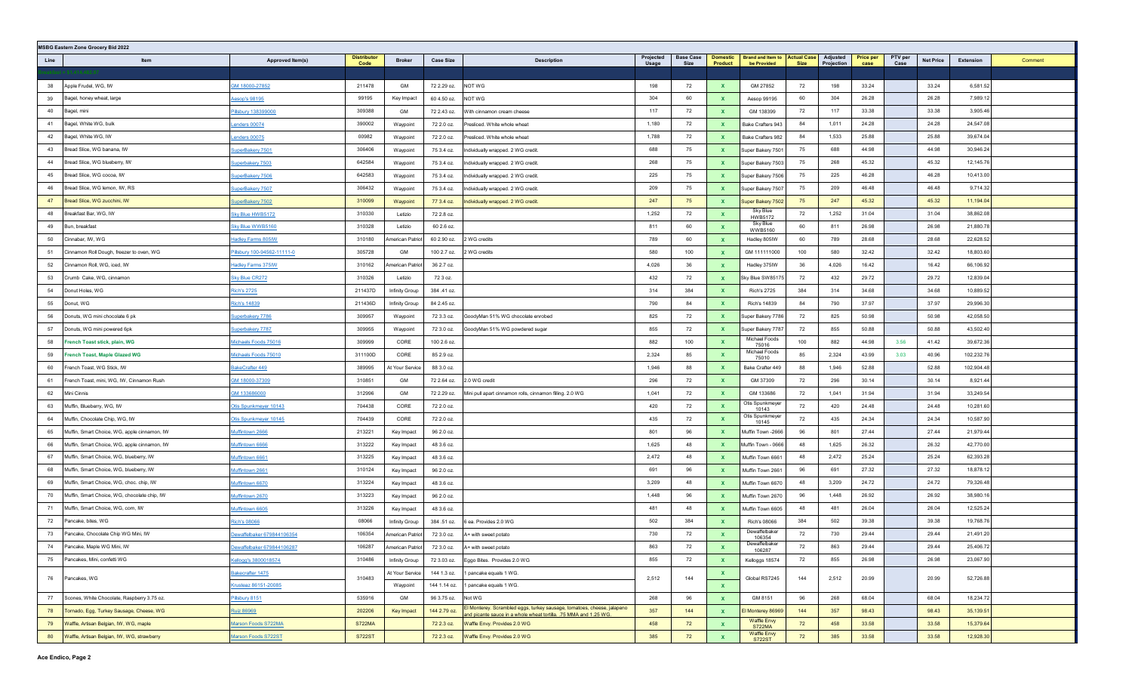|      | <b>MSBG Eastern Zone Grocery Bid 2022</b>    |                             |                            |                         |                  |                                                                                                                                              |                    |                          |                            |                                                     |      |                        |                          |                 |                  |                      |
|------|----------------------------------------------|-----------------------------|----------------------------|-------------------------|------------------|----------------------------------------------------------------------------------------------------------------------------------------------|--------------------|--------------------------|----------------------------|-----------------------------------------------------|------|------------------------|--------------------------|-----------------|------------------|----------------------|
| Line | Item                                         | Approved Item(s)            | <b>Distributor</b><br>Code | <b>Broker</b>           | <b>Case Size</b> | <b>Description</b>                                                                                                                           | Projected<br>Usage | <b>Base Case</b><br>Size | <b>Domestic</b><br>Product | <b>Brand and Item to Actual Case</b><br>be Provided | Size | Adjusted<br>Projection | <b>Price per</b><br>case | PTV per<br>Case | <b>Net Price</b> | Extension<br>Comment |
|      |                                              |                             |                            |                         |                  |                                                                                                                                              |                    |                          |                            |                                                     |      |                        |                          |                 |                  |                      |
| 38   | Apple Frudel, WG, IW                         | GM 18000-27852              | 211478                     | GM                      | 72 2.29 oz.      | NOT WG                                                                                                                                       | 198                | 72                       | $\mathbf{x}$               | GM 27852                                            | 72   | 198                    | 33.24                    |                 | 33.24            | 6,581.52             |
| 39   | Bagel, honey wheat, large                    | esop's 98195                | 99195                      | Key Impact              | 60 4.50 oz.      | NOT WG                                                                                                                                       | 304                | 60                       | $\mathbf{x}$               | Aesop 99195                                         | 60   | 304                    | 26.28                    |                 | 26.28            | 7,989.12             |
| 40   | Bagel, mini                                  | Pillsbury 138399000         | 309388                     | GM                      | 72 2.43 oz.      | With cinnamon cream cheese                                                                                                                   | 117                | 72                       | $\mathbf{x}$               | GM 138399                                           | 72   | 117                    | 33.38                    |                 | 33.38            | 3,905.46             |
| 41   | Bagel, White WG, bulk                        | enders 00074                | 390002                     | Waypoint                | 72 2.0 oz.       | Presliced. White whole wheat                                                                                                                 | 1,180              | 72                       | $\mathbf{x}$               | Bake Crafters 943                                   | 84   | 1,011                  | 24.28                    |                 | 24.28            | 24,547.08            |
| 42   | Bagel, White WG, IW                          | enders 00075                | 00982                      | Waypoint                | 72 2.0 oz.       | Presliced. White whole wheat                                                                                                                 | 1,788              | 72                       | $\mathbf{x}$               | Bake Crafters 982                                   | 84   | 1,533                  | 25.88                    |                 | 25.88            | 39,674.04            |
| 43   | Bread Slice, WG banana, IW                   | superBakery 7501            | 306406                     | Waypoint                | 75 3.4 oz.       | Individually wrapped. 2 WG credit.                                                                                                           | 688                | 75                       | $\mathbf{x}$               | Super Bakery 7501                                   | 75   | 688                    | 44.98                    |                 | 44.98            | 30,946.24            |
| 44   | Bread Slice, WG blueberry, IW                | superbakery 7503            | 642584                     | Waypoint                | 75 3.4 oz.       | Individually wrapped. 2 WG credit                                                                                                            | 268                | 75                       | $\mathbf{x}$               | Super Bakery 7503                                   | 75   | 268                    | 45.32                    |                 | 45.32            | 12,145.76            |
| 45   | Bread Slice, WG cocoa, IW                    | SuperBakery 7506            | 642583                     | Waypoint                | 75 3.4 oz.       | Individually wrapped. 2 WG credit.                                                                                                           | 225                | 75                       | $\mathbf{x}$               | Super Bakery 7506                                   | 75   | 225                    | 46.28                    |                 | 46.28            | 10,413.00            |
| 46   | Bread Slice, WG lemon, IW, RS                | superBakery 7507            | 306432                     | Waypoint                | 75 3.4 oz.       | Individually wrapped. 2 WG credit.                                                                                                           | 209                | 75                       | $\mathbf{x}$               | Super Bakery 7507                                   | 75   | 209                    | 46.48                    |                 | 46.48            | 9,714.32             |
| 47   | Bread Slice, WG zucchini, IW                 | superBakery 7502            | 310099                     | Waypoint                | 77 3.4 oz.       | Individually wrapped. 2 WG credit.                                                                                                           | 247                | 75                       | $\mathbf{x}$               | Super Bakery 7502                                   | 75   | 247                    | 45.32                    |                 | 45.32            | 11,194.04            |
| 48   | Breakfast Bar, WG, IW                        | Sky Blue HWB5172            | 310330                     | Letizio                 | 72 2.8 oz.       |                                                                                                                                              | 1,252              | 72                       | $\mathbf{x}$               | Sky Blue<br><b>HWB5172</b>                          | 72   | 1,252                  | 31.04                    |                 | 31.04            | 38,862.08            |
| 49   | Bun, breakfast                               | Sky Blue WWB5160            | 310328                     | Letizio                 | 60 2.6 oz.       |                                                                                                                                              | 811                | 60                       | $\mathbf{x}$               | Sky Blue<br><b>WWB5160</b>                          | 60   | 811                    | 26.98                    |                 | 26.98            | 21,880.78            |
| 50   | Cinnabar, IW, WG                             | <b>Hadley Farms 805IW</b>   | 310180                     | merican Patriot         | 60 2.90 oz.      | 2 WG credits                                                                                                                                 | 789                | 60                       | $\mathbf{x}$               | Hadley 805IW                                        | 60   | 789                    | 28.68                    |                 | 28.68            | 22,628.52            |
| 51   | Cinnamon Roll Dough, freezer to oven, WG     | Pillsbury 100-94562-11111-0 | 305728                     | GM                      | 100 2.7 oz.      | 2 WG credits                                                                                                                                 | 580                | 100                      | $\mathbf{x}$               | GM 111111000                                        | 100  | 580                    | 32.42                    |                 | 32.42            | 18,803.60            |
| 52   | Cinnamon Roll, WG, iced, IW                  | <b>Hadley Farms 375IW</b>   | 310162                     | <b>Imerican Patriot</b> | 36 2.7 oz.       |                                                                                                                                              | 4,026              | 36                       | $\mathbf{x}$               | Hadley 375IW                                        | 36   | 4,026                  | 16.42                    |                 | 16.42            | 66,106.92            |
| 53   | Crumb Cake, WG, cinnamon                     | <b>Sky Blue CR272</b>       | 310326                     | Letizio                 | 72 3 oz.         |                                                                                                                                              | 432                | 72                       | $\mathbf{x}$               | Sky Blue SW85175                                    | 72   | 432                    | 29.72                    |                 | 29.72            | 12,839.04            |
| 54   | Donut Holes, WG                              | <b>Rich's 2725</b>          | 211437D                    | Infinity Group          | 384 .41 oz.      |                                                                                                                                              | 314                | 384                      | $\mathbf{x}$               | <b>Rich's 2725</b>                                  | 384  | 314                    | 34.68                    |                 | 34.68            | 10,889.52            |
| 55   | Donut, WG                                    | <b>Rich's 14839</b>         | 211436D                    | Infinity Group          | 84 2.45 oz.      |                                                                                                                                              | 790                | 84                       | $\mathbf{x}$               | <b>Rich's 14839</b>                                 | 84   | 790                    | 37.97                    |                 | 37.97            | 29,996.30            |
| 56   | Donuts, WG mini chocolate 6 pk               | superbakery 7786            | 309957                     | Waypoint                | 72 3.3 oz.       | GoodyMan 51% WG chocolate enrobed                                                                                                            | 825                | 72                       | $\mathbf{x}$               | Super Bakery 7786                                   | 72   | 825                    | 50.98                    |                 | 50.98            | 42,058.50            |
| 57   | Donuts, WG mini powered 6pk                  | superbakery 7787            | 309955                     | Waypoint                | 72 3.0 oz.       | GoodyMan 51% WG powdered sugar                                                                                                               | 855                | 72                       | $\mathbf{x}$               | Super Bakery 7787                                   | 72   | 855                    | 50.88                    |                 | 50.88            | 43,502.40            |
| 58   | French Toast stick, plain, WG                | dichaels Foods 75016        | 309999                     | CORE                    | 100 2.6 oz.      |                                                                                                                                              | 882                | 100                      | $\mathbf{x}$               | Michael Foods<br>75016                              | 100  | 882                    | 44.98                    | 3.56            | 41.42            | 39,672.36            |
| 59   | French Toast, Maple Glazed WG                | Michaels Foods 75010        | 311100D                    | CORE                    | 85 2.9 oz.       |                                                                                                                                              | 2,324              | 85                       | $\mathbf{x}$               | Michael Foods<br>75010                              | 85   | 2,324                  | 43.99                    | 3.03            | 40.96            | 102,232.76           |
| 60   | French Toast, WG Stick, IW                   | BakeCrafter 449             | 389995                     | At Your Service         | 88 3.0 oz.       |                                                                                                                                              | 1,946              | 88                       | $\mathbf{x}$               | Bake Crafter 449                                    | 88   | 1,946                  | 52.88                    |                 | 52.88            | 102,904.48           |
| 61   | French Toast, mini, WG, IW, Cinnamon Rush    | GM 18000-37309              | 310851                     | GM                      | 72 2.64 oz.      | 2.0 WG credit                                                                                                                                | 296                | 72                       | $\mathbf{x}$               | GM 37309                                            | 72   | 296                    | 30.14                    |                 | 30.14            | 8,921.44             |
| 62   | Mini Cinnis                                  | GM 133686000                | 312996                     | GM                      | 72 2.29 oz.      | Mini pull apart cinnamon rolls, cinnamon filling. 2.0 WG                                                                                     | 1,041              | 72                       | $\mathbf{x}$               | GM 133686                                           | 72   | 1,041                  | 31.94                    |                 | 31.94            | 33,249.54            |
| 63   | Muffin, Blueberry, WG, IW                    | Otis Spunkmeyer 10143       | 704438                     | CORE                    | 72 2.0 oz.       |                                                                                                                                              | 420                | 72                       | $\mathbf{x}$               | Otis Spunkmeyer<br>10143                            | 72   | 420                    | 24.48                    |                 | 24.48            | 10,281.60            |
| 64   | Muffin, Chocolate Chip, WG, IW               | Otis Spunkmeyer 10145       | 704439                     | CORE                    | 72 2.0 oz.       |                                                                                                                                              | 435                | 72                       | $\mathbf{x}$               | Otis Spunkmeyer<br>10145                            | 72   | 435                    | 24.34                    |                 | 24.34            | 10,587.90            |
| 65   | Muffin, Smart Choice, WG, apple cinnamon, IW | Muffintown 2666             | 213221                     | Key Impact              | 96 2.0 oz.       |                                                                                                                                              | 801                | 96                       | $\mathbf{x}$               | Muffin Town -2666                                   | 96   | 801                    | 27.44                    |                 | 27.44            | 21,979.44            |
| 66   | Muffin, Smart Choice, WG, apple cinnamon, IW | Muffintown 6666             | 313222                     | Key Impact              | 48 3.6 oz.       |                                                                                                                                              | 1,625              | 48                       | $\mathbf{x}$               | Muffin Town - 0666                                  | 48   | 1,625                  | 26.32                    |                 | 26.32            | 42,770.00            |
| 67   | Muffin, Smart Choice, WG, blueberry, IW      | <b>Muffintown 6661</b>      | 313225                     | Key Impact              | 48 3.6 oz.       |                                                                                                                                              | 2,472              | 48                       | $\mathbf{x}$               | Muffin Town 6661                                    | 48   | 2,472                  | 25.24                    |                 | 25.24            | 62,393.28            |
| 68   | Muffin, Smart Choice, WG, blueberry, IW      | Muffintown 2661             | 310124                     | Key Impact              | 96 2.0 oz.       |                                                                                                                                              | 691                | 96                       | $\mathbf{x}$               | Muffin Town 2661                                    | 96   | 691                    | 27.32                    |                 | 27.32            | 18,878.12            |
| 69   | Muffin, Smart Choice, WG, choc. chip, IW     | Muffintown 6670             | 313224                     | Key Impact              | 48 3.6 oz.       |                                                                                                                                              | 3,209              | 48                       | $\mathbf{x}$               | Muffin Town 6670                                    | 48   | 3,209                  | 24.72                    |                 | 24.72            | 79,326.48            |
| 70   | Muffin, Smart Choice, WG, chocolate chip, IW | Muffintown 2670             | 313223                     | Key Impact              | 96 2.0 oz.       |                                                                                                                                              | 1,448              | 96                       | $\mathbf{x}$               | Muffin Town 2670                                    | 96   | 1,448                  | 26.92                    |                 | 26.92            | 38,980.16            |
| 71   | Muffin, Smart Choice, WG, corn, IW           | Muffintown 6605             | 313226                     | Key Impact              | 48 3.6 oz.       |                                                                                                                                              | 481                | 48                       | $\mathbf{x}$               | Muffin Town 6605                                    | 48   | 481                    | 26.04                    |                 | 26.04            | 12,525.24            |
| 72   | Pancake, bites, WG                           | <b>Rich's 08066</b>         | 08066                      | Infinity Group          | 384 .51 oz.      | 6 ea. Provides 2.0 WG                                                                                                                        | 502                | 384                      | $\mathbf{x}$               | <b>Rich's 08066</b>                                 | 384  | 502                    | 39.38                    |                 | 39.38            | 19,768.76            |
| 73   | Pancake, Chocolate Chip WG Mini, IW          | Dewaffelbaker 679844106354  | 106354                     | American Patriot        | 72 3.0 oz.       | A+ with sweet potato                                                                                                                         | 730                | 72                       | $\mathbf{x}$               | Dewaffelbaker<br>106354                             | 72   | 730                    | 29.44                    |                 | 29.44            | 21,491.20            |
| 74   | Pancake, Maple WG Mini, IW                   | Dewaffelbaker 679844106287  | 106287                     | American Patriot        | 72 3.0 oz.       | A+ with sweet potato                                                                                                                         | 863                | 72                       | $\mathbf{x}$               | υеwaπeιраκ∈<br>106287                               | 72   | 863                    | 29.44                    |                 | 29.44            | 25,406.72            |
| 75   | Pancakes, Mini, confetti WG                  | Cellogg's 3800018574        | 310486                     | Infinity Group          | 72 3.03 oz.      | Eggo Bites. Provides 2.0 WG                                                                                                                  | 855                | 72                       | $\mathbf{x}$               | Kelloggs 18574                                      | 72   | 855                    | 26.98                    |                 | 26.98            | 23,067.90            |
| 76   | Pancakes, WG                                 | Bakecrafter 1475            | 310483                     | At Your Service         | 144 1.3 oz.      | 1 pancake equals 1 WG.                                                                                                                       | 2,512              | 144                      | $\mathbf{x}$               | Global RS7245                                       | 144  | 2,512                  | 20.99                    |                 | 20.99            | 52,726.88            |
|      |                                              | Krusteaz 86151-20085        |                            | Waypoint                | 144 1.14 oz.     | 1 pancake equals 1 WG.                                                                                                                       |                    |                          | $\mathbf{x}$               |                                                     |      |                        |                          |                 |                  |                      |
| 77   | Scones, White Chocolate, Raspberry 3.75 oz.  | Pillsbury 8151              | 535916                     | GM                      | 96 3.75 oz.      | Not WG                                                                                                                                       | 268                | 96                       | $\mathbf{x}$               | GM 8151                                             | 96   | 268                    | 68.04                    |                 | 68.04            | 18,234.72            |
| 78   | Tornado, Egg, Turkey Sausage, Cheese, WG     | <b>Ruiz 86969</b>           | 202206                     | Key Impact              | 144 2.79 oz.     | El Monterey. Scrambled eggs, turkey sausage, tomatoes, cheese, jalapeno<br>and picante sauce in a whole wheat tortilla. .75 MMA and 1.25 WG. | 357                | 144                      | $\mathbf{x}$               | El Monterey 86969                                   | 144  | 357                    | 98.43                    |                 | 98.43            | 35,139.51            |
| 79   | Waffle, Artisan Belgian, IW, WG, maple       | Marson Foods S722MA         | <b>S722MA</b>              |                         | 72 2.3 oz.       | Waffle Envy. Provides 2.0 WG                                                                                                                 | 458                | 72                       | $\mathbf{x}$               | <b>Waffle Envy</b><br><b>S722MA</b>                 | 72   | 458                    | 33.58                    |                 | 33.58            | 15,379.64            |
| 80   | Waffle, Artisan Belgian, IW, WG, strawberry  | Marson Foods S722ST         | <b>S722ST</b>              |                         | 72 2.3 oz.       | Waffle Envy. Provides 2.0 WG                                                                                                                 | 385                | 72                       | $\mathbf{x}$               | <b>Waffle Envy</b><br><b>S722ST</b>                 | 72   | 385                    | 33.58                    |                 | 33.58            | 12,928.30            |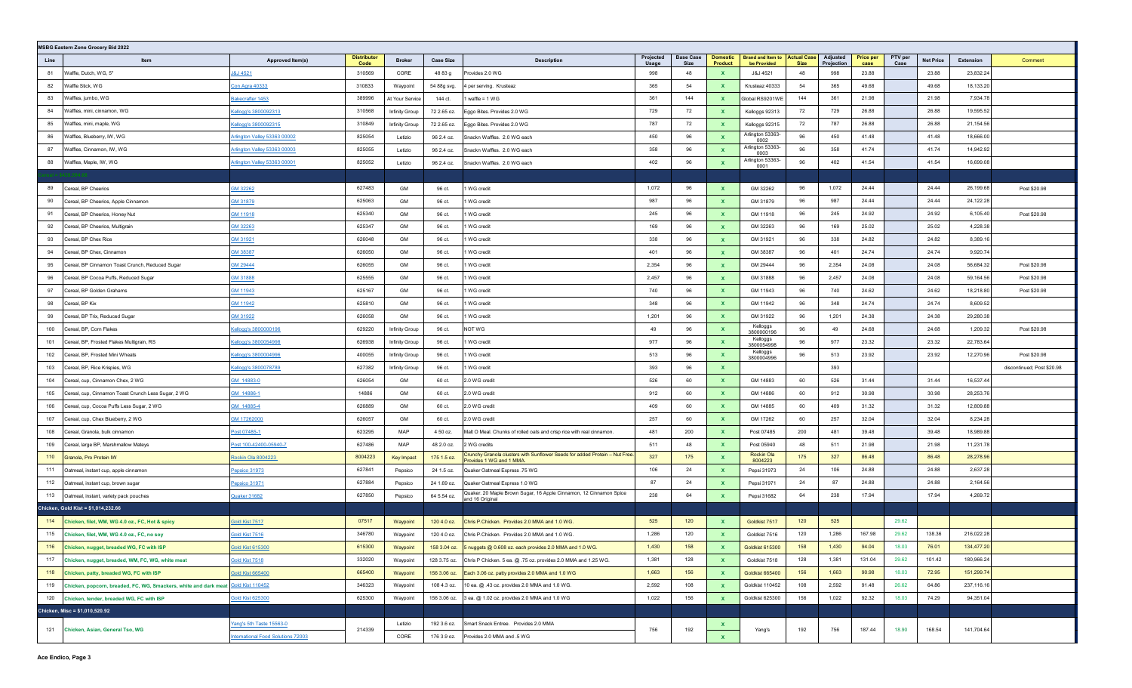| <b>MSBG Eastern Zone Grocery Bid 2022</b>                                             |                                           |                            |                 |                  |                                                                                                        |                    |                          |                            |                                         |                                   |                        |                          |                 |                  |            |                            |
|---------------------------------------------------------------------------------------|-------------------------------------------|----------------------------|-----------------|------------------|--------------------------------------------------------------------------------------------------------|--------------------|--------------------------|----------------------------|-----------------------------------------|-----------------------------------|------------------------|--------------------------|-----------------|------------------|------------|----------------------------|
| Line<br>Item                                                                          | Approved Item(s)                          | <b>Distributor</b><br>Code | <b>Broker</b>   | <b>Case Size</b> | <b>Description</b>                                                                                     | Projected<br>Usage | <b>Base Case</b><br>Size | <b>Domestic</b><br>Product | <b>Brand and Item to</b><br>be Provided | <b>Actual Case</b><br><b>Size</b> | Adjusted<br>Projection | <b>Price per</b><br>case | PTV per<br>Case | <b>Net Price</b> | Extension  | Comment                    |
| 81<br>Waffle, Dutch, WG, 5"                                                           | J&J 4521                                  | 310569                     | CORE            | 48 83 g          | Provides 2.0 WG                                                                                        | 998                | 48                       | $\mathbf{x}$               | J&J 4521                                | 48                                | 998                    | 23.88                    |                 | 23.88            | 23,832.24  |                            |
| Waffle Stick, WG<br>82                                                                | <b>Con Agra 40333</b>                     | 310833                     | Waypoint        | 54 88g svg.      | 4 per serving. Krusteaz                                                                                | 365                | 54                       | $\mathbf{x}$               | Krusteaz 40333                          | 54                                | 365                    | 49.68                    |                 | 49.68            | 18,133.20  |                            |
| 83<br>Waffles, jumbo, WG                                                              | Bakecrafter 1453                          | 389996                     | At Your Service | 144 ct.          | I waffle = 1 WG                                                                                        | 361                | 144                      | $\mathbf{x}$               | Global RS9201WE                         | 144                               | 361                    | 21.98                    |                 | 21.98            | 7,934.78   |                            |
| 84<br>Waffles, mini, cinnamon, WG                                                     | Kellogg's 3800092313                      | 310568                     | Infinity Group  | 72 2.65 oz.      | Eggo Bites. Provides 2.0 WG                                                                            | 729                | 72                       | $\mathbf{x}$               | Kelloggs 92313                          | 72                                | 729                    | 26.88                    |                 | 26.88            | 19,595.52  |                            |
| 85<br>Waffles, mini, maple, WG                                                        | Cellogg's 3800092315                      | 310849                     | Infinity Group  | 72 2.65 oz.      | Eggo Bites. Provides 2.0 WG                                                                            | 787                | 72                       | $\mathbf{x}$               | Kelloggs 92315                          | 72                                | 787                    | 26.88                    |                 | 26.88            | 21,154.56  |                            |
| Waffles, Blueberry, IW, WG<br>86                                                      | Arlington Valley 53363 00002              | 825054                     | Letizio         | 96 2.4 oz.       | Snackn Waffles. 2.0 WG each                                                                            | 450                | 96                       | $\mathbf{x}$               | Arlington 53363-<br>0002                | 96                                | 450                    | 41.48                    |                 | 41.48            | 18,666.00  |                            |
| Waffles, Cinnamon, IW, WG<br>87                                                       | Arlington Valley 53363 00003              | 825055                     | Letizio         | 96 2.4 oz.       | Snackn Waffles. 2.0 WG each                                                                            | 358                | 96                       | $\mathbf{x}$               | Arlington 53363-<br>0003                | 96                                | 358                    | 41.74                    |                 | 41.74            | 14,942.92  |                            |
| 88<br>Waffles, Maple, IW, WG                                                          | <u>Arlington Valley 53363 00001</u>       | 825052                     | Letizio         | 96 2.4 oz.       | Snackn Waffles. 2.0 WG each                                                                            | 402                | 96                       | $\mathbf{x}$               | Arlington 53363-<br>0001                | 96                                | 402                    | 41.54                    |                 | 41.54            | 16,699.08  |                            |
|                                                                                       |                                           |                            |                 |                  |                                                                                                        |                    |                          |                            |                                         |                                   |                        |                          |                 |                  |            |                            |
| Cereal, BP Cheerios<br>89                                                             | GM 32262                                  | 627483                     | GM              | 96 ct.           | 1 WG credit                                                                                            | 1,072              | 96                       | $\mathbf{x}$               | GM 32262                                | 96                                | 1,072                  | 24.44                    |                 | 24.44            | 26,199.68  | Post \$20.98               |
| Cereal, BP Cheerios, Apple Cinnamon<br>90                                             | GM 31879                                  | 625063                     | GM              | 96 ct.           | 1 WG credit                                                                                            | 987                | 96                       | $\mathbf{x}$               | GM 31879                                | 96                                | 987                    | 24.44                    |                 | 24.44            | 24,122.28  |                            |
| 91<br>Cereal, BP Cheerios, Honey Nut                                                  | GM 11918                                  | 625340                     | GM              | 96 ct.           | 1 WG credit                                                                                            | 245                | 96                       | $\mathbf{x}$               | GM 11918                                | 96                                | 245                    | 24.92                    |                 | 24.92            | 6,105.40   | Post \$20.98               |
| 92<br>Cereal, BP Cheerios, Multigrain                                                 | GM 32263                                  | 625347                     | GM              | 96 ct.           | 1 WG credit                                                                                            | 169                | 96                       | $\mathbf{x}$               | GM 32263                                | 96                                | 169                    | 25.02                    |                 | 25.02            | 4,228.38   |                            |
| 93<br>Cereal, BP Chex Rice                                                            | GM 31921                                  | 626048                     | GM              | 96 ct.           | 1 WG credit                                                                                            | 338                | 96                       | $\mathbf{x}$               | GM 31921                                | 96                                | 338                    | 24.82                    |                 | 24.82            | 8,389.16   |                            |
| 94<br>Cereal, BP Chex, Cinnamon                                                       | <b>GM 38387</b>                           | 626050                     | GM              | 96 ct.           | 1 WG credit                                                                                            | 401                | 96                       | $\mathbf{x}$               | GM 38387                                | 96                                | 401                    | 24.74                    |                 | 24.74            | 9,920.74   |                            |
| Cereal, BP Cinnamon Toast Crunch, Reduced Sugar<br>95                                 | GM 29444                                  | 626055                     | GM              | 96 ct.           | 1 WG credit                                                                                            | 2,354              | 96                       | $\mathbf{x}$               | GM 29444                                | 96                                | 2,354                  | 24.08                    |                 | 24.08            | 56,684.32  | Post \$20.98               |
| 96<br>Cereal, BP Cocoa Puffs, Reduced Sugar                                           | GM 31888                                  | 625555                     | GM              | 96 ct.           | 1 WG credit                                                                                            | 2,457              | 96                       | $\mathbf{x}$               | GM 31888                                | 96                                | 2,457                  | 24.08                    |                 | 24.08            | 59,164.56  | Post \$20.98               |
| 97<br>Cereal, BP Golden Grahams                                                       | GM 11943                                  | 625167                     | GM              | 96 ct.           | 1 WG credit                                                                                            | 740                | 96                       | $\mathbf{x}$               | GM 11943                                | 96                                | 740                    | 24.62                    |                 | 24.62            | 18,218.80  | Post \$20.98               |
| 98<br>Cereal, BP Kix                                                                  | GM 11942                                  | 625810                     | GM              | 96 ct.           | 1 WG credit                                                                                            | 348                | 96                       | $\mathbf{x}$               | GM 11942                                | 96                                | 348                    | 24.74                    |                 | 24.74            | 8,609.52   |                            |
| 99<br>Cereal, BP Trix, Reduced Sugar                                                  | 3M 31922                                  | 626058                     | GM              | 96 ct.           | 1 WG credit                                                                                            | 1,201              | 96                       | $\mathbf{x}$               | GM 31922                                | 96                                | 1,201                  | 24.38                    |                 | 24.38            | 29,280.38  |                            |
| 100<br>Cereal, BP, Corn Flakes                                                        | Kellogg's 3800000196                      | 629220                     | Infinity Group  | 96 ct.           | NOT WG                                                                                                 | 49                 | 96                       | $\mathbf{x}$               | Kelloggs<br>3800000196                  | 96                                | 49                     | 24.68                    |                 | 24.68            | 1,209.32   | Post \$20.98               |
| 101<br>Cereal, BP, Frosted Flakes Multigrain, RS                                      | Kellogg's 3800054998                      | 626938                     | Infinity Group  | 96 ct.           | 1 WG credit                                                                                            | 977                | 96                       | $\mathbf{x}$               | Kelloggs<br>3800054998                  | 96                                | 977                    | 23.32                    |                 | 23.32            | 22,783.64  |                            |
| 102<br>Cereal, BP, Frosted Mini Wheats                                                | <u>Cellogg's 3800004996</u>               | 400055                     | Infinity Group  | 96 ct.           | 1 WG credit                                                                                            | 513                | 96                       | $\mathbf{x}$               | Kelloggs<br>3800004996                  | 96                                | 513                    | 23.92                    |                 | 23.92            | 12,270.96  | Post \$20.98               |
| 103<br>Cereal, BP, Rice Krispies, WG                                                  | Kellogg's 3800078789                      | 627382                     | Infinity Group  | 96 ct.           | 1 WG credit                                                                                            | 393                | 96                       | $\mathbf{x}$               |                                         |                                   | 393                    |                          |                 |                  |            | discontinued; Post \$20.98 |
| 104<br>Cereal, cup, Cinnamon Chex, 2 WG                                               | GM 14883-0                                | 626054                     | GM              | 60 ct.           | 2.0 WG credit                                                                                          | 526                | 60                       | $\mathbf{x}$               | GM 14883                                | 60                                | 526                    | 31.44                    |                 | 31.44            | 16,537.44  |                            |
| 105<br>Cereal, cup, Cinnamon Toast Crunch Less Sugar, 2 WG                            | GM 14886-1                                | 14886                      | GM              | 60 ct.           | 2.0 WG credit                                                                                          | 912                | 60                       | $\mathbf{x}$               | GM 14886                                | 60                                | 912                    | 30.98                    |                 | 30.98            | 28,253.76  |                            |
| 106<br>Cereal, cup, Cocoa Puffs Less Sugar, 2 WG                                      | GM 14885-4                                | 626889                     | GM              | 60 ct.           | 2.0 WG credit                                                                                          | 409                | 60                       | $\mathbf{x}$               | GM 14885                                | 60                                | 409                    | 31.32                    |                 | 31.32            | 12,809.88  |                            |
| 107<br>Cereal, cup, Chex Blueberry, 2 WG                                              | GM 17262000                               | 626057                     | GM              | 60 ct.           | 2.0 WG credit                                                                                          | 257                | 60                       | $\mathbf{x}$               | GM 17262                                | 60                                | 257                    | 32.04                    |                 | 32.04            | 8,234.28   |                            |
| 108<br>Cereal, Granola, bulk cinnamon                                                 | Post 07485-1                              | 623295                     | MAP             | 4 50 oz.         | Malt O Meal. Chunks of rolled oats and crisp rice with real cinnamon.                                  | 481                | 200                      | $\mathbf{x}$               | Post 07485                              | 200                               | 481                    | 39.48                    |                 | 39.48            | 18,989.88  |                            |
| 109<br>Cereal, large BP, Marshmallow Mateys                                           | Post 100-42400-05940-7                    | 627486                     | MAP             | 48 2.0 oz.       | 2 WG credits                                                                                           | 511                | 48                       | $\mathbf{x}$               | Post 05940                              | 48                                | 511                    | 21.98                    |                 | 21.98            | 11,231.78  |                            |
| 110<br>Granola, Pro Protein IW                                                        | <u>Rockin Ola 8004223</u>                 | 8004223                    | Key Impact      | 175 1.5 oz.      | Crunchy Granola clusters with Sunflower Seeds for added Protein - Nut Free<br>Provides 1 WG and 1 MMA. | 327                | 175                      | $\mathbf{x}$               | Rockin Ola<br>8004223                   | 175                               | 327                    | 86.48                    |                 | 86.48            | 28,278.96  |                            |
| 111<br>Oatmeal, instant cup, apple cinnamon                                           | Pepsico 31973                             | 627841                     | Pepsico         | 24 1.5 oz.       | Quaker Oatmeal Express .75 WG                                                                          | 106                | 24                       | $\mathbf{x}$               | Pepsi 31973                             | 24                                | 106                    | 24.88                    |                 | 24.88            | 2,637.28   |                            |
| 112<br>Oatmeal, instant cup, brown sugar                                              | Pepsico 31971                             | 627884                     | Pepsico         | 24 1.69 oz.      | Quaker Oatmeal Express 1.0 WG                                                                          | 87                 | 24                       | $\mathbf{x}$               | Pepsi 31971                             | 24                                | 87                     | 24.88                    |                 | 24.88            | 2,164.56   |                            |
| 113 Oatmeal, instant, variety pack pouches                                            | Quaker 31682                              | 627850                     | Pepsico         | 64 5.54 oz.      | Quaker. 20 Maple Brown Sugar, 16 Apple Cinnamon, 12 Cinnamon Spice<br>and 16 Original                  | 238                | 64                       | $\mathbf{x}$               | Pepsi 31682                             | 64                                | 238                    | 17.94                    |                 | 17.94            | 4,269.72   |                            |
| Chicken, Gold Kist = \$1,014,232.66                                                   |                                           |                            |                 |                  |                                                                                                        |                    |                          |                            |                                         |                                   |                        |                          |                 |                  |            |                            |
| 114<br>Chicken, filet, WM, WG 4.0 oz., FC, Hot & spicy                                | Gold Kist 7517                            | 07517                      | Waypoint        | 120 4.0 oz.      | Chris P.Chicken. Provides 2.0 MMA and 1.0 WG.                                                          | 525                | 120                      | <b>X</b>                   | Goldkist 7517                           | 120                               | 525                    |                          | 29.62           |                  |            |                            |
| 115 Chicken, filet, WM, WG 4.0 oz., FC, no soy                                        | Gold Kist 7516                            | 346780                     | Waypoint        | 120 4.0 oz.      | Chris P.Chicken. Provides 2.0 MMA and 1.0 WG.                                                          | 1,286              | 120                      | $\mathbf{x}$               | Goldkist 7516                           | 120                               | 1,286                  | 167.98                   | 29.62           | 138.36           | 216,022.28 |                            |
| 116<br>Chicken, nugget, breaded WG, FC with ISP                                       | <b>Gold Kist 615300</b>                   | 615300                     | Waypoint        | 158 3.04 oz.     | 5 nuggets @ 0.608 oz. each provides 2.0 MMA and 1.0 WG.                                                | 1,430              | 158                      |                            | Goldkist 615300                         | 158                               | 1,430                  | 94.04                    | 18.03           | 76.01            | 134,477.20 |                            |
| 117 Chicken, nugget, breaded, WM, FC, WG, white meat                                  | Gold Kist 7518                            | 332020                     | Waypoint        | 128 3.75 oz.     | Chris P Chicken. 5 ea. @ .75 oz. provides 2.0 MMA and 1.25 WG.                                         | 1,381              | 128                      | $\mathbf{x}$               | Goldkist 7518                           | 128                               | 1,381                  | 131.04                   | 29.62           | 101.42           | 180,966.24 |                            |
| 118 Chicken, patty, breaded WG, FC with ISP                                           | <b>Gold Kist 665400</b>                   | 665400                     | Waypoint        | 156 3.06 oz.     | Each 3.06 oz. patty provides 2.0 MMA and 1.0 WG                                                        | 1,663              | 156                      | $\mathbf{x}$               | Goldkist 665400                         | 156                               | 1,663                  | 90.98                    | 18.03           | 72.95            | 151,299.74 |                            |
| 119 Chicken, popcorn, breaded, FC, WG, Smackers, white and dark meat Gold Kist 110452 |                                           | 346323                     | Waypoint        | 108 4.3 oz.      | 10 ea. @ .43 oz. provides 2.0 MMA and 1.0 WG.                                                          | 2,592              | 108                      | $\mathbf{x}$               | Goldkist 110452                         | 108                               | 2,592                  | 91.48                    | 26.62           | 64.86            | 237,116.16 |                            |
| 120 Chicken, tender, breaded WG, FC with ISP                                          | <b>Gold Kist 625300</b>                   | 625300                     | Waypoint        | 156 3.06 oz.     | 3 ea. @ 1.02 oz. provides 2.0 MMA and 1.0 WG                                                           | 1,022              | 156                      | $\mathbf{x}$               | Goldkist 625300                         | 156                               | 1,022                  | 92.32                    | 18.03           | 74.29            | 94,351.04  |                            |
| Chicken, Misc = \$1,010,520.92                                                        |                                           |                            |                 |                  |                                                                                                        |                    |                          |                            |                                         |                                   |                        |                          |                 |                  |            |                            |
| 121<br>Chicken, Asian, General Tso, WG                                                | Yang's 5th Taste 15563-0                  | 214339                     | Letizio         | 192 3.6 oz.      | Smart Snack Entree. Provides 2.0 MMA                                                                   | 756                | 192                      |                            | Yang's                                  | 192                               | 756                    | 187.44                   | 18.90           | 168.54           | 141,704.64 |                            |
|                                                                                       | <b>International Food Solutions 72003</b> |                            | CORE            | 176 3.9 oz.      | Provides 2.0 MMA and .5 WG                                                                             |                    |                          | $\mathbf{x}$               |                                         |                                   |                        |                          |                 |                  |            |                            |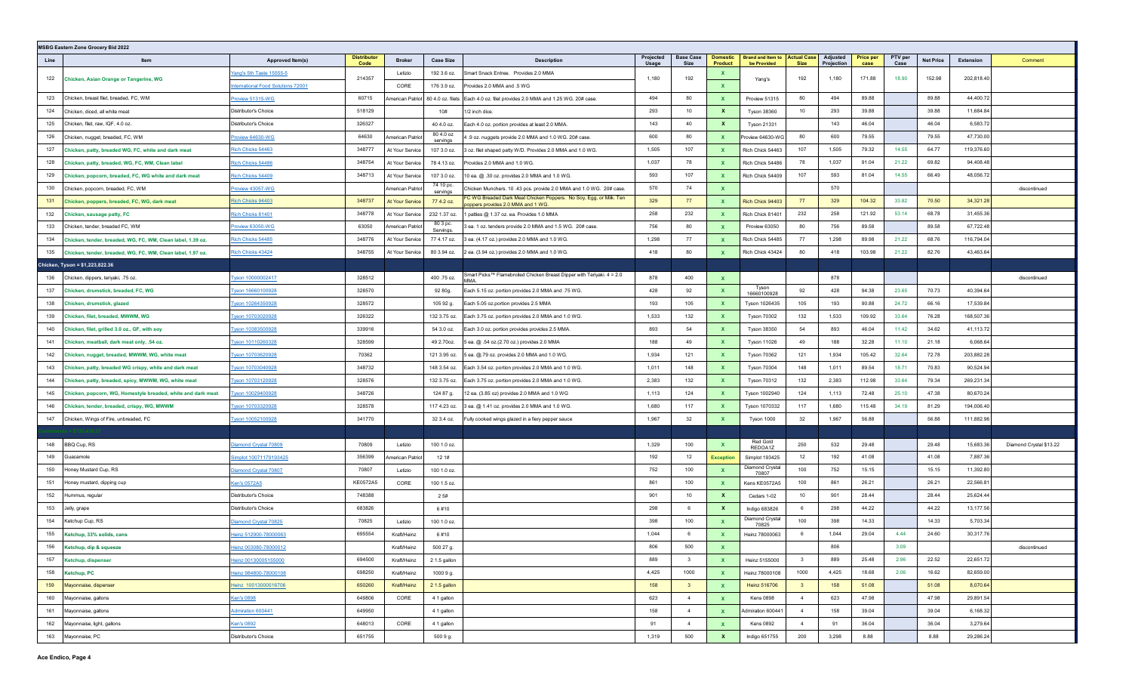|      | <b>MSBG Eastern Zone Grocery Bid 2022</b>                    |                                  |                            |                  |                       |                                                                                                          |                    |                          |                            |                                                     |                         |                        |                          |                 |                  |            |                         |
|------|--------------------------------------------------------------|----------------------------------|----------------------------|------------------|-----------------------|----------------------------------------------------------------------------------------------------------|--------------------|--------------------------|----------------------------|-----------------------------------------------------|-------------------------|------------------------|--------------------------|-----------------|------------------|------------|-------------------------|
| Line | Item                                                         | Approved Item(s)                 | <b>Distributor</b><br>Code | <b>Broker</b>    | <b>Case Size</b>      | <b>Description</b>                                                                                       | Projected<br>Usage | <b>Base Case</b><br>Size | <b>Domestic</b><br>Product | <b>Brand and Item to Actual Case</b><br>be Provided | <b>Size</b>             | Adjusted<br>Projection | <b>Price per</b><br>case | PTV per<br>Case | <b>Net Price</b> | Extension  | Comment                 |
| 122  | Chicken, Asian Orange or Tangerine, WG                       | <u>/ang's 5th Taste 15555-5</u>  | 214357                     | Letizio          | 192 3.6 oz.           | Smart Snack Entree. Provides 2.0 MMA                                                                     | 1,180              | 192                      | $\mathbf{x}$               | Yang's                                              | 192                     | 1,180                  | 171.88                   | 18.90           | 152.98           | 202,818.40 |                         |
|      |                                                              | ternational Food Solutions 72001 |                            | CORE             | 176 3.9 oz.           | Provides 2.0 MMA and .5 WG                                                                               |                    |                          | $\mathbf{x}$               |                                                     |                         |                        |                          |                 |                  |            |                         |
| 123  | Chicken, breast filet, breaded, FC, WM                       | roview 51315-WG                  | 60715                      | \merican Patriot |                       | 80 4.0 oz. filets Each 4.0 oz. filet provides 2.0 MMA and 1.25 WG. 20# case.                             | 494                | 80                       | $\mathbf{x}$               | Proview 51315                                       | 80                      | 494                    | 89.88                    |                 | 89.88            | 44,400.72  |                         |
| 124  | Chicken, diced, all white meat                               | Distributor's Choice             | 518129                     |                  | 10#                   | 1/2 inch dice.                                                                                           | 293                | 10                       | $\mathbf{x}$               | <b>Tyson 38360</b>                                  | 10 <sup>10</sup>        | 293                    | 39.88                    |                 | 39.88            | 11,684.84  |                         |
| 125  | Chicken, filet, raw, IQF, 4.0 oz.                            | Distributor's Choice             | 326327                     |                  | 40 4.0 oz.            | Each 4.0 oz. portion provides at least 2.0 MMA.                                                          | 143                | 40                       | $\mathbf{x}$               | <b>Tyson 21331</b>                                  |                         | 143                    | 46.04                    |                 | 46.04            | 6,583.72   |                         |
| 126  | Chicken, nugget, breaded, FC, WM                             | Proview 64630-WG                 | 64630                      | American Patriot | 80 4.0 oz<br>servings | 4.9 oz. nuggets provide 2.0 MMA and 1.0 WG. 20# case.                                                    | 600                | 80                       | $\mathbf{x}$               | Proview 64630-WG                                    | 80                      | 600                    | 79.55                    |                 | 79.55            | 47,730.00  |                         |
| 127  | Chicken, patty, breaded WG, FC, white and dark meat          | Rich Chicks 54463                | 348777                     | At Your Service  | 107 3.0 oz.           | 3 oz. filet shaped patty W/D. Provides 2.0 MMA and 1.0 WG.                                               | 1,505              | 107                      | $\mathbf{x}$               | Rich Chick 54463                                    | 107                     | 1,505                  | 79.32                    | 14.55           | 64.77            | 119,376.60 |                         |
| 128  | Chicken, patty, breaded, WG, FC, WM, Clean label             | <u>Rich Chicks 54486</u>         | 348754                     | At Your Service  | 78 4.13 oz.           | Provides 2.0 MMA and 1.0 WG.                                                                             | 1,037              | 78                       | $\mathbf{x}$               | Rich Chick 54486                                    | 78                      | 1,037                  | 91.04                    | 21.22           | 69.82            | 94,408.48  |                         |
| 129  | Chicken, popcorn, breaded, FC, WG white and dark meat        | Rich Chicks 54409                | 348713                     | At Your Service  | 107 3.0 oz.           | 10 ea. @ .30 oz. provides 2.0 MMA and 1.0 WG.                                                            | 593                | 107                      | $\mathbf{x}$               | Rich Chick 54409                                    | 107                     | 593                    | 81.04                    | 14.55           | 66.49            | 48,056.72  |                         |
| 130  | Chicken, popcorn, breaded, FC, WM                            | Proview 43057-WG                 |                            | American Patriot | 74 10 pc.<br>servings | Chicken Munchers. 10 .43 pcs. provide 2.0 MMA and 1.0 WG. 20# case.                                      | 570                | 74                       | $\mathbf{x}$               |                                                     |                         | 570                    |                          |                 |                  |            | discontinued            |
| 131  | Chicken, poppers, breaded, FC, WG, dark meat                 | Rich Chicks 94403                | 348737                     | At Your Service  | 77 4.2 oz.            | FC WG Breaded Dark Meat Chicken Poppers. No Soy, Egg, or Milk. Ten<br>poppers provides 2.0 MMA and 1 WG. | 329                | 77                       | $\mathbf{x}$               | Rich Chick 94403                                    | 77                      | 329                    | 104.32                   | 33.82           | 70.50            | 34,321.28  |                         |
| 132  | Chicken, sausage patty, FC                                   | Rich Chicks 81401                | 348778                     | At Your Service  | 232 1.37 oz.          | 1 patties @ 1.37 oz. ea. Provides 1.0 MMA                                                                | 258                | 232                      | $\mathbf{x}$               | Rich Chick 81401                                    | 232                     | 258                    | 121.92                   | 53.14           | 68.78            | 31,455.36  |                         |
| 133  | Chicken, tender, breaded FC, WM                              | roview 63050-WG                  | 63050                      | American Patriot | 80 3 pc.<br>Servings. | 3 ea. 1 oz. tenders provide 2.0 MMA and 1.5 WG. 20# case.                                                | 756                | 80                       | $\mathbf{x}$               | Proview 63050                                       | 80                      | 756                    | 89.58                    |                 | 89.58            | 67,722.48  |                         |
| 134  | Chicken, tender, breaded, WG, FC, WM, Clean label, 1.39 oz.  | Rich Chicks 54485                | 348776                     | At Your Service  | 77 4.17 oz.           | 3 ea. (4.17 oz.) provides 2.0 MMA and 1.0 WG.                                                            | 1,298              | 77                       | $\mathbf{x}$               | Rich Chick 54485                                    | 77                      | 1,298                  | 89.98                    | 21.22           | 68.76            | 116,794.04 |                         |
| 135  | Chicken, tender, breaded, WG, FC, WM, Clean label, 1.97 oz.  | Rich Chicks 43424                | 348755                     | At Your Service  | 80 3.94 oz.           | 2 ea. (3.94 oz.) provides 2.0 MMA and 1.0 WG.                                                            | 418                | 80                       | $\mathbf{x}$               | Rich Chick 43424                                    | 80                      | 418                    | 103.98                   | 21.22           | 82.76            | 43,463.64  |                         |
|      | Chicken, Tyson = \$1,223,822.36                              |                                  |                            |                  |                       |                                                                                                          |                    |                          |                            |                                                     |                         |                        |                          |                 |                  |            |                         |
| 136  | Chicken, dippers, teriyaki, .75 oz.                          | Tyson 10000002417                | 328512                     |                  | 400.75 oz.            | Smart Picks™ Flamebroiled Chicken Breast Dipper with Teriyaki. 4 = 2.0<br><b>MAA</b>                     | 878                | 400                      | $\mathbf{x}$               |                                                     |                         | 878                    |                          |                 |                  |            | discontinued            |
| 137  | Chicken, drumstick, breaded, FC, WG                          | <u>Iyson 16660100928</u>         | 328570                     |                  | 92 80g.               | Each 5.15 oz. portion provides 2.0 MMA and .75 WG.                                                       | 428                | 92                       | $\mathbf{x}$               | Tyson<br>16660100928                                | 92                      | 428                    | 94.38                    | 23.65           | 70.73            | 40,394.64  |                         |
| 138  | Chicken, drumstick, glazed                                   | Tyson 10264350928                | 328572                     |                  | 105 92 g.             | Each 5.05 oz.portion provides 2.5 MMA                                                                    | 193                | 105                      | $\mathbf{x}$               | Tyson 1026435                                       | 105                     | 193                    | 90.88                    | 24.72           | 66.16            | 17,539.84  |                         |
| 139  | Chicken, filet, breaded, MWWM, WG                            | <u>Iyson 10703020928</u>         | 326322                     |                  | 132 3.75 oz.          | Each 3.75 oz. portion provides 2.0 MMA and 1.0 WG.                                                       | 1,533              | 132                      | $\mathbf{x}$               | <b>Tyson 70302</b>                                  | 132                     | 1,533                  | 109.92                   | 33.64           | 76.28            | 168,507.36 |                         |
| 140  | Chicken, filet, grilled 3.0 oz., GF, with soy                | vson 10383500928                 | 339916                     |                  | 54 3.0 oz.            | Each 3.0 oz. portion provides provides 2.5 MMA.                                                          | 893                | 54                       | $\mathbf{x}$               | <b>Tyson 38350</b>                                  | 54                      | 893                    | 46.04                    | 11.42           | 34.62            | 41,113.72  |                         |
| 141  | Chicken, meatball, dark meat only, .54 oz.                   | Tyson 10110260328                | 328599                     |                  | 49 2.70oz.            | 5 ea. @ .54 oz.(2.70 oz.) provides 2.0 MMA                                                               | 188                | 49                       | $\mathbf{x}$               | <b>Tyson 11026</b>                                  | 49                      | 188                    | 32.28                    | 11.10           | 21.18            | 6,068.64   |                         |
| 142  | Chicken, nugget, breaded, MWWM, WG, white meat               | <u>Vson 10703620928</u>          | 70362                      |                  | 121 3.95 oz.          | 5 ea. @.79 oz. provides 2.0 MMA and 1.0 WG.                                                              | 1,934              | 121                      | $\mathbf{x}$               | <b>Tyson 70362</b>                                  | 121                     | 1,934                  | 105.42                   | 32.64           | 72.78            | 203,882.28 |                         |
| 143  | Chicken, patty, breaded WG crispy, white and dark meat       | Tyson 10703040928                | 348732                     |                  | 148 3.54 oz.          | Each 3.54 oz. portion provides 2.0 MMA and 1.0 WG.                                                       | 1,011              | 148                      | $\mathbf{x}$               | <b>Tyson 70304</b>                                  | 148                     | 1,011                  | 89.54                    | 18.71           | 70.83            | 90,524.94  |                         |
| 144  | Chicken, patty, breaded, spicy, MWWM, WG, white meat         | Tyson 10703120928                | 328576                     |                  | 132 3.75 oz.          | Each 3.75 oz. portion provides 2.0 MMA and 1.0 WG.                                                       | 2,383              | 132                      | $\mathbf{x}$               | <b>Tyson 70312</b>                                  | 132                     | 2,383                  | 112.98                   | 33.64           | 79.34            | 269,231.34 |                         |
| 145  | Chicken, popcorn, WG, Homestyle breaded, white and dark meat | Tyson 10029400928                | 348726                     |                  | 124 87 g.             | 12 ea. (3.85 oz) provides 2.0 MMA and 1.0 WG                                                             | 1,113              | 124                      | $\mathbf{x}$               | Tyson 1002940                                       | 124                     | 1,113                  | 72.48                    | 25.10           | 47.38            | 80,670.24  |                         |
| 146  | Chicken, tender, breaded, crispy, WG, MWWM                   | Tyson 10703320928                | 328578                     |                  | 117 4.23 oz.          | 3 ea. @ 1.41 oz. provides 2.0 MMA and 1.0 WG.                                                            | 1,680              | 117                      | $\mathbf{x}$               | Tyson 1070332                                       | 117                     | 1,680                  | 115.48                   | 34.19           | 81.29            | 194,006.40 |                         |
| 147  | Chicken, Wings of Fire, unbreaded, FC                        | Tyson 10052100928                | 341770                     |                  | 32 3.4 oz.            | Fully cooked wings glazed in a fiery pepper sauce                                                        | 1,967              | 32                       | $\mathbf{x}$               | Tyson 1000                                          | 32                      | 1,967                  | 56.88                    |                 | 56.88            | 111,882.96 |                         |
|      |                                                              |                                  |                            |                  |                       |                                                                                                          |                    |                          |                            |                                                     |                         |                        |                          |                 |                  |            |                         |
| 148  | <b>BBQ Cup, RS</b>                                           | iamond Crystal 70809             | 70809                      | Letizio          | 100 1.0 oz.           |                                                                                                          | 1,329              | 100                      | $\mathbf{x}$               | Red Gold<br>REDOA1Z                                 | 250                     | 532                    | 29.48                    |                 | 29.48            | 15,683.36  | Diamond Crystal \$13.22 |
| 149  | Guacamole                                                    | implot 10071179193425            | 356399                     | American Patriot | 12 1#                 |                                                                                                          | 192                | 12                       | <b>Exception</b>           | Simplot 193425                                      | 12                      | 192                    | 41.08                    |                 | 41.08            | 7,887.36   |                         |
| 150  | Honey Mustard Cup, RS                                        | Diamond Crystal 70807            | 70807                      | Letizio          | 100 1.0 oz.           |                                                                                                          | 752                | 100                      | $\mathbf{x}$               | Diamond Crystal<br>70807                            | 100                     | 752                    | 15.15                    |                 | 15.15            | 11,392.80  |                         |
| 151  | Honey mustard, dipping cup                                   | Cen's 0572A5                     | KE0572A5                   | CORE             | 100 1.5 oz.           |                                                                                                          | 861                | 100                      | $\mathbf{x}$               | Kens KE0572A5                                       | 100                     | 861                    | 26.21                    |                 | 26.21            | 22,566.81  |                         |
| 152  | Hummus, regular                                              | Distributor's Choice             | 748388                     |                  | 2 5#                  |                                                                                                          | 901                | 10                       | $\mathbf{x}$               | Cedars 1-02                                         | 10 <sup>10</sup>        | 901                    | 28.44                    |                 | 28.44            | 25,624.44  |                         |
| 153  | Jelly, grape                                                 | Distributor's Choice             | 683826                     |                  | 6#10                  |                                                                                                          | 298                | 6                        | $\mathbf{x}$               | Indigo 683826                                       | 6                       | 298                    | 44.22                    |                 | 44.22            | 13,177.56  |                         |
| 154  | Ketchup Cup, RS                                              | <b>Diamond Crystal 70825</b>     | 70825                      | Letizio          | 100 1.0 oz.           |                                                                                                          | 398                | 100                      | $\mathbf{x}$               | Diamond Crystal<br>70825                            | 100                     | 398                    | 14.33                    |                 | 14.33            | 5,703.34   |                         |
| 155  | Ketchup, 33% solids, cans                                    | leinz 512900-78000063            | 695554                     | Kraft/Heinz      | 6#10                  |                                                                                                          | 1,044              |                          | $\mathbf{x}$               | Heinz 78000063                                      | -6                      | 1,044                  | 29.04                    | 4.44            | 24.60            | 30,317.76  |                         |
|      | 156 Ketchup, dip & squeeze                                   | Heinz 003080-78000012            |                            | Kraft/Heinz      | 500 27 g.             |                                                                                                          | 806                | 500                      | $\mathbf{x}$               |                                                     |                         | 806                    |                          | 3.09            |                  |            | discontinued            |
| 157  | Ketchup, dispenser                                           | leinz 00130005155000             | 694500                     | Kraft/Heinz      | 2 1.5 gallon          |                                                                                                          | 889                | $\overline{\mathbf{3}}$  | $\mathbf{x}$               | Heinz 5155000                                       | $\overline{\mathbf{3}}$ | 889                    | 25.48                    | 2.96            | 22.52            | 22,651.72  |                         |
| 158  | Ketchup, PC                                                  | Heinz 984800-78000108            | 698250                     | Kraft/Heinz      | 1000 9 g.             |                                                                                                          | 4,425              | 1000                     | $\mathbf{x}$               | Heinz 78000108                                      | 1000                    | 4,425                  | 18.68                    | 2.06            | 16.62            | 82,659.00  |                         |
| 159  | Mayonnaise, dispenser                                        | Heinz 10013000516706             | 650260                     | Kraft/Heinz      | 2 1.5 gallon          |                                                                                                          | 158                | $\overline{\mathbf{3}}$  | $\mathbf{x}$               | Heinz 516706                                        | $\mathbf{3}$            | 158                    | 51.08                    |                 | 51.08            | 8,070.64   |                         |
| 160  | Mayonnaise, gallons                                          | <u>Cen's 0898</u>                | 649806                     | CORE             | 4 1 gallon            |                                                                                                          | 623                | $\overline{4}$           | $\mathbf{x}$               | <b>Kens 0898</b>                                    | 4                       | 623                    | 47.98                    |                 | 47.98            | 29,891.54  |                         |
| 161  | Mayonnaise, gallons                                          | Admiration 600441                | 649950                     |                  | 4 1 gallon            |                                                                                                          | 158                | $\overline{4}$           | $\mathbf{x}$               | Admiration 600441                                   | 4                       | 158                    | 39.04                    |                 | 39.04            | 6,168.32   |                         |
| 162  | Mayonnaise, light, gallons                                   | Ken's 0892                       | 648013                     | CORE             | 4 1 gallon            |                                                                                                          | 91                 | $\overline{4}$           | $\mathbf{x}$               | <b>Kens 0892</b>                                    | 4                       | 91                     | 36.04                    |                 | 36.04            | 3,279.64   |                         |
| 163  | Mayonnaise, PC                                               | Distributor's Choice             | 651755                     |                  | 500 9 g.              |                                                                                                          | 1,319              | 500                      | $\mathbf{x}$               | Indigo 651755                                       | 200                     | 3,298                  | 8.88                     |                 | 8.88             | 29,286.24  |                         |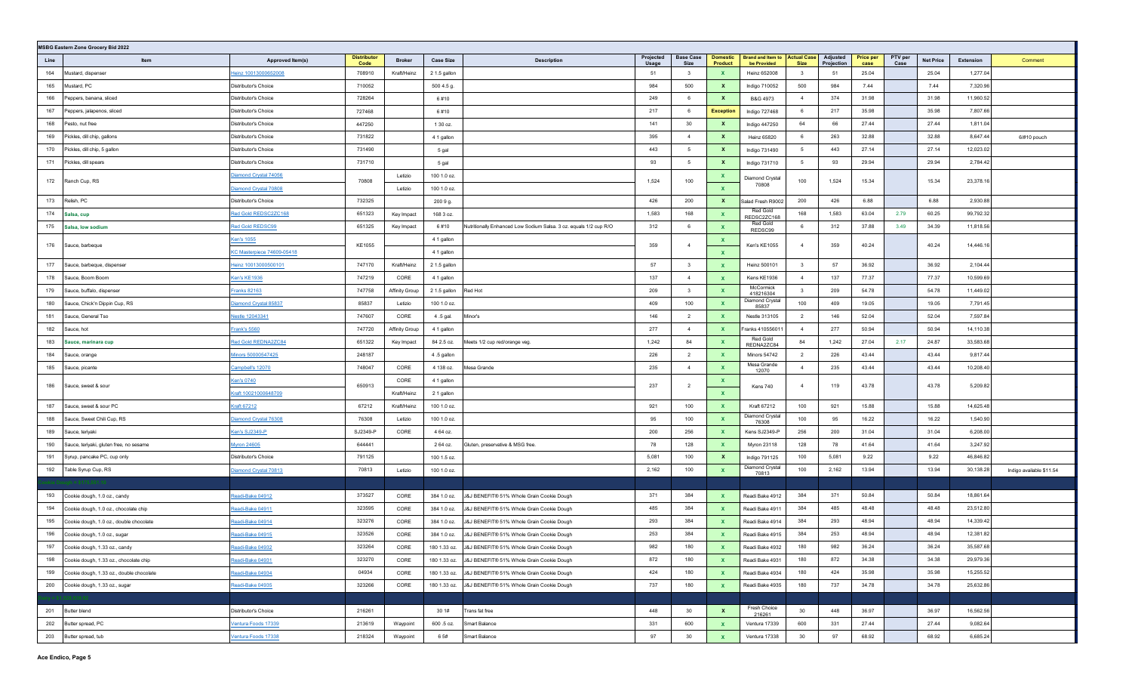|      | <b>MSBG Eastern Zone Grocery Bid 2022</b> |                             |                            |                |                  |                                                                   |                    |                          |                                   |                                                     |                 |                        |                          |                 |                  |           |                          |
|------|-------------------------------------------|-----------------------------|----------------------------|----------------|------------------|-------------------------------------------------------------------|--------------------|--------------------------|-----------------------------------|-----------------------------------------------------|-----------------|------------------------|--------------------------|-----------------|------------------|-----------|--------------------------|
| Line | Item                                      | Approved Item(s)            | <b>Distributor</b><br>Code | <b>Broker</b>  | <b>Case Size</b> | <b>Description</b>                                                | Projected<br>Usage | <b>Base Case</b><br>Size | <b>Domestic</b><br><b>Product</b> | <b>Brand and Item to Actual Case</b><br>be Provided | <b>Size</b>     | Adjusted<br>Projection | <b>Price per</b><br>case | PTV per<br>Case | <b>Net Price</b> | Extension | Comment                  |
| 164  | Mustard, dispenser                        | <u>Heinz 10013000652008</u> | 708910                     | Kraft/Heinz    | 2 1.5 gallon     |                                                                   | 51                 | $\mathbf{3}$             | $\mathbf{x}$                      | Heinz 652008                                        | $\mathbf{3}$    | 51                     | 25.04                    |                 | 25.04            | 1,277.04  |                          |
| 165  | Mustard, PC                               | Distributor's Choice        | 710052                     |                | 500 4.5 g.       |                                                                   | 984                | 500                      | $\mathbf{x}$                      | Indigo 710052                                       | 500             | 984                    | 7.44                     |                 | 7.44             | 7,320.96  |                          |
| 166  | Peppers, banana, sliced                   | Distributor's Choice        | 728264                     |                | 6#10             |                                                                   | 249                | 6                        | $\mathbf{x}$                      | B&G 4973                                            | 4               | 374                    | 31.98                    |                 | 31.98            | 11,960.52 |                          |
| 167  | Peppers, jalapenos, sliced                | Distributor's Choice        | 727468                     |                | 6#10             |                                                                   | 217                | 6                        | <b>Exception</b>                  | Indigo 727468                                       | 6               | 217                    | 35.98                    |                 | 35.98            | 7,807.66  |                          |
| 168  | Pesto, nut free                           | Distributor's Choice        | 447250                     |                | 1 30 oz.         |                                                                   | 141                | 30                       | $\mathbf{x}$                      | Indigo 447250                                       | 64              | 66                     | 27.44                    |                 | 27.44            | 1,811.04  |                          |
| 169  | Pickles, dill chip, gallons               | Distributor's Choice        | 731822                     |                | 4 1 gallon       |                                                                   | 395                | $\overline{4}$           | $\mathbf{x}$                      | <b>Heinz 65820</b>                                  | 6               | 263                    | 32.88                    |                 | 32.88            | 8,647.44  | 6/#10 pouch              |
| 170  | Pickles, dill chip, 5 gallon              | Distributor's Choice        | 731490                     |                | 5 gal            |                                                                   | 443                | 5                        | $\mathbf{x}$                      | Indigo 731490                                       | 5               | 443                    | 27.14                    |                 | 27.14            | 12,023.02 |                          |
| 171  | Pickles, dill spears                      | Distributor's Choice        | 731710                     |                | 5 gal            |                                                                   | 93                 | $5\overline{5}$          | $\mathbf{x}$                      | Indigo 731710                                       | $5\overline{)}$ | 93                     | 29.94                    |                 | 29.94            | 2,784.42  |                          |
| 172  | Ranch Cup, RS                             | Diamond Crystal 74056       | 70808                      | Letizio        | 100 1.0 oz.      |                                                                   | 1,524              | 100                      | $\mathbf{x}$                      | Diamond Crystal                                     | 100             | 1,524                  | 15.34                    |                 | 15.34            | 23,378.16 |                          |
|      |                                           | Diamond Crystal 70808       |                            | Letizio        | 100 1.0 oz.      |                                                                   |                    |                          | $\mathbf{x}$                      | 70808                                               |                 |                        |                          |                 |                  |           |                          |
| 173  | Relish, PC                                | Distributor's Choice        | 732325                     |                | 200 9 g.         |                                                                   | 426                | 200                      | $\mathbf{x}$                      | Salad Fresh R9002                                   | 200             | 426                    | 6.88                     |                 | 6.88             | 2,930.88  |                          |
| 174  | Salsa, cup                                | Red Gold REDSC2ZC168        | 651323                     | Key Impact     | 168 3 oz.        |                                                                   | 1,583              | 168                      | $\mathbf{x}$                      | Red Gold<br>REDSC2ZC168                             | 168             | 1,583                  | 63.04                    | 2.79            | 60.25            | 99,792.32 |                          |
| 175  | Salsa, low sodium                         | Red Gold REDSC99            | 651325                     | Key Impact     | 6#10             | Nutritionally Enhanced Low Sodium Salsa. 3 oz. equals 1/2 cup R/O | 312                | 6                        | $\mathbf{x}$                      | Red Gold<br>REDSC99                                 | 6               | 312                    | 37.88                    | 3.49            | 34.39            | 11,818.56 |                          |
| 176  | Sauce, barbeque                           | <b>Ken's 1055</b>           | KE1055                     |                | 4 1 gallon       |                                                                   | 359                | $\overline{4}$           | $\mathbf{x}$                      | Ken's KE1055                                        | $\overline{4}$  | 359                    | 40.24                    |                 | 40.24            | 14,446.16 |                          |
|      |                                           | KC Masterpiece 74609-05418  |                            |                | 4 1 gallon       |                                                                   |                    |                          | $\mathbf{x}$                      |                                                     |                 |                        |                          |                 |                  |           |                          |
| 177  | Sauce, barbeque, dispenser                | Heinz 10013000500101        | 747170                     | Kraft/Heinz    | 2 1.5 gallon     |                                                                   | 57                 | $\mathbf{3}$             | $\mathbf{x}$                      | Heinz 500101                                        | 3 <sup>1</sup>  | 57                     | 36.92                    |                 | 36.92            | 2,104.44  |                          |
| 178  | Sauce, Boom Boom                          | Ken's KE1936                | 747219                     | CORE           | 4 1 gallon       |                                                                   | 137                | $\overline{4}$           | $\mathbf{x}$                      | Kens KE1936                                         | $\overline{4}$  | 137                    | 77.37                    |                 | 77.37            | 10,599.69 |                          |
| 179  | Sauce, buffalo, dispenser                 | Franks 82163                | 747758                     | Affinity Group | 2 1.5 gallon     | Red Hot                                                           | 209                | $\overline{\mathbf{3}}$  | $\mathbf{x}$                      | McCormick<br>418216304                              | $\mathbf{3}$    | 209                    | 54.78                    |                 | 54.78            | 11,449.02 |                          |
| 180  | Sauce, Chick'n Dippin Cup, RS             | Diamond Crystal 85837       | 85837                      | Letizio        | 100 1.0 oz.      |                                                                   | 409                | 100                      | $\mathbf{x}$                      | Diamond Crystal<br>85837                            | 100             | 409                    | 19.05                    |                 | 19.05            | 7,791.45  |                          |
| 181  | Sauce, General Tso                        | lestle 12043341             | 747607                     | CORE           | 4.5 gal.         | Minor's                                                           | 146                | $\overline{2}$           | $\mathbf{x}$                      | Nestle 313105                                       | $\overline{2}$  | 146                    | 52.04                    |                 | 52.04            | 7,597.84  |                          |
| 182  | Sauce, hot                                | Frank's 5560                | 747720                     | Affinity Group | 4 1 gallon       |                                                                   | 277                | $\overline{4}$           | $\mathbf{x}$                      | Franks 410556011                                    | $\overline{4}$  | 277                    | 50.94                    |                 | 50.94            | 14,110.38 |                          |
| 183  | Sauce, marinara cup                       | Red Gold REDNA2ZC84         | 651322                     | Key Impact     | 84 2.5 oz.       | Meets 1/2 cup red/orange veg.                                     | 1,242              | 84                       | $\mathbf{x}$                      | Red Gold<br>REDNA2ZC84                              | 84              | 1,242                  | 27.04                    | 2.17            | 24.87            | 33,583.68 |                          |
| 184  | Sauce, orange                             | Minors 50000547425          | 248187                     |                | 4.5 gallon       |                                                                   | 226                | $\overline{2}$           | $\mathbf{x}$                      | <b>Minors 54742</b>                                 | $\overline{2}$  | 226                    | 43.44                    |                 | 43.44            | 9,817.44  |                          |
| 185  | Sauce, picante                            | Campbell's 12070            | 748047                     | CORE           | 4 138 oz.        | Mesa Grande                                                       | 235                | $\overline{4}$           | $\mathbf{x}$                      | Mesa Grande<br>12070                                | 4               | 235                    | 43.44                    |                 | 43.44            | 10,208.40 |                          |
| 186  | Sauce, sweet & sour                       | <b>Ken's 0740</b>           | 650913                     | CORE           | 4 1 gallon       |                                                                   | 237                | $\overline{2}$           | $\mathbf{x}$                      | Kens 740                                            | $\overline{4}$  | 119                    | 43.78                    |                 | 43.78            | 5,209.82  |                          |
|      |                                           | Kraft 10021000648709        |                            | Kraft/Heinz    | 2 1 gallon       |                                                                   |                    |                          | $\mathbf{x}$                      |                                                     |                 |                        |                          |                 |                  |           |                          |
| 187  | Sauce, sweet & sour PC                    | <b>Kraft 67212</b>          | 67212                      | Kraft/Heinz    | 100 1.0 oz.      |                                                                   | 921                | 100                      | $\mathbf{x}$                      | Kraft 67212                                         | 100             | 921                    | 15.88                    |                 | 15.88            | 14,625.48 |                          |
| 188  | Sauce, Sweet Chili Cup, RS                | Diamond Crystal 76308       | 76308                      | Letizio        | 100 1.0 oz.      |                                                                   | 95                 | 100                      | $\mathbf{x}$                      | Diamond Crystal<br>76308                            | 100             | 95                     | 16.22                    |                 | 16.22            | 1,540.90  |                          |
| 189  | Sauce, terivaki                           | Ken's SJ2349-P              | SJ2349-P                   | CORE           | 4 64 oz.         |                                                                   | 200                | 256                      | $\mathbf{x}$                      | Kens SJ2349-P                                       | 256             | 200                    | 31.04                    |                 | 31.04            | 6,208.00  |                          |
| 190  | Sauce, teriyaki, gluten free, no sesame   | Myron 24605                 | 644441                     |                | 2 64 oz.         | Gluten, preservative & MSG free                                   | 78                 | 128                      | $\mathbf{x}$                      | Myron 23118                                         | 128             | 78                     | 41.64                    |                 | 41.64            | 3,247.92  |                          |
| 191  | Syrup, pancake PC, cup only               | Distributor's Choice        | 791125                     |                | 100 1.5 oz.      |                                                                   | 5,081              | 100                      | $\mathbf{x}$                      | Indigo 791125                                       | 100             | 5,081                  | 9.22                     |                 | 9.22             | 46,846.82 |                          |
| 192  | Table Syrup Cup, RS                       | Diamond Crystal 70813       | 70813                      | Letizio        | 100 1.0 oz.      |                                                                   | 2,162              | 100                      | $\mathbf{x}$                      | Diamond Crystal<br>70813                            | 100             | 2,162                  | 13.94                    |                 | 13.94            | 30,138.28 | Indigo available \$11.54 |
|      |                                           |                             |                            |                |                  |                                                                   |                    |                          |                                   |                                                     |                 |                        |                          |                 |                  |           |                          |
| 193  | Cookie dough, 1.0 oz., candy              | Readi-Bake 04912            | 373527                     | CORE           | 384 1.0 oz.      | J&J BENEFIT® 51% Whole Grain Cookie Dough                         | 371                | 384                      | $\mathbf{x}$                      | Readi Bake 4912                                     | 384             | 371                    | 50.84                    |                 | 50.84            | 18,861.64 |                          |
| 194  | Cookie dough, 1.0 oz., chocolate chip     | Readi-Bake 04911            | 323595                     | CORE           | 384 1.0 oz.      | J&J BENEFIT® 51% Whole Grain Cookie Dough                         | 485                | 384                      | $\mathbf{x}$                      | Readi Bake 4911                                     | 384             | 485                    | 48.48                    |                 | 48.48            | 23,512.80 |                          |
| 195  | Cookie dough, 1.0 oz., double chocolate   | Readi-Bake 04914            | 323276                     | CORE           | 384 1.0 oz.      | J&J BENEFIT® 51% Whole Grain Cookie Dough                         | 293                | 384                      | $\mathbf{x}$                      | Readi Bake 4914                                     | 384             | 293                    | 48.94                    |                 | 48.94            | 14,339.42 |                          |
| 196  | Cookie dough, 1.0 oz., sugar              | Readi-Bake 04915            | 323526                     | CORE           | 384 1.0 oz.      | J&J BENEFIT® 51% Whole Grain Cookie Dough                         | 253                | 384                      | $\mathbf{x}$                      | Readi Bake 4915                                     | 384             | 253                    | 48.94                    |                 | 48.94            | 12,381.82 |                          |
| 197  | Cookie dough, 1.33 oz., candy             | Readi-Bake 04932            | 323264                     | CORE           | 180 1.33 oz.     | J&J BENEFIT® 51% Whole Grain Cookie Dough                         | 982                | 180                      | X                                 | Readi Bake 4932                                     | 180             | 982                    | 36.24                    |                 | 36.24            | 35,587.68 |                          |
| 198  | Cookie dough, 1.33 oz., chocolate chip    | Readi-Bake 04931            | 323270                     | CORE           |                  | 180 1.33 oz. J&J BENEFIT® 51% Whole Grain Cookie Dough            | 872                | 180                      | $\mathbf{x}$                      | Readi Bake 4931                                     | 180             | 872                    | 34.38                    |                 | 34.38            | 29,979.36 |                          |
| 199  | Cookie dough, 1.33 oz., double chocolate  | Readi-Bake 04934            | 04934                      | CORE           | 180 1.33 oz.     | J&J BENEFIT® 51% Whole Grain Cookie Dough                         | 424                | 180                      | $\mathbf{x}$                      | Readi Bake 4934                                     | 180             | 424                    | 35.98                    |                 | 35.98            | 15,255.52 |                          |
| 200  | Cookie dough, 1.33 oz., sugar             | Readi-Bake 04935            | 323266                     | CORE           | 180 1.33 oz.     | J&J BENEFIT® 51% Whole Grain Cookie Dough                         | 737                | 180                      | $\mathbf{x}$                      | Readi Bake 4935                                     | 180             | 737                    | 34.78                    |                 | 34.78            | 25,632.86 |                          |
|      |                                           |                             |                            |                |                  |                                                                   |                    |                          |                                   | Fresh Choice                                        |                 |                        |                          |                 |                  |           |                          |
| 201  | Butter blend                              | Distributor's Choice        | 216261                     |                | 30 1#            | Trans fat free                                                    | 448                | 30                       | $\mathbf{x}$                      | 216261                                              | 30              | 448                    | 36.97                    |                 | 36.97            | 16,562.56 |                          |
| 202  | Butter spread, PC                         | Ventura Foods 17339         | 213619                     | Waypoint       | 600 .5 oz.       | Smart Balance                                                     | 331                | 600                      | $\mathbf{x}$                      | Ventura 17339                                       | 600             | 331                    | 27.44                    |                 | 27.44            | 9,082.64  |                          |
| 203  | Butter spread, tub                        | Ventura Foods 17338         | 218324                     | Waypoint       | 6 5#             | Smart Balance                                                     | 97                 | 30                       | $\mathbf{x}$                      | Ventura 17338                                       | 30              | 97                     | 68.92                    |                 | 68.92            | 6,685.24  |                          |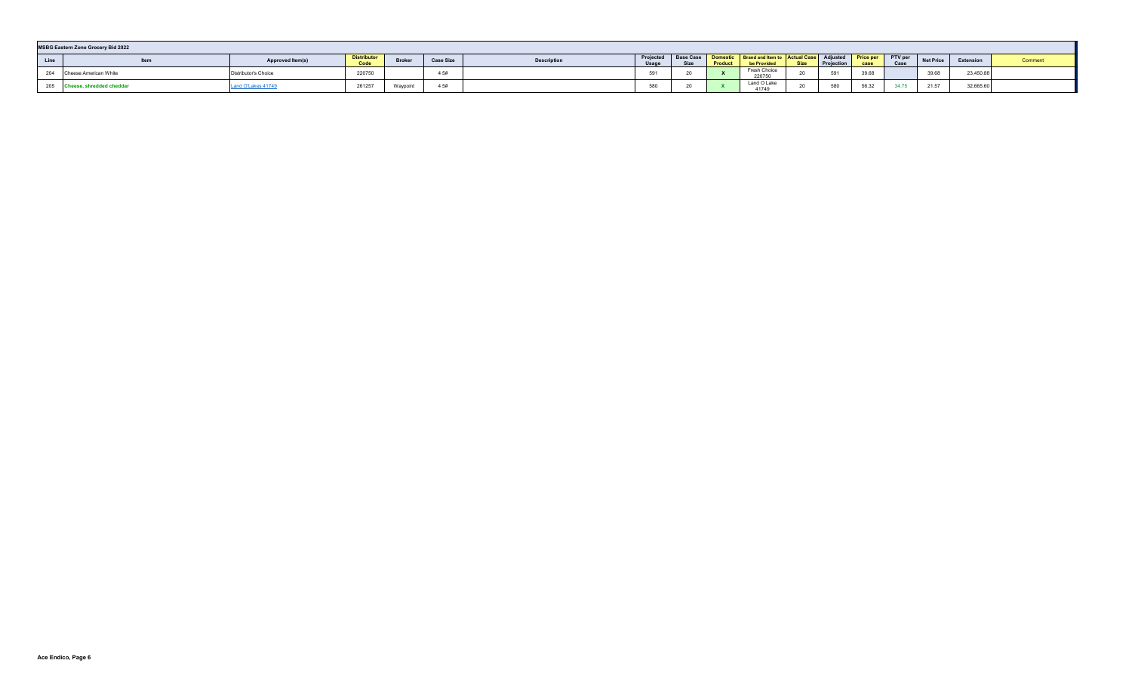|      | <b>MSBG Eastern Zone Grocery Bid 2022</b> |                         |                            |          |                  |                    |                    |                                                   |                |                                                                      |             |            |                          |                   |                  |           |        |
|------|-------------------------------------------|-------------------------|----------------------------|----------|------------------|--------------------|--------------------|---------------------------------------------------|----------------|----------------------------------------------------------------------|-------------|------------|--------------------------|-------------------|------------------|-----------|--------|
| Line | Item                                      | <b>Approved Item(s)</b> | <b>Distributor</b><br>Code | Broker   | <b>Case Size</b> | <b>Description</b> | Projected<br>Usage | <b>Base Case</b><br>C <sub>1</sub><br><b>OILG</b> | <b>Product</b> | Domestic   Brand and Item to   Actual Case   Adjusted<br>be Provided | <b>Size</b> | Projection | <b>Price per</b><br>nase | PTV per<br>Case   | <b>Net Price</b> | Extension | Commen |
|      | 204 Cheese American White                 | Distributor's Choice    | 220750                     |          | 4 5#             |                    | 501<br>ບອ          | - ZU                                              |                | Fresh Choice<br>220750                                               | $\sim$      | 501        | 39.68                    |                   | 39.68            | 23,450.88 |        |
|      | 205 Cheese, shredded cheddar              | Land O'Lakes 41749      | 261257                     | Waypoint | 4 5#             |                    | 580                | -                                                 |                | Land O Lake<br>41749                                                 | $\sim$      | 580        | 56.32                    | 34.7 <sup>F</sup> | 21.57            | 32,665.60 |        |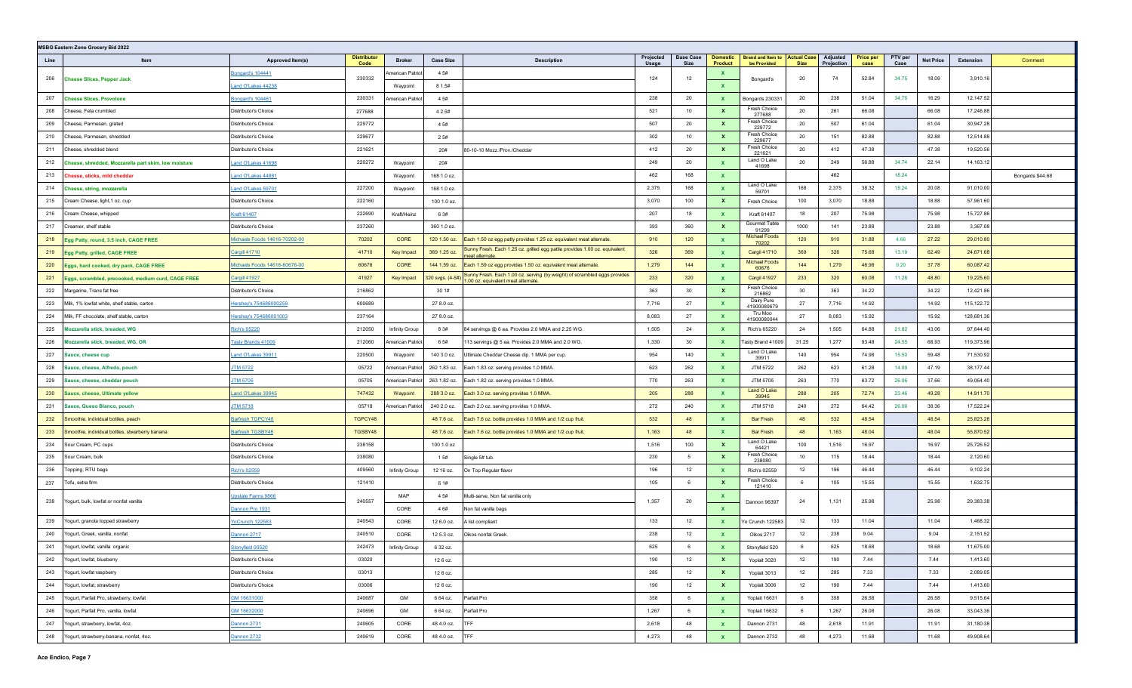|      | <b>MSBG Eastern Zone Grocery Bid 2022</b>            |                               |                            |                   |                  |                                                                                                                 |                    |                          |                            |                                         |                                   |                        |                          |                 |                  |            |                  |
|------|------------------------------------------------------|-------------------------------|----------------------------|-------------------|------------------|-----------------------------------------------------------------------------------------------------------------|--------------------|--------------------------|----------------------------|-----------------------------------------|-----------------------------------|------------------------|--------------------------|-----------------|------------------|------------|------------------|
| Line | Item                                                 | Approved Item(s)              | <b>Distributor</b><br>Code | <b>Broker</b>     | <b>Case Size</b> | <b>Description</b>                                                                                              | Projected<br>Usage | <b>Base Case</b><br>Size | <b>Domestic</b><br>Product | <b>Brand and Item to</b><br>be Provided | <b>Actual Case</b><br><b>Size</b> | Adjusted<br>Projection | <b>Price per</b><br>case | PTV per<br>Case | <b>Net Price</b> | Extension  | Comment          |
| 206  | <b>Cheese Slices, Pepper Jack</b>                    | <b>Bongard's 104441</b>       | 230332                     | American Patriot  | 4 5#             |                                                                                                                 | 124                | 12                       | $\mathbf{x}$               | Bongard's                               | 20                                | 74                     | 52.84                    | 34.75           | 18.09            | 3,910.16   |                  |
|      |                                                      | and O'Lakes 44238             |                            | Waypoint          | 8 1.5#           |                                                                                                                 |                    |                          | $\mathbf{x}$               |                                         |                                   |                        |                          |                 |                  |            |                  |
| 207  | <b>Cheese Slices, Provolone</b>                      | ongard's 104461               | 230331                     | American Patriot  | 4 5#             |                                                                                                                 | 238                | 20                       | $\mathbf{x}$               | Bongards 230331                         | 20                                | 238                    | 51.04                    | 34.75           | 16.29            | 12,147.52  |                  |
| 208  | Cheese, Feta crumbled                                | Distributor's Choice          | 277688                     |                   | 4 2.5#           |                                                                                                                 | 521                | 10                       | $\mathbf{x}$               | Fresh Choice<br>277688                  | 20                                | 261                    | 66.08                    |                 | 66.08            | 17,246.88  |                  |
| 209  | Cheese, Parmesan, grated                             | Distributor's Choice          | 229772                     |                   | 4 5#             |                                                                                                                 | 507                | 20                       | $\mathbf{x}$               | Fresh Choice<br>229772                  | 20                                | 507                    | 61.04                    |                 | 61.04            | 30,947.28  |                  |
| 210  | Cheese, Parmesan, shredded                           | Distributor's Choice          | 229677                     |                   | 2 5#             |                                                                                                                 | 302                | 10                       | $\mathbf{x}$               | <b>Fresh Choice</b><br>229677           | 20                                | 151                    | 82.88                    |                 | 82.88            | 12,514.88  |                  |
| 211  | Cheese, shredded blend                               | Distributor's Choice          | 221621                     |                   | 20#              | 80-10-10 Mozz./Prov./Cheddar                                                                                    | 412                | 20                       | $\mathbf{x}$               | Fresh Choice<br>221621                  | 20                                | 412                    | 47.38                    |                 | 47.38            | 19,520.56  |                  |
| 212  | Cheese, shredded, Mozzarella part skim, low moisture | and O'Lakes 41698             | 220272                     | Waypoint          | 20#              |                                                                                                                 | 249                | 20                       | $\mathbf{x}$               | Land O Lake<br>41698                    | 20                                | 249                    | 56.88                    | 34.74           | 22.14            | 14,163.12  |                  |
| 213  | Cheese, sticks, mild cheddar                         | and O'Lakes 44881             |                            | Waypoint          | 168 1.0 oz.      |                                                                                                                 | 462                | 168                      | $\mathbf{x}$               |                                         |                                   | 462                    |                          | 18.24           |                  |            | Bongards \$44.68 |
| 214  | Cheese, string, mozzarella                           | and O'Lakes 59701             | 227200                     | Waypoint          | 168 1.0 oz.      |                                                                                                                 | 2,375              | 168                      | $\mathbf{x}$               | Land O Lake<br>59701                    | 168                               | 2,375                  | 38.32                    | 18.24           | 20.08            | 91,010.00  |                  |
| 215  | Cream Cheese, light, 1 oz. cup                       | Distributor's Choice          | 222160                     |                   | 100 1.0 oz.      |                                                                                                                 | 3,070              | 100                      | $\mathbf{x}$               | Fresh Choice                            | 100                               | 3,070                  | 18.88                    |                 | 18.88            | 57,961.60  |                  |
| 216  | Cream Cheese, whipped                                | Craft 61407                   | 222690                     | Kraft/Heinz       | 6 3#             |                                                                                                                 | 207                | 18                       | $\mathbf{x}$               | Kraft 61407                             | 18                                | 207                    | 75.98                    |                 | 75.98            | 15,727.86  |                  |
| 217  | Creamer, shelf stable                                | Distributor's Choice          | 237260                     |                   | 360 1.0 oz.      |                                                                                                                 | 393                | 360                      | $\mathbf{x}$               | Gourmet Table<br>91299                  | 1000                              | 141                    | 23.88                    |                 | 23.88            | 3,367.08   |                  |
| 218  | Egg Patty, round, 3.5 inch, CAGE FREE                | Michaels Foods 14616-70202-00 | 70202                      | CORE              | 120 1.50 oz.     | Each 1.50 oz egg patty provides 1.25 oz. equivalent meat alternate.                                             | 910                | 120                      | $\mathbf{x}$               | Michael Foods<br>70202                  | 120                               | 910                    | 31.88                    | 4.66            | 27.22            | 29,010.80  |                  |
| 219  | Egg Patty, grilled, CAGE FREE                        | <b>Cargill 41710</b>          | 41710                      | <b>Key Impact</b> | 369 1.25 oz.     | Sunny Fresh. Each 1.25 oz. grilled egg pattie provides 1.00 oz. equivalent<br>meat alternate                    | 326                | 369                      | $\mathbf{x}$               | <b>Cargil 41710</b>                     | 369                               | 326                    | 75.68                    | 13.19           | 62.49            | 24,671.68  |                  |
| 220  | Eggs, hard cooked, dry pack, CAGE FREE               | Michaels Foods 14616-60676-00 | 60676                      | CORE              | 144 1.59 oz.     | Each 1.59 oz egg provides 1.50 oz. equivalent meat alternate                                                    | 1,279              | 144                      | $\mathbf{x}$               | <b>Michael Foods</b><br>60676           | 144                               | 1,279                  | 46.98                    | 9.20            | 37.78            | 60,087.42  |                  |
| 221  | Eggs, scrambled, precooked, medium curd, CAGE FREE   | Cargill 41927                 | 41927                      | Key Impact        | 320 svgs. (4-5#  | Sunny Fresh. Each 1.00 oz. serving (by weight) of scrambled eggs provides<br>.00 oz. equivalent meat alternate. | 233                | 320                      | $\mathbf{x}$               | Cargil 41927                            | 233                               | 320                    | 60.08                    | 11.28           | 48.80            | 19,225.60  |                  |
| 222  | Margarine, Trans fat free                            | Distributor's Choice          | 216862                     |                   | 30 1#            |                                                                                                                 | 363                | 30                       | $\mathbf{x}$               | Fresh Choice<br>216862                  | 30                                | 363                    | 34.22                    |                 | 34.22            | 12,421.86  |                  |
| 223  | Milk, 1% lowfat white, shelf stable, carton          | lershey's 754686000259        | 600689                     |                   | 27 8.0 oz.       |                                                                                                                 | 7,716              | 27                       | $\mathbf{x}$               | Dairy Pure<br>41900080679               | 27                                | 7,716                  | 14.92                    |                 | 14.92            | 115,122.72 |                  |
| 224  | Milk, FF chocolate, shelf stable, carton             | lershey's 754686001003        | 237164                     |                   | 27 8.0 oz.       |                                                                                                                 | 8,083              | 27                       | $\mathbf{x}$               | Tru Moo<br>41900080044                  | 27                                | 8,083                  | 15.92                    |                 | 15.92            | 128,681.36 |                  |
| 225  | Mozzarella stick, breaded, WG                        | <b>Rich's 65220</b>           | 212050                     | Infinity Group    | 8 3#             | 84 servimgs @ 6 ea. Provides 2.0 MMA and 2.25 WG.                                                               | 1,505              | 24                       | $\mathbf{x}$               | Rich's 65220                            | 24                                | 1,505                  | 64.88                    | 21.82           | 43.06            | 97,644.40  |                  |
| 226  | Mozzarella stick, breaded, WG, OR                    | <b>Tasty Brands 41009</b>     | 212060                     | American Patriot  | 6 5#             | 113 servings @ 5 ea. Provides 2.0 MMA and 2.0 WG.                                                               | 1,330              | 30                       | $\mathbf{x}$               | Tasty Brand 41009                       | 31.25                             | 1,277                  | 93.48                    | 24.55           | 68.93            | 119,373.96 |                  |
| 227  | Sauce, cheese cup                                    | and O'Lakes 39911             | 220500                     | Waypoint          | 140 3.0 oz.      | Ultimate Cheddar Cheese dip. 1 MMA per cup.                                                                     | 954                | 140                      | $\mathbf{x}$               | Land O Lake<br>39911                    | 140                               | 954                    | 74.98                    | 15.50           | 59.48            | 71,530.92  |                  |
| 228  | Sauce, cheese, Alfredo, pouch                        | <b>JTM 5722</b>               | 05722                      | American Patriot  | 262 1.83 oz.     | Each 1.83 oz. serving provides 1.0 MMA.                                                                         | 623                | 262                      | $\mathbf{x}$               | JTM 5722                                | 262                               | 623                    | 61.28                    | 14.09           | 47.19            | 38,177.44  |                  |
| 229  | Sauce, cheese, cheddar pouch                         | <b>JTM 5705</b>               | 05705                      | American Patriot  | 263 1.82 oz.     | Each 1.82 oz. serving provides 1.0 MMA.                                                                         | 770                | 263                      | $\mathbf{x}$               | JTM 5705                                | 263                               | 770                    | 63.72                    | 26.06           | 37.66            | 49,064.40  |                  |
| 230  | Sauce, cheese, Ultimate yellow                       | and O'Lakes 39945             | 747432                     | Waypoint          | 288 3.0 oz.      | Each 3.0 oz. serving provides 1.0 MMA.                                                                          | 205                | 288                      | $\mathbf{x}$               | Land O Lake<br>39945                    | 288                               | 205                    | 72.74                    | 23.46           | 49.28            | 14,911.70  |                  |
| 231  | Sauce, Queso Blanco, pouch                           | <b>JTM 5718</b>               | 05718                      | American Patriot  | 240 2.0 oz.      | Each 2.0 oz. serving provides 1.0 MMA.                                                                          | 272                | 240                      | $\mathbf{x}$               | JTM 5718                                | 240                               | 272                    | 64.42                    | 26.06           | 38.36            | 17,522.24  |                  |
| 232  | Smoothie, individual bottles, peach                  | Barfresh TGPCY48              | TGPCY48                    |                   | 48 7.6 oz.       | Each 7.6 oz. bottle provides 1.0 MMA and 1/2 cup fruit.                                                         | 532                | 48                       | $\mathbf{x}$               | <b>Bar Fresh</b>                        | 48                                | 532                    | 48.54                    |                 | 48.54            | 25,823.28  |                  |
| 233  | Smoothie, individual bottles, stwarberry banana      | <b>Barfresh TGSBY48</b>       | TGSBY48                    |                   | 48 7.6 oz.       | Each 7.6 oz. bottle provides 1.0 MMA and 1/2 cup fruit.                                                         | 1,163              | 48                       | $\mathbf{x}$               | <b>Bar Fresh</b>                        | 48                                | 1,163                  | 48.04                    |                 | 48.04            | 55,870.52  |                  |
| 234  | Sour Cream, PC cups                                  | Distributor's Choice          | 238158                     |                   | 100 1.0 oz       |                                                                                                                 | 1,516              | 100                      | $\mathbf{x}$               | Land O Lake<br>64421                    | 100                               | 1,516                  | 16.97                    |                 | 16.97            | 25,726.52  |                  |
| 235  | Sour Cream, bulk                                     | Distributor's Choice          | 238080                     |                   | 1 5#             | Single 5# tub.                                                                                                  | 230                | 5                        | $\mathbf{x}$               | Fresh Choice<br>238080                  | 10 <sup>1</sup>                   | 115                    | 18.44                    |                 | 18.44            | 2,120.60   |                  |
| 236  | Topping, RTU bags                                    | Rich's 02559                  | 409560                     | Infinity Group    | 12 16 oz.        | On Top Regular flavor                                                                                           | 196                | 12                       | $\mathbf{x}$               | Rich's 02559                            | 12                                | 196                    | 46.44                    |                 | 46.44            | 9,102.24   |                  |
| 237  | Tofu, extra firm                                     | Distributor's Choice          | 121410                     |                   | 6 1#             |                                                                                                                 | 105                | 6                        | $\mathbf{x}$               | Fresh Choice<br>121410                  | 6                                 | 105                    | 15.55                    |                 | 15.55            | 1,632.75   |                  |
| 238  | Yogurt, bulk, lowfat or nonfat vanilla               | Jpstate Farms 9866            | 240557                     | MAP               | 4 5#             | Multi-serve, Non fat vanilla only                                                                               | 1,357              | 20                       | $\mathbf{x}$               | Dannon 96397                            | 24                                | 1,131                  | 25.98                    |                 | 25.98            | 29,383.38  |                  |
|      |                                                      | Jannon Pro 1931               |                            | CORE              | 4 6#             | Non fat vanilla bags                                                                                            |                    |                          | $\mathbf{x}$               |                                         |                                   |                        |                          |                 |                  |            |                  |
| 239  | Yogurt, granola topped strawberry                    | YoCrunch 122583               | 240543                     | CORE              | 12 6.0 oz.       | A list compliant                                                                                                | 133                | 12                       | $\mathbf{x}$               | Yo Crunch 122583                        | 12                                | 133                    | 11.04                    |                 | 11.04            | 1,468.32   |                  |
| 240  | Yogurt, Greek, vanilla, nonfat                       | Jannon 2717                   | 240510                     | CORE              | 12 5.3 oz.       | Oikos nonfat Greek.                                                                                             | 238                | 12                       | $\mathbf{x}$               | Oikos 2717                              | 12                                | 238                    | 9.04                     |                 | 9.04             | 2,151.52   |                  |
|      | 241 Yogurt, lowfat, vanilla organic                  | Stonyfield 00520              | 242473                     | Infinity Group    | 6 32 oz.         |                                                                                                                 | 625                | 6                        |                            | Stonyfield 520                          | - 6                               | 625                    | 18.68                    |                 | 18.68            | 11,675.00  |                  |
|      | 242 Yogurt, lowfat, blueberry                        | Distributor's Choice          | 03020                      |                   | 12 6 oz.         |                                                                                                                 | 190                | 12                       | $\mathbf{x}$               | Yoplait 3020                            | 12                                | 190                    | 7.44                     |                 | 7.44             | 1,413.60   |                  |
| 243  | Yogurt, lowfat raspberry                             | Distributor's Choice          | 03013                      |                   | 126 oz.          |                                                                                                                 | 285                | 12                       | $\mathbf{x}$               | Yoplait 3013                            | 12                                | 285                    | 7.33                     |                 | 7.33             | 2,089.05   |                  |
| 244  | Yogurt, lowfat, strawberry                           | Distributor's Choice          | 03006                      |                   | 126 oz.          |                                                                                                                 | 190                | 12                       | $\mathbf{x}$               | Yoplait 3006                            | 12                                | 190                    | 7.44                     |                 | 7.44             | 1,413.60   |                  |
|      | 245 Yogurt, Parfait Pro, strawberry, lowfat          | GM 16631000                   | 240687                     | GM                | 6 64 oz.         | Parfait Pro                                                                                                     | 358                | 6                        | $\mathbf{x}$               | Yoplait 16631                           | 6                                 | 358                    | 26.58                    |                 | 26.58            | 9,515.64   |                  |
| 246  | Yogurt, Parfait Pro, vanilla, lowfat                 | GM 16632000                   | 240696                     | GM                | 6 64 oz.         | Parfait Pro                                                                                                     | 1,267              | 6                        | $\mathbf{x}$               | Yoplait 16632                           | 6                                 | 1,267                  | 26.08                    |                 | 26.08            | 33,043.36  |                  |
| 247  | Yogurt, strawberry, lowfat, 4oz.                     | Jannon 2731                   | 240605                     | CORE              | 48 4.0 oz.       | TFF                                                                                                             | 2,618              | 48                       | $\mathbf{x}$               | Dannon 2731                             | 48                                | 2,618                  | 11.91                    |                 | 11.91            | 31,180.38  |                  |
|      | 248 Yogurt, strawberry-banana, nonfat, 4oz.          | Dannon 2732                   | 240619                     | CORE              | 48 4.0 oz.       | TFF                                                                                                             | 4,273              | 48                       | $\mathbf{x}$               | Dannon 2732                             | 48                                | 4,273                  | 11.68                    |                 | 11.68            | 49,908.64  |                  |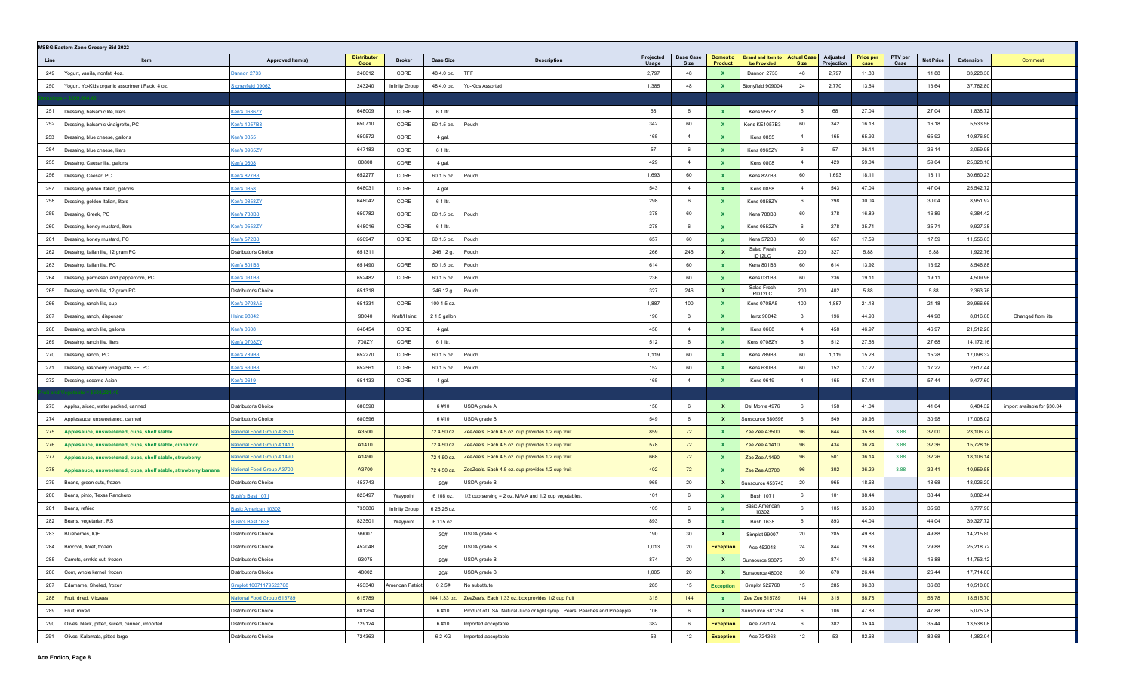|            | MSBG Eastern Zone Grocery Bid 2022                             |                                              |                            |                  |                  |                                                                             |                    |                                 |                              |                                                |                |                        |                          |                 |                  |                        |                              |
|------------|----------------------------------------------------------------|----------------------------------------------|----------------------------|------------------|------------------|-----------------------------------------------------------------------------|--------------------|---------------------------------|------------------------------|------------------------------------------------|----------------|------------------------|--------------------------|-----------------|------------------|------------------------|------------------------------|
| Line       | Item                                                           | Approved Item(s)                             | <b>Distributor</b><br>Code | <b>Broker</b>    | <b>Case Size</b> | <b>Description</b>                                                          | Projected<br>Usage | <b>Base Case</b><br><b>Size</b> | Domestic<br>Product          | Brand and Item to   Actual Case<br>be Provided | <b>Size</b>    | Adjusted<br>Projection | <b>Price per</b><br>case | PTV per<br>Case | <b>Net Price</b> | Extension              | Comment                      |
| 249        | Yogurt, vanilla, nonfat, 4oz.                                  | Dannon 2733                                  | 240612                     | CORE             | 48 4.0 oz.       | TFF                                                                         | 2,797              | 48                              | $\mathbf{x}$                 | Dannon 2733                                    | 48             | 2,797                  | 11.88                    |                 | 11.88            | 33,228.36              |                              |
| 250        | Yogurt, Yo-Kids organic assortment Pack, 4 oz.                 | <b>Stoneyfield 09062</b>                     | 243240                     | Infinity Group   | 48 4.0 oz.       | Yo-Kids Assorted                                                            | 1,385              | 48                              | $\mathbf{x}$                 | Stonyfield 909004                              | 24             | 2,770                  | 13.64                    |                 | 13.64            | 37,782.80              |                              |
|            |                                                                |                                              |                            |                  |                  |                                                                             |                    |                                 |                              |                                                |                |                        |                          |                 |                  |                        |                              |
| 251        | Dressing, balsamic lite, liters                                | Cen's 0636ZY                                 | 648009                     | CORE             | 6 1 ltr.         |                                                                             | 68                 | 6                               | $\mathbf{x}$                 | Kens 955ZY                                     | 6              | 68                     | 27.04                    |                 | 27.04            | 1,838.72               |                              |
| 252        | Dressing, balsamic vinaigrette, PC                             | Ken's 1057B3                                 | 650710                     | CORE             | 60 1.5 oz.       | Pouch                                                                       | 342                | 60                              | $\mathbf{x}$                 | Kens KE1057B3                                  | 60             | 342                    | 16.18                    |                 | 16.18            | 5,533.56               |                              |
| 253        | Dressing, blue cheese, gallons                                 | <u>(en's 0855</u>                            | 650572                     | CORE             | 4 gal.           |                                                                             | 165                | $\overline{4}$                  | $\mathbf{x}$                 | Kens 0855                                      | 4              | 165                    | 65.92                    |                 | 65.92            | 10,876.80              |                              |
| 254        | Dressing, blue cheese, liters                                  | Ken's 0965ZY                                 | 647183                     | CORE             | 6 1 ltr.         |                                                                             | 57                 | 6                               | $\mathbf{x}$                 | Kens 0965ZY                                    | 6              | 57                     | 36.14                    |                 | 36.14            | 2,059.98               |                              |
| 255        | Dressing, Caesar lite, gallons                                 | <u>Cen's 0808</u>                            | 00808                      | CORE             | 4 gal.           |                                                                             | 429                | $\overline{4}$                  | $\mathbf{x}$                 | <b>Kens 0808</b>                               | $\overline{4}$ | 429                    | 59.04                    |                 | 59.04            | 25,328.16              |                              |
| 256        | Dressing, Caesar, PC                                           | Cen's 827B3                                  | 652277                     | CORE             | 60 1.5 oz.       | Pouch                                                                       | 1,693              | 60                              | $\mathbf{x}$                 | Kens 827B3                                     | 60             | 1,693                  | 18.11                    |                 | 18.11            | 30,660.23              |                              |
| 257        | Dressing, golden Italian, gallons                              | <u>(en's 0858</u>                            | 648031                     | CORE             | 4 gal.           |                                                                             | 543                | $\overline{4}$                  | $\mathbf{x}$                 | <b>Kens 0858</b>                               | $\overline{4}$ | 543                    | 47.04                    |                 | 47.04            | 25,542.72              |                              |
| 258        | Dressing, golden Italian, liters                               | <u>(en's 0858ZY</u>                          | 648042                     | CORE             | 6 1 ltr.         |                                                                             | 298                | - 6                             | $\mathbf{x}$                 | Kens 0858ZY                                    | 6              | 298                    | 30.04                    |                 | 30.04            | 8,951.92               |                              |
| 259        | Dressing, Greek, PC                                            | <u>(en's 788B3</u>                           | 650782                     | CORE             | 60 1.5 oz.       | Pouch                                                                       | 378                | 60                              | $\mathbf{x}$                 | Kens 788B3                                     | 60             | 378                    | 16.89                    |                 | 16.89            | 6,384.42               |                              |
| 260        | Dressing, honey mustard, liters                                | <u>(en's 0552ZY</u>                          | 648016                     | CORE             | 6 1 ltr.         |                                                                             | 278                | - 6                             | $\mathbf{x}$                 | Kens 0552ZY                                    | 6              | 278                    | 35.71                    |                 | 35.71            | 9,927.38               |                              |
| 261        | Dressing, honey mustard, PC                                    | Cen's 572B3                                  | 650947                     | CORE             | 60 1.5 oz.       | Pouch                                                                       | 657                | 60                              | $\mathbf{x}$                 | Kens 572B3                                     | 60             | 657                    | 17.59                    |                 | 17.59            | 11,556.63              |                              |
| 262        | Dressing, Italian lite, 12 gram PC                             | Distributor's Choice                         | 651311                     |                  | 246 12 g.        | Pouch                                                                       | 266                | 246                             | $\mathbf{x}$                 | Salad Fresh<br>ID12LC                          | 200            | 327                    | 5.88                     |                 | 5.88             | 1,922.76               |                              |
| 263        | Dressing, Italian lite, PC                                     | <u>Cen's 801B3</u>                           | 651490                     | CORE             | 60 1.5 oz.       | Pouch                                                                       | 614                | 60                              | $\mathbf{x}$                 | Kens 801B3                                     | 60             | 614                    | 13.92                    |                 | 13.92            | 8,546.88               |                              |
| 264        | Dressing, parmesan and peppercorn, PC                          | Ken's 031B3                                  | 652482                     | CORE             | 60 1.5 oz.       | Pouch                                                                       | 236                | 60                              | $\mathbf{x}$                 | Kens 031B3                                     | 60             | 236                    | 19.11                    |                 | 19.11            | 4,509.96               |                              |
| 265        | Dressing, ranch lite, 12 gram PC                               | Distributor's Choice                         | 651318                     |                  | 246 12 g.        | Pouch                                                                       | 327                | 246                             | $\mathbf{x}$                 | Salad Fresh<br>RD12LC                          | 200            | 402                    | 5.88                     |                 | 5.88             | 2,363.76               |                              |
| 266        | Dressing, ranch lite, cup                                      | <u>(en's 0708A5</u>                          | 651331                     | CORE             | 100 1.5 oz.      |                                                                             | 1,887              | 100                             | $\mathbf{x}$                 | Kens 0708A5                                    | 100            | 1,887                  | 21.18                    |                 | 21.18            | 39,966.66              |                              |
| 267        | Dressing, ranch, dispenser                                     | <b>Heinz 98042</b>                           | 98040                      | Kraft/Heinz      | 2 1.5 gallon     |                                                                             | 196                | $\mathbf{3}$                    | $\mathbf{x}$                 | <b>Heinz 98042</b>                             | $\mathbf{3}$   | 196                    | 44.98                    |                 | 44.98            | 8,816.08               | Changed from lite            |
| 268        | Dressing, ranch lite, gallons                                  | <u>(en's 0608</u>                            | 648454                     | CORE             | 4 gal.           |                                                                             | 458                | $\overline{4}$                  | $\mathbf{x}$                 | Kens 0608                                      | 4              | 458                    | 46.97                    |                 | 46.97            | 21,512.26              |                              |
| 269        | Dressing, ranch lite, liters                                   | <u>Cen's 0708ZY</u>                          | 708ZY                      | CORE             | 6 1 ltr.         |                                                                             | 512                | 6                               | $\mathbf{x}$                 | Kens 0708ZY                                    | - 6            | 512                    | 27.68                    |                 | 27.68            | 14,172.16              |                              |
| 270        | Dressing, ranch, PC                                            | <u>(en's 789B3</u>                           | 652270                     | CORE             | 60 1.5 oz.       | Pouch                                                                       | 1,119              | 60                              | $\mathbf{x}$                 | Kens 789B3                                     | 60             | 1,119                  | 15.28                    |                 | 15.28            | 17,098.32              |                              |
| 271        | Dressing, raspberry vinaigrette, FF, PC                        | <u>(en's 630B3</u>                           | 652561                     | CORE             | 60 1.5 oz.       | Pouch                                                                       | 152                | 60                              | $\mathbf{x}$                 | Kens 630B3                                     | 60             | 152                    | 17.22                    |                 | 17.22            | 2,617.44               |                              |
| 272        | Dressing, sesame Asian                                         | Cen's 0619                                   | 651133                     | CORE             | 4 gal.           |                                                                             | 165                | $\overline{4}$                  | $\mathbf{x}$                 | <b>Kens 0619</b>                               | $\overline{4}$ | 165                    | 57.44                    |                 | 57.44            | 9,477.60               |                              |
|            |                                                                |                                              |                            |                  |                  |                                                                             |                    |                                 |                              |                                                |                |                        |                          |                 |                  |                        |                              |
| 273        | Apples, sliced, water packed, canned                           | Distributor's Choice                         | 680598                     |                  | 6#10             | USDA grade A                                                                | 158                | 6                               | $\mathbf{x}$                 | Del Monte 4976                                 | - 6            | 158                    | 41.04                    |                 | 41.04            | 6,484.32               | import available for \$30.04 |
| 274        | Applesauce, unsweetened, canned                                | Distributor's Choice                         | 680596                     |                  | 6#10             | USDA grade B                                                                | 549                | 6                               | X                            | Sunsource 680596                               | 6              | 549                    | 30.98                    |                 | 30.98            | 17,008.02              |                              |
| 275        | <b>pplesauce, unsweetened, cups, shelf stable</b>              | <u> National Food Group A3500</u>            | A3500                      |                  | 72 4.50 oz.      | ZeeZee's. Each 4.5 oz. cup provides 1/2 cup fruit                           | 859                | 72                              | $\mathbf{x}$                 | Zee Zee A3500                                  | 96             | 644                    | 35.88                    | 3.88            | 32.00            | 23,106.72              |                              |
| 276        | \pplesauce, unsweetened, cups, shelf stable, cinnamon          | <b>Vational Food Group A1410</b>             | A1410                      |                  | 72 4.50 oz.      | ZeeZee's. Each 4.5 oz. cup provides 1/2 cup fruit                           | 578                | 72                              | $\mathbf{x}$                 | Zee Zee A1410                                  | 96             | 434                    | 36.24                    | 3.88            | 32.36            | 15,728.16              |                              |
| 277        | pplesauce, unsweetened, cups, shelf stable, strawberry         | <u> Vational Food Group A1490</u>            | A1490                      |                  | 72 4.50 oz.      | ZeeZee's. Each 4.5 oz. cup provides 1/2 cup fruit                           | 668                | 72                              | $\mathbf{x}$                 | Zee Zee A1490                                  | 96             | 501                    | 36.14                    | 3.88            | 32.26            | 18,106.14              |                              |
| 278        | Applesauce, unsweetened, cups, shelf stable, strawberry banana | National Food Group A3700                    | A3700                      |                  | 72 4.50 oz.      | ZeeZee's. Each 4.5 oz. cup provides 1/2 cup fruit                           | 402                | 72                              | $\mathbf{x}$                 | Zee Zee A3700                                  | 96             | 302                    | 36.29                    | 3.88            | 32.41            | 10,959.58              |                              |
| 279        | Beans, green cuts, frozen                                      | Distributor's Choice                         | 453743                     |                  | 20#              | USDA grade B                                                                | 965                | 20                              | $\mathbf{x}$                 | Sunsource 453743                               | 20             | 965                    | 18.68                    |                 | 18.68            | 18,026.20              |                              |
| 280        | Beans, pinto, Texas Ranchero                                   | <b>Jush's Best 1071</b>                      | 823497                     | Waypoint         | 6 108 oz.        | 1/2 cup serving = 2 oz. M/MA and 1/2 cup vegetables.                        | 101                | 6                               | $\mathbf{x}$                 | <b>Bush 1071</b><br><b>Basic American</b>      | 6              | 101                    | 38.44                    |                 | 38.44            | 3,882.44               |                              |
| 281        | Beans, refried                                                 | Basic American 10302                         | 735686                     | Infinity Group   | 6 26.25 oz.      |                                                                             | 105                | 6                               | $\mathbf{x}$                 | 10302                                          | 6              | 105                    | 35.98                    |                 | 35.98            | 3,777.90               |                              |
| 282        | Beans, vegetarian, RS                                          | <u>Iush's Best 1638</u>                      | 823501                     | Waypoint         | 6 115 oz.        |                                                                             | 893                | 6                               | $\mathbf{x}$                 | <b>Bush 1638</b>                               | 6              | 893                    | 44.04                    |                 | 44.04            | 39,327.72              |                              |
| 283        | Blueberries, IQF                                               | Distributor's Choice                         | 99007                      |                  | 30#              | USDA grade B                                                                | 190                | 30                              | $\mathbf{x}$                 | Simplot 99007                                  | 20             | 285                    | 49.88                    |                 | 49.88            | 14,215.80              |                              |
| 284        | Broccoli, floret, frozen                                       | Distributor's Choice                         | 452048<br>93075            |                  | 20#<br>20#       | USDA grade B                                                                | 1,013<br>874       | 20                              | <b>Exception</b>             | Ace 452048<br>Sunsource 93075                  | 24             | 844<br>874             | 29.88<br>16.88           |                 | 29.88<br>16.88   | 25,218.72<br>14,753.12 |                              |
| 285<br>286 | Carrots, crinkle cut, frozen<br>Corn, whole kernel, frozen     | Distributor's Choice<br>Distributor's Choice | 48002                      |                  | 20#              | USDA grade B<br>USDA grade B                                                | 1,005              | 20<br>20                        | $\mathbf{x}$<br>$\mathbf{x}$ | Sunsource 48002                                | 20<br>30       | 670                    | 26.44                    |                 | 26.44            | 17,714.80              |                              |
| 287        | Edamame, Shelled, frozen                                       | Simplot 10071179522768                       | 453340                     | American Patriot | 6 2.5#           | No substitute                                                               | 285                | 15                              | <b>Exception</b>             | Simplot 522768                                 | 15             | 285                    | 36.88                    |                 | 36.88            | 10,510.80              |                              |
| 288        | Fruit, dried, Mixzees                                          | <b>National Food Group 615789</b>            | 615789                     |                  | 144 1.33 oz.     | ZeeZee's. Each 1.33 oz. box provides 1/2 cup fruit                          | 315                | 144                             | $\mathbf{X}$                 | Zee Zee 615789                                 | 144            | 315                    | 58.78                    |                 | 58.78            | 18,515.70              |                              |
| 289        | Fruit, mixed                                                   | Distributor's Choice                         | 681254                     |                  | 6#10             | Product of USA. Natural Juice or light syrup. Pears, Peaches and Pineapple. | 106                | 6                               | $\mathbf{x}$                 | Sunsource 681254                               | 6              | 106                    | 47.88                    |                 | 47.88            | 5,075.28               |                              |
| 290        | Olives, black, pitted, sliced, canned, imported                | Distributor's Choice                         | 729124                     |                  | 6#10             | Imported acceptable                                                         | 382                | 6                               | <b>Exception</b>             | Ace 729124                                     | 6              | 382                    | 35.44                    |                 | 35.44            | 13,538.08              |                              |
| 291        | Olives, Kalamata, pitted large                                 | Distributor's Choice                         | 724363                     |                  | 62 KG            | Imported acceptable                                                         | 53                 | 12                              | <b>Exception</b>             | Ace 724363                                     | 12             | 53                     | 82.68                    |                 | 82.68            | 4,382.04               |                              |
|            |                                                                |                                              |                            |                  |                  |                                                                             |                    |                                 |                              |                                                |                |                        |                          |                 |                  |                        |                              |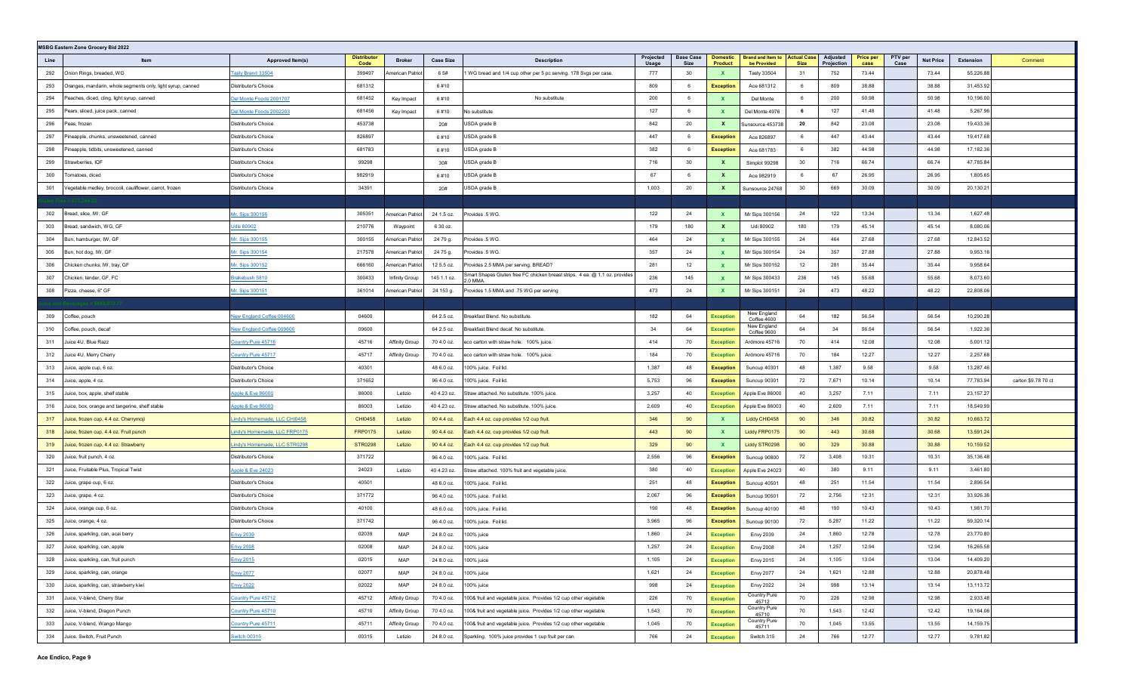|      | <b>MSBG Eastern Zone Grocery Bid 2022</b>                   |                                  |                            |                         |                  |                                                                                          |                    |                          |                                   |                                                     |             |                        |                          |                 |                  |           |                     |
|------|-------------------------------------------------------------|----------------------------------|----------------------------|-------------------------|------------------|------------------------------------------------------------------------------------------|--------------------|--------------------------|-----------------------------------|-----------------------------------------------------|-------------|------------------------|--------------------------|-----------------|------------------|-----------|---------------------|
| Line | Item                                                        | Approved Item(s)                 | <b>Distributor</b><br>Code | <b>Broker</b>           | <b>Case Size</b> | <b>Description</b>                                                                       | Projected<br>Usage | <b>Base Case</b><br>Size | <b>Domestic</b><br><b>Product</b> | <b>Brand and Item to Actual Case</b><br>be Provided | <b>Size</b> | Adjusted<br>Projection | <b>Price per</b><br>case | PTV per<br>Case | <b>Net Price</b> | Extension | Comment             |
| 292  | Onion Rings, breaded, WG                                    | asty Brand 33504                 | 399497                     | American Patriot        | 6 5#             | 1 WG bread and 1/4 cup other per 5 pc serving. 178 Svgs per case                         | 777                | 30                       | $\mathbf{x}$                      | <b>Tasty 33504</b>                                  | 31          | 752                    | 73.44                    |                 | 73.44            | 55,226.88 |                     |
| 293  | Oranges, mandarin, whole segments only, light syrup, canned | Distributor's Choice             | 681312                     |                         | 6#10             |                                                                                          | 809                | 6                        | <b>Exception</b>                  | Ace 681312                                          | 6           | 809                    | 38.88                    |                 | 38.88            | 31,453.92 |                     |
| 294  | Peaches, diced, cling, light syrup, canned                  | Oel Monte Foods 2001707          | 681452                     | Key Impact              | 6#10             | No substitute                                                                            | 200                | -6                       | $\mathbf{x}$                      | Del Monte                                           | 6           | 200                    | 50.98                    |                 | 50.98            | 10,196.00 |                     |
| 295  | Pears, sliced, juice pack, canned                           | lel Monte Foods 2002203          | 681456                     | Key Impact              | 6#10             | No substitute                                                                            | 127                | 6                        | $\mathbf{x}$                      | Del Monte 4976                                      | 6           | 127                    | 41.48                    |                 | 41.48            | 5,267.96  |                     |
| 296  | Peas, frozen                                                | Distributor's Choice             | 453738                     |                         | 20#              | USDA grade B                                                                             | 842                | 20                       | $\mathbf{x}$                      | Sunsource 453738                                    | 20          | 842                    | 23.08                    |                 | 23.08            | 19,433.36 |                     |
| 297  | Pineapple, chunks, unsweetened, canned                      | Distributor's Choice             | 826897                     |                         | 6#10             | USDA grade B                                                                             | 447                | -6                       | <b>Exception</b>                  | Ace 826897                                          | 6           | 447                    | 43.44                    |                 | 43.44            | 19,417.68 |                     |
| 298  | Pineapple, tidbits, unsweetened, canned                     | Distributor's Choice             | 681783                     |                         | 6#10             | USDA grade B                                                                             | 382                | 6                        | <b>Exception</b>                  | Ace 681783                                          | 6           | 382                    | 44.98                    |                 | 44.98            | 17,182.36 |                     |
| 299  | Strawberries, IQF                                           | Distributor's Choice             | 99298                      |                         | 30#              | USDA grade B                                                                             | 716                | 30                       | $\mathbf{x}$                      | Simplot 99298                                       | 30          | 716                    | 66.74                    |                 | 66.74            | 47,785.84 |                     |
| 300  | Tomatoes, diced                                             | Distributor's Choice             | 982919                     |                         | 6#10             | USDA grade B                                                                             | 67                 | 6                        | $\mathbf{x}$                      | Ace 982919                                          | 6           | 67                     | 26.95                    |                 | 26.95            | 1,805.65  |                     |
| 301  | Vegetable medley, broccoli, cauliflower, carrot, frozer     | Distributor's Choice             | 34391                      |                         | 20#              | USDA grade B                                                                             | 1,003              | 20                       | $\mathbf{x}$                      | Sunsource 24768                                     | 30          | 669                    | 30.09                    |                 | 30.09            | 20,130.21 |                     |
|      |                                                             |                                  |                            |                         |                  |                                                                                          |                    |                          |                                   |                                                     |             |                        |                          |                 |                  |           |                     |
| 302  | Bread, slice, IW, GF                                        | Ar. Sips 300156                  | 305351                     | American Patriot        | 24 1.5 oz.       | Provides .5 WG.                                                                          | 122                | 24                       | $\mathbf{x}$                      | Mr Sips 300156                                      | 24          | 122                    | 13.34                    |                 | 13.34            | 1,627.48  |                     |
| 303  | Bread, sandwich, WG, GF                                     | <u>Jdis 80902</u>                | 210776                     | Waypoint                | 6 30 oz.         |                                                                                          | 179                | 180                      | $\mathbf{x}$                      | Udi 80902                                           | 180         | 179                    | 45.14                    |                 | 45.14            | 8,080.06  |                     |
| 304  | Bun, hamburger, IW, GF                                      | Mr. Sips 300155                  | 300155                     | American Patriot        | 24 79 g.         | Provides .5 WG.                                                                          | 464                | 24                       | $\mathbf{x}$                      | Mr Sips 300155                                      | 24          | 464                    | 27.68                    |                 | 27.68            | 12,843.52 |                     |
| 305  | Bun, hot dog, IW, GF                                        | Ar. Sips 300154                  | 217578                     | <b>Imerican Patriot</b> | 24 75 g.         | Provides .5 WG.                                                                          | 357                | 24                       | $\mathbf{x}$                      | Mr Sips 300154                                      | 24          | 357                    | 27.88                    |                 | 27.88            | 9,953.16  |                     |
| 306  | Chicken chunks, IW, tray, GF                                | Ar. Sips 300152                  | 666160                     | American Patriot        | 12 5.5 oz.       | Provides 2.5 MMA per serving. BREAD?                                                     | 281                | 12                       | $\mathbf{x}$                      | Mr Sips 300152                                      | 12          | 281                    | 35.44                    |                 | 35.44            | 9,958.64  |                     |
| 307  | Chicken, tender, GF, FC                                     | Brakebush 5810                   | 300433                     | Infinity Group          | 145 1.1 oz.      | Smart Shapes Gluten free FC chicken breast strips. 4 ea. @ 1.1 oz. provides<br>$2.0$ MMA | 236                | 145                      | $\mathbf{x}$                      | Mr Sips 300433                                      | 236         | 145                    | 55.68                    |                 | 55.68            | 8,073.60  |                     |
| 308  | Pizza, cheese, 6" GF                                        | fr. Sips 300151                  | 361014                     | American Patriot        | 24 153 g.        | Provides 1.5 MMA and .75 WG per serving                                                  | 473                | 24                       | $\mathbf{x}$                      | Mr Sips 300151                                      | 24          | 473                    | 48.22                    |                 | 48.22            | 22,808.06 |                     |
|      |                                                             |                                  |                            |                         |                  |                                                                                          |                    |                          |                                   |                                                     |             |                        |                          |                 |                  |           |                     |
| 309  | Coffee, pouch                                               | <b>Jew England Coffee 004600</b> | 04600                      |                         | 64 2.5 oz.       | Breakfast Blend. No substitute.                                                          | 182                | 64                       | <b>Exception</b>                  | New England<br>Coffee 4600                          | 64          | 182                    | 56.54                    |                 | 56.54            | 10,290.28 |                     |
| 310  | Coffee, pouch, decaf                                        | lew England Coffee 009600        | 09600                      |                         | 64 2.5 oz.       | Breakfast Blend decaf. No substitute.                                                    | 34                 | 64                       | <b>Exception</b>                  | New England<br>Coffee 9600                          | 64          | 34                     | 56.54                    |                 | 56.54            | 1,922.36  |                     |
| 311  | Juice 4U, Blue Razz                                         | ountry Pure 45716                | 45716                      | Affinity Group          | 70 4.0 oz.       | eco carton with straw hole. 100% juice.                                                  | 414                | 70                       | <b>Exception</b>                  | Ardmore 45716                                       | 70          | 414                    | 12.08                    |                 | 12.08            | 5,001.12  |                     |
| 312  | Juice 4U, Merry Cherry                                      | ountry Pure 45717                | 45717                      | <b>Affinity Group</b>   | 70 4.0 oz.       | eco carton with straw hole. 100% juice.                                                  | 184                | 70                       | <b>Exception</b>                  | Ardmore 45716                                       | 70          | 184                    | 12.27                    |                 | 12.27            | 2,257.68  |                     |
| 313  | Juice, apple cup, 6 oz.                                     | Distributor's Choice             | 40301                      |                         | 48 6.0 oz.       | 100% juice. Foil lid.                                                                    | 1,387              | 48                       | <b>Exception</b>                  | Suncup 40301                                        | 48          | 1,387                  | 9.58                     |                 | 9.58             | 13,287.46 |                     |
| 314  | Juice, apple, 4 oz.                                         | Distributor's Choice             | 371652                     |                         | 96 4.0 oz.       | 100% juice. Foil lid.                                                                    | 5,753              | 96                       | <b>Exception</b>                  | Suncup 90301                                        | 72          | 7,671                  | 10.14                    |                 | 10.14            | 77,783.94 | carton \$9.78 70 ct |
| 315  | Juice, box, apple, shelf stable                             | <b>Apple &amp; Eve 86000</b>     | 86000                      | Letizio                 | 40 4.23 oz.      | Straw attached. No substitute. 100% juice.                                               | 3,257              | 40                       | <b>Exception</b>                  | Apple Eve 86000                                     | 40          | 3,257                  | 7.11                     |                 | 7.11             | 23,157.27 |                     |
| 316  | Juice, box, orange and tangerine, shelf stable              | Apple & Eve 86003                | 86003                      | Letizio                 | 40 4.23 oz.      | Straw attached. No substitute. 100% juice.                                               | 2,609              | 40                       | <b>Exception</b>                  | Apple Eve 86003                                     | 40          | 2,609                  | 7.11                     |                 | 7.11             | 18,549.99 |                     |
| 317  | Juice, frozen cup, 4.4 oz. Cherrymoji                       | indy's Homemade, LLC CHI0458     | <b>CHI0458</b>             | Letizio                 | 90 4.4 oz.       | Each 4.4 oz. cup provides 1/2 cup fruit.                                                 | 346                | 90                       | $\mathbf{x}$                      | Liddy CHI0458                                       | 90          | 346                    | 30.82                    |                 | 30.82            | 10,663.72 |                     |
| 318  | Juice, frozen cup, 4.4 oz. Fruit punch                      | indy's Homemade, LLC FRP0175     | <b>FRP0175</b>             | Letizio                 | 90 4.4 oz.       | Each 4.4 oz. cup provides 1/2 cup fruit.                                                 | 443                | 90                       | $\mathbf{x}$                      | Liddy FRP0175                                       | 90          | 443                    | 30.68                    |                 | 30.68            | 13,591.24 |                     |
| 319  | Juice, frozen cup, 4.4 oz. Strawberry                       | indy's Homemade, LLC STR0298     | <b>STR0298</b>             | Letizio                 | 90 4.4 oz.       | Each 4.4 oz. cup provides 1/2 cup fruit.                                                 | 329                | 90                       | $\mathbf{x}$                      | Liddy STR0298                                       | 90          | 329                    | 30.88                    |                 | 30.88            | 10,159.52 |                     |
| 320  | Juice, fruit punch, 4 oz.                                   | Distributor's Choice             | 371722                     |                         | 96 4.0 oz.       | 100% juice. Foil lid.                                                                    | 2,556              | 96                       | <b>Exception</b>                  | Suncup 90800                                        | 72          | 3,408                  | 10.31                    |                 | 10.31            | 35,136.48 |                     |
| 321  | Juice, Fruitable Plus, Tropical Twist                       | pple & Eve 24023                 | 24023                      | Letizio                 | 40 4.23 oz.      | Straw attached. 100% fruit and vegetable juice.                                          | 380                | 40                       | <b>Exception</b>                  | Apple Eve 24023                                     | 40          | 380                    | 9.11                     |                 | 9.11             | 3,461.80  |                     |
| 322  | Juice, grape cup, 6 oz.                                     | Distributor's Choice             | 40501                      |                         | 48 6.0 oz.       | 100% juice. Foil lid.                                                                    | 251                | 48                       | <b>Exception</b>                  | Suncup 40501                                        | 48          | 251                    | 11.54                    |                 | 11.54            | 2,896.54  |                     |
| 323  | Juice, grape, 4 oz.                                         | Distributor's Choice             | 371772                     |                         | 96 4.0 oz.       | 100% juice. Foil lid.                                                                    | 2,067              | 96                       | <b>Exception</b>                  | Suncup 90501                                        | 72          | 2,756                  | 12.31                    |                 | 12.31            | 33,926.36 |                     |
| 324  | Juice, orange cup, 6 oz.                                    | Distributor's Choice             | 40100                      |                         | 48 6.0 oz.       | 100% juice. Foil lid.                                                                    | 190                | 48                       | <b>Exception</b>                  | Suncup 40100                                        | 48          | 190                    | 10.43                    |                 | 10.43            | 1,981.70  |                     |
| 325  | Juice, orange, 4 oz.                                        | Distributor's Choice             | 371742                     |                         | 96 4.0 oz.       | 100% juice. Foil lid.                                                                    | 3,965              | 96                       | Exception                         | Suncup 90100                                        | 72          | 5,287                  | 11.22                    |                 | 11.22            | 59,320.14 |                     |
| 326  | Juice, sparkling, can, acai berry                           | nvy 2039                         | 02039                      | MAP                     | 24 8.0 oz.       | 100% juice                                                                               | 1,860              | -24                      | <b>Exception</b>                  | Envy 2039                                           | 24          | 1,860                  | 12.78                    |                 | 12.78            | 23,770.80 |                     |
| 327  | Juice, sparkling, can, apple                                | nvy 2008                         | 02008                      | <b>MAP</b>              | 24 8.0 oz.       | 100% juice                                                                               | 1,257              | 24                       | <b>Exception</b>                  | <b>Envy 2008</b>                                    | 24          | 1,257                  | 12.94                    |                 | 12.94            | 16,265.58 |                     |
|      | 328 Juice, sparkling, can, fruit punch                      | Envy 2015                        | 02015                      | MAP                     | 24 8.0 oz.       | 100% juice                                                                               | 1,105              | 24                       | <b>Exception</b>                  | Envy 2015                                           | 24          | 1,105                  | 13.04                    |                 | 13.04            | 14,409.20 |                     |
| 329  | Juice, sparkling, can, orange                               | nvy 2077                         | 02077                      | MAP                     | 24 8.0 oz.       | 100% juice                                                                               | 1,621              | 24                       | <b>Exception</b>                  | <b>Envy 2077</b>                                    | 24          | 1,621                  | 12.88                    |                 | 12.88            | 20,878.48 |                     |
| 330  | Juice, sparkling, can, strawberry kiwi                      | nvy 2022                         | 02022                      | MAP                     | 24 8.0 oz.       | 100% juice                                                                               | 998                | 24                       | <b>Exception</b>                  | <b>Envy 2022</b>                                    | 24          | 998                    | 13.14                    |                 | 13.14            | 13,113.72 |                     |
| 331  | Juice, V-blend, Cherry Star                                 | Country Pure 45712               | 45712                      | <b>Affinity Group</b>   | 70 4.0 oz.       | 100& fruit and vegetable juice. Provides 1/2 cup other vegetable                         | 226                | 70                       | <b>Exception</b>                  | Country Pure<br>45712                               | 70          | 226                    | 12.98                    |                 | 12.98            | 2,933.48  |                     |
| 332  | Juice, V-blend, Dragon Punch                                | Country Pure 45710               | 45710                      | Affinity Group          | 70 4.0 oz.       | 100& fruit and vegetable juice. Provides 1/2 cup other vegetable                         | 1,543              | 70                       | <b>Exception</b>                  | Country Pure<br>45710                               | 70          | 1,543                  | 12.42                    |                 | 12.42            | 19,164.06 |                     |
| 333  | Juice, V-blend, Wango Mango                                 | Country Pure 45711               | 45711                      | <b>Affinity Group</b>   | 70 4.0 oz.       | 100& fruit and vegetable juice. Provides 1/2 cup other vegetable                         | 1,045              | 70                       | <b>Exception</b>                  | Country Pure<br>45711                               | 70          | 1,045                  | 13.55                    |                 | 13.55            | 14,159.75 |                     |
| 334  | Juice. Switch, Fruit Punch                                  | <b>Switch 00315</b>              | 00315                      | Letizio                 | 24 8.0 oz.       | Sparkling. 100% juice provides 1 cup fruit per can.                                      | 766                | 24                       | <b>Exception</b>                  | Switch 315                                          | 24          | 766                    | 12.77                    |                 | 12.77            | 9,781.82  |                     |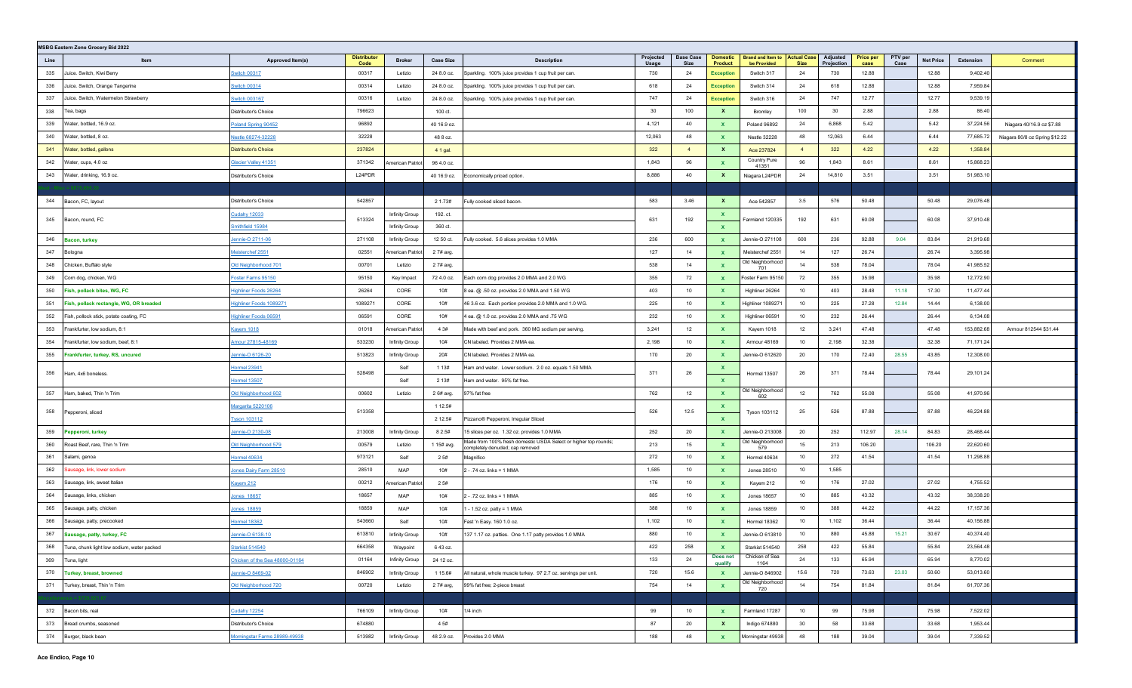|      | MSBG Eastern Zone Grocery Bid 2022         |                                |                           |                  |                  |                                                                                                    |                    |                                 |                                   |                                                     |                  |                               |                   |                 |                  |            |                                |
|------|--------------------------------------------|--------------------------------|---------------------------|------------------|------------------|----------------------------------------------------------------------------------------------------|--------------------|---------------------------------|-----------------------------------|-----------------------------------------------------|------------------|-------------------------------|-------------------|-----------------|------------------|------------|--------------------------------|
| Line | Item                                       | Approved Item(s)               | <b>Distributo</b><br>Code | <b>Broker</b>    | <b>Case Size</b> | <b>Description</b>                                                                                 | Projected<br>Usage | <b>Base Case</b><br><b>Size</b> | <b>Domestic</b><br><b>Product</b> | <b>Brand and Item to Actual Case</b><br>be Provided | <b>Size</b>      | <b>Adjusted</b><br>Projection | Price per<br>case | PTV per<br>Case | <b>Net Price</b> | Extension  | Comment                        |
| 335  | Juice. Switch, Kiwi Berry                  | witch 00317                    | 00317                     | Letizio          | 24 8.0 oz.       | Sparkling. 100% juice provides 1 cup fruit per can.                                                | 730                | 24                              | <b>Exception</b>                  | Switch 317                                          | 24               | 730                           | 12.88             |                 | 12.88            | 9,402.40   |                                |
| 336  | Juice. Switch, Orange Tangerine            | witch 00314                    | 00314                     | Letizio          | 24 8.0 oz.       | Sparkling. 100% juice provides 1 cup fruit per can.                                                | 618                | 24                              | <b>Exception</b>                  | Switch 314                                          | 24               | 618                           | 12.88             |                 | 12.88            | 7,959.84   |                                |
| 337  | Juice. Switch, Watermelon Strawberry       | witch 003167                   | 00316                     | Letizio          | 24 8.0 oz.       | Sparkling. 100% juice provides 1 cup fruit per can.                                                | 747                | 24                              | <b>Exception</b>                  | Switch 316                                          | 24               | 747                           | 12.77             |                 | 12.77            | 9,539.19   |                                |
| 338  | Геа, bags                                  | Distributor's Choice           | 796623                    |                  | 100 ct.          |                                                                                                    | 30                 | 100                             | $\mathbf{x}$                      | Bromley                                             | 100              | 30                            | 2.88              |                 | 2.88             | 86.40      |                                |
| 339  | Vater, bottled, 16.9 oz.                   | Poland Spring 90452            | 96892                     |                  | 40 16.9 oz.      |                                                                                                    | 4,121              | 40                              | $\mathbf{x}$                      | Poland 96892                                        | 24               | 6,868                         | 5.42              |                 | 5.42             | 37,224.56  | Niagara 40/16.9 oz \$7.88      |
| 340  | Water, bottled, 8 oz.                      | <u>Vestle 68274-32228</u>      | 32228                     |                  | 48 8 oz.         |                                                                                                    | 12,063             | 48                              | $\mathbf{x}$                      | Nestle 32228                                        | 48               | 12,063                        | 6.44              |                 | 6.44             | 77,685.72  | Niagara 80/8 oz Spring \$12.22 |
| 341  | Water, bottled, gallons                    | <b>Distributor's Choice</b>    | 237824                    |                  | 4 1 gal.         |                                                                                                    | 322                | $\overline{4}$                  | $\mathbf{x}$                      | Ace 237824                                          | $\overline{4}$   | 322                           | 4.22              |                 | 4.22             | 1,358.84   |                                |
| 342  | Water, cups, 4.0 oz                        | <u> Slacier Valley 41351</u>   | 371342                    | American Patriot | 96 4.0 oz.       |                                                                                                    | 1,843              | 96                              | $\mathbf{x}$                      | Country Pure<br>41351                               | 96               | 1,843                         | 8.61              |                 | 8.61             | 15,868.23  |                                |
| 343  | Water, drinking, 16.9 oz.                  | Distributor's Choice           | L24PDR                    |                  | 40 16.9 oz.      | Economically priced option.                                                                        | 8,886              | 40                              | $\mathbf{x}$                      | Niagara L24PDR                                      | 24               | 14,810                        | 3.51              |                 | 3.51             | 51,983.10  |                                |
|      |                                            |                                |                           |                  |                  |                                                                                                    |                    |                                 |                                   |                                                     |                  |                               |                   |                 |                  |            |                                |
| 344  | Bacon, FC, layout                          | Distributor's Choice           | 542857                    |                  | 2 1.73#          | Fully cooked sliced bacon                                                                          | 583                | 3.46                            | $\mathbf{x}$                      | Ace 542857                                          | 3.5              | 576                           | 50.48             |                 | 50.48            | 29,076.48  |                                |
| 345  |                                            | <u>Cudahy</u> 12033            | 513324                    | Infinity Group   | 192. ct.         |                                                                                                    | 631                | 192                             | <b>X</b>                          | Farmland 120335                                     | 192              | 631                           | 60.08             |                 | 60.08            | 37,910.48  |                                |
|      | Bacon, round, FC                           | mithfield 15984                |                           | Infinity Group   | 360 ct.          |                                                                                                    |                    |                                 | $\mathbf{x}$                      |                                                     |                  |                               |                   |                 |                  |            |                                |
| 346  | Bacon, turkey                              | ennie-O 2711-06                | 271108                    | Infinity Group   | 12 50 ct.        | Fully cooked. 5.6 slices provides 1.0 MMA                                                          | 236                | 600                             | $\mathbf{x}$                      | Jennie-O 271108                                     | 600              | 236                           | 92.88             | 9.04            | 83.84            | 21,919.68  |                                |
| 347  | 3ologna                                    | leisterchef 2551               | 02551                     | merican Patriot  | 2 7# avg.        |                                                                                                    | 127                | 14                              | $\mathbf{x}$                      | Meisterchef 2551                                    | 14               | 127                           | 26.74             |                 | 26.74            | 3,395.98   |                                |
| 348  | Chicken, Buffalo style                     | Old Neighborhood 701           | 00701                     | Letizio          | 2 7# avg.        |                                                                                                    | 538                | 14                              | $\mathbf{x}$                      | Old Neighborhood<br>701                             | 14               | 538                           | 78.04             |                 | 78.04            | 41,985.52  |                                |
| 349  | Corn dog, chicken, WG                      | Foster Farms 95150             | 95150                     | Key Impact       | 72 4.0 oz.       | Each corn dog provides 2.0 MMA and 2.0 WG                                                          | 355                | 72                              | $\mathbf{x}$                      | Foster Farm 95150                                   | 72               | 355                           | 35.98             |                 | 35.98            | 12,772.90  |                                |
| 350  | ish, pollack bites, WG, FC                 | <b>Highliner Foods 26264</b>   | 26264                     | CORE             | 10#              | 8 ea. @ .50 oz. provides 2.0 MMA and 1.50 WG                                                       | 403                | 10                              | $\mathbf{x}$                      | Highliner 26264                                     | 10               | 403                           | 28.48             | 11.18           | 17.30            | 11,477.44  |                                |
| 351  | ish, pollack rectangle, WG, OR breaded     | <u>Highliner Foods 1089271</u> | 1089271                   | CORE             | 10#              | 46 3.6 oz. Each portion provides 2.0 MMA and 1.0 WG.                                               | 225                | 10                              | $\mathbf{x}$                      | Highliner 1089271                                   | 10               | 225                           | 27.28             | 12.84           | 14.44            | 6,138.00   |                                |
| 352  | ish, pollock stick, potato coating, FC     | Highliner Foods 06591          | 06591                     | CORE             | 10#              | 4 ea. @ 1.0 oz. provides 2.0 MMA and .75 WG                                                        | 232                | 10                              | $\mathbf{x}$                      | Highliner 06591                                     | 10               | 232                           | 26.44             |                 | 26.44            | 6,134.08   |                                |
| 353  | Frankfurter, low sodium, 8:1               | <u> Kayem 1018</u>             | 01018                     | American Patriot | 4 3#             | Made with beef and pork. 360 MG sodium per serving.                                                | 3,241              | 12                              | $\mathbf{x}$                      | Kayem 1018                                          | 12               | 3,241                         | 47.48             |                 | 47.48            | 153,882.68 | Armour 812544 \$31.44          |
| 354  | rankfurter, low sodium, beef, 8:1          | mour 27815-48169               | 533230                    | Infinity Group   | 10#              | CN labeled. Provides 2 MMA ea.                                                                     | 2,198              | 10                              | $\mathbf{x}$                      | Armour 48169                                        | 10               | 2,198                         | 32.38             |                 | 32.38            | 71,171.24  |                                |
| 355  | rankfurter, turkey, RS, uncured            | ennie-O 6126-20                | 513823                    | Infinity Group   | 20#              | CN labeled. Provides 2 MMA ea.                                                                     | 170                | 20                              | $\mathbf{x}$                      | Jennie-O 612620                                     | 20               | 170                           | 72.40             | 28.55           | 43.85            | 12,308.00  |                                |
| 356  |                                            | <b>Hormel 23941</b>            | 528498                    | Self             | 1 1 3 #          | Ham and water. Lower sodium. 2.0 oz. equals 1.50 MMA                                               | 371                | 26                              | $\mathbf{x}$                      |                                                     | 26               | 371                           | 78.44             |                 | 78.44            | 29,101.24  |                                |
|      | lam, 4x6 boneless.                         | <b>Hormel 13507</b>            |                           | Self             | 2 1 3 #          | Ham and water. 95% fat free.                                                                       |                    |                                 | $\mathbf{x}$                      | Hormel 13507                                        |                  |                               |                   |                 |                  |            |                                |
| 357  | Ham, baked, Thin 'n Trim                   | Old Neighborhood 602           | 00602                     | Letizio          | 2 6# avg.        | 97% fat free                                                                                       | 762                | 12                              | $\mathbf{x}$                      | Old Neighborhood<br>602                             | 12               | 762                           | 55.08             |                 | 55.08            | 41,970.96  |                                |
| 358  |                                            | Margarita 5220106              | 513358                    |                  | 1 12.5#          |                                                                                                    | 526                | 12.5                            | X                                 |                                                     | 25               | 526                           | 87.88             |                 | 87.88            | 46,224.88  |                                |
|      | Pepperoni, sliced                          | <b>Tyson 103112</b>            |                           |                  | 2 12.5#          | Pizzano® Pepperoni, Irregular Sliced                                                               |                    |                                 | $\mathbf{x}$                      | Tyson 103112                                        |                  |                               |                   |                 |                  |            |                                |
| 359  | 'epperoni, turkey                          | ennie-O 2130-08                | 213008                    | Infinity Group   | 8 2.5#           | 15 slices per oz. 1.32 oz. provides 1.0 MMA                                                        | 252                | 20                              | $\mathbf{x}$                      | Jennie-O 213008                                     | 20               | 252                           | 112.97            | 28.14           | 84.83            | 28,468.44  |                                |
| 360  | Roast Beef, rare, Thin 'n Trim             | Old Neighborhood 579           | 00579                     | Letizio          | 1 15# avg.       | Made from 100% fresh domestic USDA Select or higher top rounds;<br>completely denuded; cap removed | 213                | 15                              | $\mathbf{x}$                      | Old Neighborhood<br>579                             | 15               | 213                           | 106.20            |                 | 106.20           | 22,620.60  |                                |
| 361  | Salami, genoa                              | <b>lormel 40634</b>            | 973121                    | Self             | 25#              | Magnifico                                                                                          | 272                | 10                              | $\mathbf{x}$                      | Hormel 40634                                        | 10               | 272                           | 41.54             |                 | 41.54            | 11,298.88  |                                |
| 362  | ausage, link, lower sodium                 | ones Dairy Farm 28510          | 28510                     | MAP              | 10#              | 2 - .74 oz. links = 1 MMA                                                                          | 1,585              | 10                              | $\mathbf{x}$                      | Jones 28510                                         | 10               | 1,585                         |                   |                 |                  |            |                                |
| 363  | Sausage, link, sweet Italian               | ayem 212                       | 00212                     | merican Patriot  | 2 5#             |                                                                                                    | 176                | 10                              | $\mathbf{x}$                      | Kayem 212                                           | 10               | 176                           | 27.02             |                 | 27.02            | 4,755.52   |                                |
| 364  | Sausage, links, chicken                    | ones 18657                     | 18657                     | MAP              | 10#              | 2 - .72 oz. links = 1 MMA                                                                          | 885                | 10                              | $\mathbf{x}$                      | <b>Jones 18657</b>                                  | 10               | 885                           | 43.32             |                 | 43.32            | 38,338.20  |                                |
| 365  | Sausage, patty, chicken                    | Jones 18859                    | 18859                     | MAP              | 10#              | 1 - 1.52 oz. patty = 1 MMA                                                                         | 388                | 10                              | $\mathbf{x}$                      | <b>Jones 18859</b>                                  | 10               | 388                           | 44.22             |                 | 44.22            | 17,157.36  |                                |
| 366  | Sausage, patty, precooked                  | <b>Hormel 18362</b>            | 543660                    | Self             | 10#              | Fast 'n Easy. 160 1.0 oz.                                                                          | 1,102              | 10                              | $\mathbf{x}$                      | Hormel 18362                                        | 10               | 1,102                         | 36.44             |                 | 36.44            | 40,156.88  |                                |
| 367  | Sausage, patty, turkey, FC                 | ennie-O 6138-10                | 613810                    | Infinity Group   | 10#              | 137 1.17 oz. patties. One 1.17 patty provides 1.0 MMA                                              | 880                | 10                              | $\mathbf{x}$                      | Jennie-O 613810                                     | 10 <sup>10</sup> | 880                           | 45.88             | 15.21           | 30.67            | 40,374.40  |                                |
| 368  | Tuna, chunk light low sodium, water packed | <b>Starkist 514540</b>         | 664358                    | Waypoint         | 6 43 oz.         |                                                                                                    | 422                | 258                             | $\mathbf{x}$                      | Starkist 514540                                     | 258              | 422                           | 55.84             |                 | 55.84            | 23,564.48  |                                |
| 369  | Tuna, light                                | Chicken of the Sea 48000-01164 | 01164                     | Infinity Group   | 24 12 oz.        |                                                                                                    | 133                | 24                              | Does not<br>qualify               | Chicken of Sea<br>1164                              | 24               | 133                           | 65.94             |                 | 65.94            | 8,770.02   |                                |
| 370  | <b>Turkey, breast, browned</b>             | lennie-O 8469-02               | 846902                    | Infinity Group   | 1 15.6#          | All natural, whole muscle turkey. 97 2.7 oz. servings per unit.                                    | 720                | 15.6                            | $\mathbf{x}$                      | Jennie-O 846902                                     | 15.6             | 720                           | 73.63             | 23.03           | 50.60            | 53,013.60  |                                |
| 371  | Turkey, breast, Thin 'n Trim               | Old Neighborhood 720           | 00720                     | Letizio          | 2 7# avg,        | 99% fat free; 2-piece breast                                                                       | 754                | 14                              | $\mathbf{x}$                      | Old Neighborhood<br>720                             | 14               | 754                           | 81.84             |                 | 81.84            | 61,707.36  |                                |
|      |                                            |                                |                           |                  |                  |                                                                                                    |                    |                                 |                                   |                                                     |                  |                               |                   |                 |                  |            |                                |
| 372  | Bacon bits, real                           | <b>Cudahy 12254</b>            | 766109                    | Infinity Group   | 10#              | $1/4$ inch                                                                                         | 99                 | 10                              | $\mathbf{x}$                      | Farmland 17287                                      | 10               | 99                            | 75.98             |                 | 75.98            | 7,522.02   |                                |
| 373  | Bread crumbs, seasoned                     | Distributor's Choice           | 674880                    |                  | 4 5#             |                                                                                                    | 87                 | 20                              | $\mathbf{x}$                      | Indigo 674880                                       | 30               | 58                            | 33.68             |                 | 33.68            | 1,953.44   |                                |
| 374  | Burger, black bean                         | Morningstar Farms 28989-49938  | 513982                    | Infinity Group   | 48 2.9 oz.       | Provides 2.0 MMA                                                                                   | 188                | 48                              | $\mathbf{x}$                      | Morningstar 49938                                   | 48               | 188                           | 39.04             |                 | 39.04            | 7,339.52   |                                |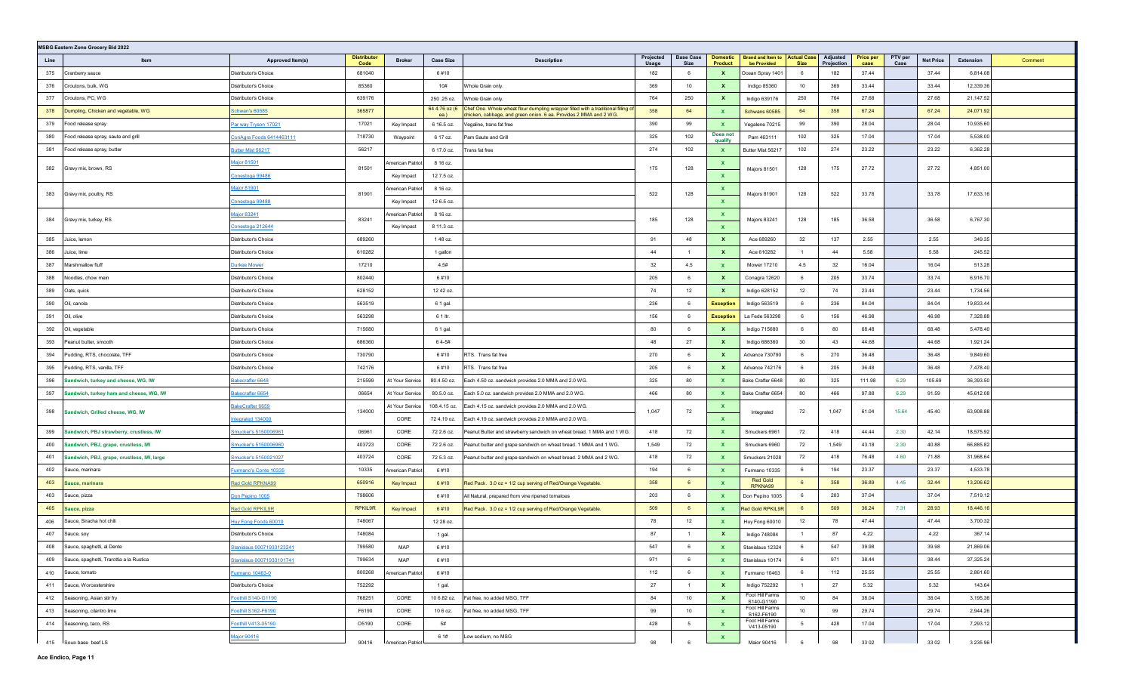|      | <b>MSBG Eastern Zone Grocery Bid 2022</b>    |                             |                            |                  |                       |                                                                                                                                                        |                    |                          |                                   |                                                     |                |                        |                          |                 |                  |           |         |
|------|----------------------------------------------|-----------------------------|----------------------------|------------------|-----------------------|--------------------------------------------------------------------------------------------------------------------------------------------------------|--------------------|--------------------------|-----------------------------------|-----------------------------------------------------|----------------|------------------------|--------------------------|-----------------|------------------|-----------|---------|
| Line | Item                                         | Approved Item(s)            | <b>Distributor</b><br>Code | <b>Broker</b>    | <b>Case Size</b>      | <b>Description</b>                                                                                                                                     | Projected<br>Usage | <b>Base Case</b><br>Size | <b>Domestic</b><br><b>Product</b> | <b>Brand and Item to Actual Case</b><br>be Provided | <b>Size</b>    | Adjusted<br>Projection | <b>Price per</b><br>case | PTV per<br>Case | <b>Net Price</b> | Extension | Comment |
| 375  | Cranberry sauce                              | Distributor's Choice        | 681040                     |                  | 6#10                  |                                                                                                                                                        | 182                | 6                        | $\mathbf{x}$                      | Ocean Spray 1401                                    | - 6            | 182                    | 37.44                    |                 | 37.44            | 6,814.08  |         |
| 376  | Croutons, bulk, WG                           | Distributor's Choice        | 85360                      |                  | 10#                   | Whole Grain only.                                                                                                                                      | 369                | 10                       | $\mathbf{x}$                      | Indigo 85360                                        | 10             | 369                    | 33.44                    |                 | 33.44            | 12,339.36 |         |
| 377  | Croutons, PC, WG                             | Distributor's Choice        | 639176                     |                  | 250 .25 oz.           | Whole Grain only.                                                                                                                                      | 764                | 250                      | $\mathbf{x}$                      | Indigo 639176                                       | 250            | 764                    | 27.68                    |                 | 27.68            | 21,147.52 |         |
| 378  | Dumpling, Chicken and vegetable, WG          | <b>Schwan's 60585</b>       | 365877                     |                  | 64 4.76 oz (6<br>ea.) | Chef One. Whole wheat flour dumpling wrapper filled with a traditional filling of<br>chicken, cabbage, and green onion. 6 ea. Provides 2 MMA and 2 WG. | 358                | 64                       | $\mathbf{x}$                      | Schwans 60585                                       | 64             | 358                    | 67.24                    |                 | 67.24            | 24,071.92 |         |
| 379  | Food release spray                           | Par way Tryson 17021        | 17021                      | Key Impact       | 6 16.5 oz.            | Vegaline, trans fat free                                                                                                                               | 390                | 99                       | $\mathbf{x}$                      | Vegalene 70215                                      | 99             | 390                    | 28.04                    |                 | 28.04            | 10,935.60 |         |
| 380  | Food release spray, saute and grill          | ConAgra Foods 6414463111    | 718730                     | Waypoint         | 6 17 oz.              | Pam Saute and Grill                                                                                                                                    | 325                | 102                      | Does not<br>qualify               | Pam 463111                                          | 102            | 325                    | 17.04                    |                 | 17.04            | 5,538.00  |         |
| 381  | Food release spray, butter                   | Butter Mist 56217           | 56217                      |                  | 6 17.0 oz.            | Trans fat free                                                                                                                                         | 274                | 102                      | $\mathbf{x}$                      | Butter Mist 56217                                   | 102            | 274                    | 23.22                    |                 | 23.22            | 6,362.28  |         |
|      |                                              | Major 81501                 |                            | merican Patriot  | 8 16 oz.              |                                                                                                                                                        |                    |                          | X                                 |                                                     |                |                        |                          |                 |                  |           |         |
| 382  | Gravy mix, brown, RS                         | <u>Conestoga 99486</u>      | 81501                      | Key Impact       | 12 7.5 oz.            |                                                                                                                                                        | 175                | 128                      | $\mathbf{x}$                      | Majors 81501                                        | 128            | 175                    | 27.72                    |                 | 27.72            | 4,851.00  |         |
|      |                                              | Major 81901                 | 81901                      | merican Patriot  | 8 16 oz.              |                                                                                                                                                        | 522                | 128                      | $\mathbf{x}$                      |                                                     | 128            | 522                    | 33.78                    |                 | 33.78            | 17,633.16 |         |
| 383  | Gravy mix, poultry, RS                       | <u>Conestoga 99488</u>      |                            | Key Impact       | 12 6.5 oz.            |                                                                                                                                                        |                    |                          | $\mathbf{x}$                      | Majors 81901                                        |                |                        |                          |                 |                  |           |         |
| 384  | Gravy mix, turkey, RS                        | Major 83241                 | 83241                      | merican Patriot  | 8 16 oz.              |                                                                                                                                                        | 185                | 128                      | $\mathbf{x}$                      | Majors 83241                                        | 128            | 185                    | 36.58                    |                 | 36.58            | 6,767.30  |         |
|      |                                              | Conestoga 212644            |                            | Key Impact       | 8 11.3 oz.            |                                                                                                                                                        |                    |                          | $\mathbf{x}$                      |                                                     |                |                        |                          |                 |                  |           |         |
| 385  | Juice, lemon                                 | Distributor's Choice        | 689260                     |                  | 148 oz.               |                                                                                                                                                        | 91                 | 48                       | $\mathbf{x}$                      | Ace 689260                                          | 32             | 137                    | 2.55                     |                 | 2.55             | 349.35    |         |
| 386  | Juice, lime                                  | Distributor's Choice        | 610282                     |                  | 1 gallon              |                                                                                                                                                        | 44                 | $\overline{1}$           | $\mathbf{x}$                      | Ace 610282                                          | $\overline{1}$ | 44                     | 5.58                     |                 | 5.58             | 245.52    |         |
| 387  | Marshmallow fluff                            | <b>Durkee Mower</b>         | 17210                      |                  | 4.5#                  |                                                                                                                                                        | 32                 | 4.5                      | $\mathbf{x}$                      | Mower 17210                                         | 4.5            | 32                     | 16.04                    |                 | 16.04            | 513.28    |         |
| 388  | Noodles, chow mein                           | Distributor's Choice        | 802440                     |                  | 6#10                  |                                                                                                                                                        | 205                | 6                        | $\mathbf{x}$                      | Conagra 12620                                       | 6              | 205                    | 33.74                    |                 | 33.74            | 6,916.70  |         |
| 389  | Oats, quick                                  | Distributor's Choice        | 628152                     |                  | 12 42 oz.             |                                                                                                                                                        | 74                 | 12                       | $\mathbf{x}$                      | Indigo 628152                                       | 12             | 74                     | 23.44                    |                 | 23.44            | 1,734.56  |         |
| 390  | Oil, canola                                  | Distributor's Choice        | 563519                     |                  | 6 1 gal.              |                                                                                                                                                        | 236                | 6                        | <b>Exception</b>                  | Indigo 563519                                       | 6              | 236                    | 84.04                    |                 | 84.04            | 19,833.44 |         |
| 391  | Oil, olive                                   | Distributor's Choice        | 563298                     |                  | 6 1 ltr.              |                                                                                                                                                        | 156                | 6                        | <b>Exception</b>                  | La Fede 563298                                      | 6              | 156                    | 46.98                    |                 | 46.98            | 7,328.88  |         |
| 392  | Oil, vegetable                               | Distributor's Choice        | 715680                     |                  | 6 1 gal.              |                                                                                                                                                        | 80                 | -6                       | $\mathbf{x}$                      | Indigo 715680                                       | 6              | 80                     | 68.48                    |                 | 68.48            | 5,478.40  |         |
| 393  | Peanut butter, smooth                        | Distributor's Choice        | 686360                     |                  | 64-5#                 |                                                                                                                                                        | 48                 | 27                       | $\mathbf{x}$                      | Indigo 686360                                       | 30             | 43                     | 44.68                    |                 | 44.68            | 1,921.24  |         |
| 394  | Pudding, RTS, chocolate, TFF                 | Distributor's Choice        | 730790                     |                  | 6#10                  | RTS. Trans fat free                                                                                                                                    | 270                | 6                        | $\mathbf{x}$                      | Advance 730790                                      | 6              | 270                    | 36.48                    |                 | 36.48            | 9,849.60  |         |
| 395  | Pudding, RTS, vanilla, TFF                   | Distributor's Choice        | 742176                     |                  | 6#10                  | RTS. Trans fat free                                                                                                                                    | 205                | 6                        | $\mathbf{x}$                      | Advance 742176                                      | 6              | 205                    | 36.48                    |                 | 36.48            | 7,478.40  |         |
| 396  | Sandwich, turkey and cheese, WG, IW          | Bakecrafter 6648            | 215599                     | At Your Service  | 80.4.50 oz.           | Each 4.50 oz. sandwich provides 2.0 MMA and 2.0 WG.                                                                                                    | 325                | 80                       | $\mathbf{x}$                      | Bake Crafter 6648                                   | 80             | 325                    | 111.98                   | 6.29            | 105.69           | 36,393.50 |         |
| 397  | Sandwich, turkey ham and cheese, WG, IW      | Bakecrafter 6654            | 06654                      | At Your Service  | 80.5.0 oz.            | Each 5.0 oz. sandwich provides 2.0 MMA and 2.0 WG.                                                                                                     | 466                | 80                       | $\mathbf{x}$                      | Bake Crafter 6654                                   | 80             | 466                    | 97.88                    | 6.29            | 91.59            | 45,612.08 |         |
| 398  | Sandwich, Grilled cheese, WG, IW             | BakeCrafter 6659            | 134000                     | At Your Service  | 108.4.15 oz.          | Each 4.15 oz. sandwich provides 2.0 MMA and 2.0 WG.                                                                                                    | 1,047              | 72                       | $\mathbf{x}$                      | Integrated                                          | 72             | 1,047                  | 61.04                    | 15.64           | 45.40            | 63,908.88 |         |
|      |                                              | ntegrated 134000            |                            | CORE             | 724.19 oz.            | Each 4.19 oz. sandwich provides 2.0 MMA and 2.0 WG.                                                                                                    |                    |                          | $\mathbf{x}$                      |                                                     |                |                        |                          |                 |                  |           |         |
| 399  | Sandwich, PBJ strawberry, crustless, IW      | Smucker's 5150006961        | 06961                      | CORE             | 72 2.6 oz.            | Peanut Butter and strawberry sandwich on wheat bread. 1 MMA and 1 WG.                                                                                  | 418                | 72                       | $\mathbf{x}$                      | Smuckers 6961                                       | 72             | 418                    | 44.44                    | 2.30            | 42.14            | 18,575.92 |         |
| 400  | Sandwich, PBJ, grape, crustless, IW          | Smucker's 5150006960        | 403723                     | CORE             | 72 2.6 oz.            | Peanut butter and grape sandwich on wheat bread. 1 MMA and 1 WG.                                                                                       | 1,549              | 72                       | $\mathbf{x}$                      | Smuckers 6960                                       | 72             | 1,549                  | 43.18                    | 2.30            | 40.88            | 66,885.82 |         |
| 401  | Sandwich, PBJ, grape, crustless, IW, large   | <u>Smucker's 5150021027</u> | 403724                     | CORE             | 72 5.3 oz.            | Peanut butter and grape sandwich on wheat bread. 2 MMA and 2 WG.                                                                                       | 418                | 72                       | $\mathbf{x}$                      | Smuckers 21028                                      | 72             | 418                    | 76.48                    | 4.60            | 71.88            | 31,968.64 |         |
| 402  | Sauce, marinara                              | Furmano's Conte 10335       | 10335                      | merican Patriot  | 6#10                  |                                                                                                                                                        | 194                | 6                        | $\mathbf{x}$                      | Furmano 10335                                       | 6              | 194                    | 23.37                    |                 | 23.37            | 4,533.78  |         |
| 403  | Sauce, marinara                              | <u>Red Gold RPKNA99</u>     | 650916                     | Key Impact       | 6#10                  | Red Pack. 3.0 oz = 1/2 cup serving of Red/Orange Vegetable.                                                                                            | 358                | 6                        | $\mathbf{x}$                      | <b>Red Gold</b><br>RPKNA99                          | 6              | 358                    | 36.89                    | 4.45            | 32.44            | 13,206.62 |         |
| 403  | Sauce, pizza                                 | Don Pepino 1005             | 798606                     |                  | 6#10                  | All Natural, prepared from vine ripened tomatoes                                                                                                       | 203                | 6                        | $\mathbf{x}$                      | Don Pepino 1005                                     | 6              | 203                    | 37.04                    |                 | 37.04            | 7,519.12  |         |
| 405  | Sauce, pizza                                 | <b>Red Gold RPKIL9R</b>     | <b>RPKIL9R</b>             | Key Impact       | 6#10                  | Red Pack. 3.0 oz = 1/2 cup serving of Red/Orange Vegetable.                                                                                            | 509                | 6                        | $\mathbf{x}$                      | <b>Red Gold RPKIL9R</b>                             | 6              | 509                    | 36.24                    | 7.31            | 28.93            | 18,446.16 |         |
| 406  | Sauce, Siracha hot chili                     | Huy Fong Foods 60010        | 748067                     |                  | 12 28 oz.             |                                                                                                                                                        | 78                 | 12                       | $\mathbf{x}$                      | Huy Fong 60010                                      | 12             | 78                     | 47.44                    |                 | 47.44            | 3,700.32  |         |
| 407  | Sauce, soy                                   | Distributor's Choice        | 748084                     |                  | 1 gal.                |                                                                                                                                                        | 87                 |                          | $\mathbf{x}$                      | Indigo 748084                                       |                | 87                     | 4.22                     |                 | 4.22             | 367.14    |         |
|      | 408 Sauce, spaghetti, al Dente               | Stanislaus 00071933123241   | 799580                     | MAP              | 6#10                  |                                                                                                                                                        | 547                | 6                        | X                                 | Stanislaus 12324                                    | 6              | 547                    | 39.98                    |                 | 39.98            | 21,869.06 |         |
|      | 409 Sauce, spaghetti, Trarottia a la Rustica | Stanislaus 00071933101741   | 799634                     | MAP              | 6#10                  |                                                                                                                                                        | 971                | 6                        | $\mathbf{x}$                      | Stanislaus 10174                                    | 6              | 971                    | 38.44                    |                 | 38.44            | 37,325.24 |         |
|      | 410 Sauce, tomato                            | Furmano 10463-0             | 800268                     | American Patriot | 6#10                  |                                                                                                                                                        | 112                | 6                        | $\mathbf{x}$                      | Furmano 10463                                       | 6              | 112                    | 25.55                    |                 | 25.55            | 2,861.60  |         |
|      | 411 Sauce, Worcestershire                    | Distributor's Choice        | 752292                     |                  | 1 gal.                |                                                                                                                                                        | 27                 | $\overline{1}$           | $\mathbf{x}$                      | Indigo 752292                                       | $\overline{1}$ | 27                     | 5.32                     |                 | 5.32             | 143.64    |         |
|      | 412 Seasoning, Asian stir fry                | Foothill S140-G1190         | 768251                     | CORE             | 10 6.82 oz.           | Fat free, no added MSG, TFF                                                                                                                            | 84                 | 10                       | $\mathbf{x}$                      | Foot Hill Farms<br>S140-G1190                       | 10             | 84                     | 38.04                    |                 | 38.04            | 3,195.36  |         |
|      | 413 Seasoning, cilantro lime                 | Foothill S162-F6190         | F6190                      | CORE             | 10 6 oz.              | Fat free, no added MSG, TFF                                                                                                                            | 99                 | 10                       | $\mathbf{x}$                      | Foot Hill Farms<br>S162-F6190                       | 10             | 99                     | 29.74                    |                 | 29.74            | 2,944.26  |         |
|      | 414 Seasoning, taco, RS                      | Foothill V413-05190         | O5190                      | CORE             | 5#                    |                                                                                                                                                        | 428                | 5                        | $\mathbf{x}$                      | Foot Hill Farms<br>V413-05190                       | $5^{\circ}$    | 428                    | 17.04                    |                 | 17.04            | 7,293.12  |         |
|      | 415 Soun hase beef IS                        | <b>Major 90416</b>          | 90416                      | American Patric  | 6 1#                  | Low sodium, no MSG                                                                                                                                     | 98                 |                          | $\mathbf{x}$                      | Mainr 90416                                         |                | 98                     | 33.02                    |                 | 33.02            | 3 235 96  |         |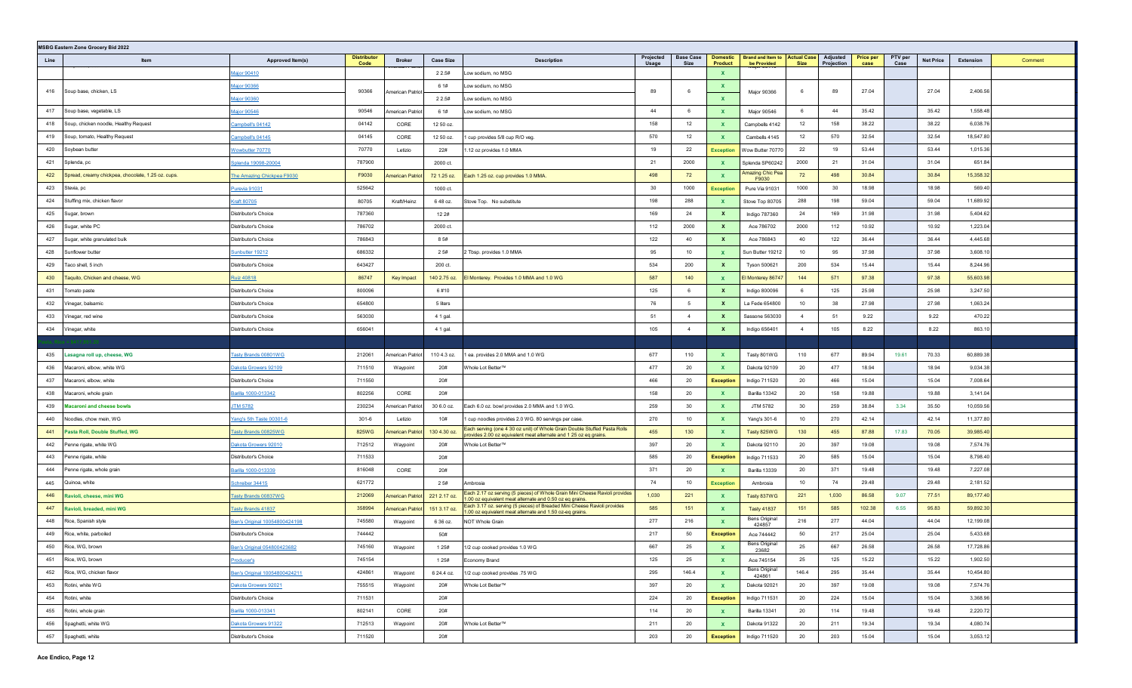| <b>MSBG Eastern Zone Grocery Bid 2022</b>                 |                               |                            |                         |                  |                                                                                                                                      |                    |                          |                                   |                                                     |                |                        |                          |                 |                  |                  |         |
|-----------------------------------------------------------|-------------------------------|----------------------------|-------------------------|------------------|--------------------------------------------------------------------------------------------------------------------------------------|--------------------|--------------------------|-----------------------------------|-----------------------------------------------------|----------------|------------------------|--------------------------|-----------------|------------------|------------------|---------|
| Line<br>Item                                              | Approved Item(s)              | <b>Distributor</b><br>Code | <b>Broker</b>           | <b>Case Size</b> | <b>Description</b>                                                                                                                   | Projected<br>Usage | <b>Base Case</b><br>Size | <b>Domestic</b><br><b>Product</b> | <b>Brand and Item to Actual Case</b><br>be Provided | Size           | Adjusted<br>Projection | <b>Price per</b><br>case | PTV per<br>Case | <b>Net Price</b> | <b>Extension</b> | Comment |
|                                                           | Aajor 90410                   |                            |                         | 2 2.5#           | Low sodium, no MSG                                                                                                                   |                    |                          | $\mathbf{x}$                      |                                                     |                |                        |                          |                 |                  |                  |         |
| Soup base, chicken, LS<br>416                             | Major 90366                   | 90366                      |                         | 6 1#             | Low sodium, no MSG                                                                                                                   | 89                 | 6                        | $\mathbf{x}$                      |                                                     | 6              | 89                     | 27.04                    |                 | 27.04            | 2,406.56         |         |
|                                                           | Aajor 90360                   |                            | American Patrio         | 2 2.5#           | Low sodium, no MSG                                                                                                                   |                    |                          | $\mathbf{x}$                      | Major 90366                                         |                |                        |                          |                 |                  |                  |         |
| 417<br>Soup base, vegetable, LS                           | Major 90546                   | 90546                      | <b>Imerican Patriot</b> | 6 1#             | Low sodium, no MSG                                                                                                                   | 44                 | 6                        | $\mathbf{x}$                      | Major 90546                                         | 6              | 44                     | 35.42                    |                 | 35.42            | 1,558.48         |         |
| Soup, chicken noodle, Healthy Request<br>418              | Campbell's 04142              | 04142                      | CORE                    | 12 50 oz.        |                                                                                                                                      | 158                | 12                       | $\mathbf{x}$                      | Campbells 4142                                      | 12             | 158                    | 38.22                    |                 | 38.22            | 6,038.76         |         |
| 419<br>Soup, tomato, Healthy Request                      | Campbell's 04145              | 04145                      | CORE                    | 12 50 oz.        | 1 cup provides 5/8 cup R/O veg.                                                                                                      | 570                | 12                       | $\mathbf{x}$                      | Cambells 4145                                       | 12             | 570                    | 32.54                    |                 | 32.54            | 18,547.80        |         |
| 420<br>Soybean butter                                     | <b>Nowbutter 70770</b>        | 70770                      | Letizio                 | 22#              | 1.12 oz provides 1.0 MMA                                                                                                             | 19                 | 22                       | <b>Exception</b>                  | Wow Butter 70770                                    | 22             | 19                     | 53.44                    |                 | 53.44            | 1,015.36         |         |
| 421<br>Splenda, pc                                        | Splenda 19098-20004           | 787900                     |                         | 2000 ct.         |                                                                                                                                      | 21                 | 2000                     | $\mathbf{x}$                      | Splenda SP60242                                     | 2000           | 21                     | 31.04                    |                 | 31.04            | 651.84           |         |
| 422<br>Spread, creamy chickpea, chocolate, 1.25 oz. cups. | The Amazing Chickpea F9030    | F9030                      | <b>Imerican Patriot</b> | 72 1.25 oz.      | Each 1.25 oz. cup provides 1.0 MMA.                                                                                                  | 498                | 72                       | $\mathbf{x}$                      | Amazing Chic Pea<br>F9030                           | 72             | 498                    | 30.84                    |                 | 30.84            | 15,358.32        |         |
| 423<br>Stevia, pc                                         | Purevia 91031                 | 525642                     |                         | 1000 ct.         |                                                                                                                                      | 30                 | 1000                     | <b>Exception</b>                  | Pure Via 91031                                      | 1000           | 30                     | 18.98                    |                 | 18.98            | 569.40           |         |
| Stuffing mix, chicken flavor<br>424                       | Craft 80705                   | 80705                      | Kraft/Heinz             | 648 oz.          | Stove Top. No substitute                                                                                                             | 198                | 288                      | $\mathbf{x}$                      | Stove Top 80705                                     | 288            | 198                    | 59.04                    |                 | 59.04            | 11,689.92        |         |
| 425<br>Sugar, brown                                       | Distributor's Choice          | 787360                     |                         | 12 2#            |                                                                                                                                      | 169                | 24                       | $\mathbf{x}$                      | Indigo 787360                                       | 24             | 169                    | 31.98                    |                 | 31.98            | 5,404.62         |         |
| 426<br>Sugar, white PC                                    | Distributor's Choice          | 786702                     |                         | 2000 ct.         |                                                                                                                                      | 112                | 2000                     | $\mathbf{x}$                      | Ace 786702                                          | 2000           | 112                    | 10.92                    |                 | 10.92            | 1,223.04         |         |
| 427<br>Sugar, white granulated bulk                       | Distributor's Choice          | 786843                     |                         | 8 5#             |                                                                                                                                      | 122                | 40                       | $\mathbf{x}$                      | Ace 786843                                          | 40             | 122                    | 36.44                    |                 | 36.44            | 4,445.68         |         |
| Sunflower butter<br>428                                   | Sunbutter 19212               | 686332                     |                         | 2 5#             | 2 Tbsp. provides 1.0 MMA                                                                                                             | 95                 | 10                       | $\mathbf{x}$                      | Sun Butter 19212                                    | 10             | 95                     | 37.98                    |                 | 37.98            | 3,608.10         |         |
| 429<br>Taco shell, 5 inch                                 | Distributor's Choice          | 643427                     |                         | 200 ct.          |                                                                                                                                      | 534                | 200                      | $\mathbf{x}$                      | Tyson 500621                                        | 200            | 534                    | 15.44                    |                 | 15.44            | 8,244.96         |         |
| Taquito, Chicken and cheese, WG<br>430                    | <b>Ruiz 40818</b>             | 86747                      | Key Impact              | 140 2.75 oz.     | El Monterey. Provides 1.0 MMA and 1.0 WG                                                                                             | 587                | 140                      | $\mathbf{x}$                      | El Monterey 86747                                   | 144            | 571                    | 97.38                    |                 | 97.38            | 55,603.98        |         |
| 431<br>Tomato paste                                       | Distributor's Choice          | 800096                     |                         | 6#10             |                                                                                                                                      | 125                | 6                        | $\mathbf{x}$                      | Indigo 800096                                       | 6              | 125                    | 25.98                    |                 | 25.98            | 3,247.50         |         |
| 432<br>Vinegar, balsamic                                  | Distributor's Choice          | 654800                     |                         | 5 liters         |                                                                                                                                      | 76                 | 5                        | $\mathbf{x}$                      | La Fede 654800                                      | 10             | 38                     | 27.98                    |                 | 27.98            | 1,063.24         |         |
| 433<br>Vinegar, red wine                                  | Distributor's Choice          | 563030                     |                         | 4 1 gal.         |                                                                                                                                      | 51                 | $\overline{4}$           | $\mathbf{x}$                      | Sassone 563030                                      | $\overline{4}$ | 51                     | 9.22                     |                 | 9.22             | 470.22           |         |
| 434<br>Vinegar, white                                     | Distributor's Choice          | 656041                     |                         | 4 1 gal.         |                                                                                                                                      | 105                | $\overline{4}$           | $\mathbf{x}$                      | Indigo 656401                                       | $\overline{4}$ | 105                    | 8.22                     |                 | 8.22             | 863.10           |         |
|                                                           |                               |                            |                         |                  |                                                                                                                                      |                    |                          |                                   |                                                     |                |                        |                          |                 |                  |                  |         |
|                                                           |                               |                            |                         |                  |                                                                                                                                      |                    |                          |                                   |                                                     |                |                        |                          |                 |                  |                  |         |
| 435<br>Lasagna roll up, cheese, WG                        | <b>Tasty Brands 00801WG</b>   | 212061                     | <b>Imerican Patriot</b> | 110 4.3 oz.      | 1 ea. provides 2.0 MMA and 1.0 WG                                                                                                    | 677                | 110                      | $\mathbf{x}$                      | Tasty 801WG                                         | 110            | 677                    | 89.94                    | 19.61           | 70.33            | 60,889.38        |         |
| 436<br>Macaroni, elbow, white WG                          | Dakota Growers 92109          | 711510                     | Waypoint                | 20#              | Whole Lot Better™                                                                                                                    | 477                | 20                       | $\mathbf{x}$                      | Dakota 92109                                        | 20             | 477                    | 18.94                    |                 | 18.94            | 9,034.38         |         |
| 437<br>Macaroni, elbow, white                             | Distributor's Choice          | 711550                     |                         | 20#              |                                                                                                                                      | 466                | 20                       | <b>Exception</b>                  | Indigo 711520                                       | 20             | 466                    | 15.04                    |                 | 15.04            | 7,008.64         |         |
| 438<br>Macaroni, whole grain                              | Barilla 1000-013342           | 802256                     | CORE                    | 20#              |                                                                                                                                      | 158                | 20                       | $\mathbf{x}$                      | Barilla 13342                                       | 20             | 158                    | 19.88                    |                 | 19.88            | 3,141.04         |         |
| 439<br><b>Macaroni and cheese bowls</b>                   | <b>JTM 5782</b>               | 230234                     | merican Patriot         | 30 6.0 oz.       | Each 6.0 oz. bowl provides 2.0 MMA and 1.0 WG.                                                                                       | 259                | 30                       | $\mathbf{x}$                      | JTM 5782                                            | 30             | 259                    | 38.84                    | 3.34            | 35.50            | 10,059.56        |         |
| 440<br>Noodles, chow mein, WG                             | ang's 5th Taste 00301-6       | $301 - 6$                  | Letizio                 | 10#              | 1 cup noodles provides 2.0 WG. 80 servings per case.                                                                                 | 270                | 10                       | $\mathbf{x}$                      | Yang's 301-6                                        | 10             | 270                    | 42.14                    |                 | 42.14            | 11,377.80        |         |
| 441<br>Pasta Roll, Double Stuffed, WG                     | asty Brands 00825WG           | 825WG                      | merican Patriot         | 130 4.30 oz.     | Each serving (one 4 30 oz unit) of Whole Grain Double Stuffed Pasta Rolls                                                            | 455                | 130                      | $\mathbf{x}$                      | Tasty 825WG                                         | 130            | 455                    | 87.88                    | 17.83           | 70.05            | 39,985.40        |         |
| 442<br>Penne rigate, white WG                             | Dakota Growers 92010          | 712512                     | Waypoint                | 20#              | provides 2.00 oz equivalent meat alternate and 1 25 oz eq grains.<br>Whole Lot Better™                                               | 397                | 20                       | $\mathbf{x}$                      | Dakota 92110                                        | 20             | 397                    | 19.08                    |                 | 19.08            | 7,574.76         |         |
| 443<br>Penne rigate, white                                | Distributor's Choice          | 711533                     |                         | 20#              |                                                                                                                                      | 585                | 20                       | <b>Exception</b>                  | Indigo 711533                                       | 20             | 585                    | 15.04                    |                 | 15.04            | 8,798.40         |         |
| Penne rigate, whole grain<br>444                          | Barilla 1000-013339           | 816048                     | CORE                    | 20#              |                                                                                                                                      | 371                | 20                       | $\mathbf{x}$                      | <b>Barilla 13339</b>                                | 20             | 371                    | 19.48                    |                 | 19.48            | 7,227.08         |         |
| Quinoa, white<br>445                                      | Schreiber 34415               | 621772                     |                         | 2 5#             | Ambrosia                                                                                                                             | 74                 | 10                       | <b>Exception</b>                  | Ambrosia                                            | 10             | 74                     | 29.48                    |                 | 29.48            | 2,181.52         |         |
| 446<br>Ravioli, cheese, mini WG                           | <b>Tasty Brands 00837WG</b>   | 212069                     | <b>Imerican Patriot</b> | 221 2.17 oz.     | Each 2.17 oz serving (5 pieces) of Whole Grain Mini Cheese Ravioli provides                                                          | 1,030              | 221                      | $\mathbf{x}$                      | Tasty 837WG                                         | 221            | 1,030                  | 86.58                    | 9.07            | 77.51            | 89,177.40        |         |
| 447<br>Ravioli, breaded, mini WG                          | asty Brands 41837             | 358994                     | merican Patriot         | 151 3.17 oz.     | 1.00 oz equivalent meat alternate and 0.50 oz eq grains.<br>Each 3.17 oz. serving (5 pieces) of Breaded Mini Cheese Ravioli provides | 585                | 151                      | $\mathbf{x}$                      | <b>Tasty 41837</b>                                  | 151            | 585                    | 102.38                   | 6.55            | 95.83            | 59,892.30        |         |
| 448<br>Rice, Spanish style                                | Ben's Original 10054800424198 | 745580                     | Waypoint                | 6 36 oz.         | 1.00 oz equivalent meat alternate and 1.50 oz-eq grains.<br>NOT Whole Grain                                                          | 277                | 216                      | $\mathbf{x}$                      | <b>Bens Original</b><br>424857                      | 216            | 277                    | 44.04                    |                 | 44.04            | 12,199.08        |         |
| 449<br>Rice, white, parboiled                             | Distributor's Choice          | 744442                     |                         | 50#              |                                                                                                                                      | 217                | 50                       | <b>Exception</b>                  | Ace 744442                                          | 50             | 217                    | 25.04                    |                 | 25.04            | 5,433.68         |         |
| 450 Rice, WG, brown                                       | Ben's Original 054800423682   | 745160                     | Waypoint                | 1 2 5 #          | 1/2 cup cooked provides 1.0 WG                                                                                                       | 667                | 25                       | $\mathbf{x}$                      | Bens Original                                       | 25             | 667                    | 26.58                    |                 | 26.58            | 17,728.86        |         |
| 451 Rice, WG, brown                                       | Producer's                    | 745154                     |                         | 1 2 5#           | Economy Brand                                                                                                                        | 125                | 25                       | $\mathbf{x}$                      | 23682<br>Ace 745154                                 | 25             | 125                    | 15.22                    |                 | 15.22            | 1,902.50         |         |
| 452 Rice, WG, chicken flavor                              | Ben's Original 10054800424211 | 424861                     | Waypoint                | 6 24.4 oz.       | 1/2 cup cooked provides .75 WG                                                                                                       | 295                | 146.4                    | $\mathbf{x}$                      | Bens Original                                       | 146.4          | 295                    | 35.44                    |                 | 35.44            | 10,454.80        |         |
| 453 Rotini, white WG                                      | Dakota Growers 92021          | 755515                     | Waypoint                | 20#              | Whole Lot Better™                                                                                                                    | 397                | 20                       | $\mathbf{x}$                      | 424861<br>Dakota 92021                              | 20             | 397                    | 19.08                    |                 | 19.08            | 7,574.76         |         |
| 454<br>Rotini, white                                      | Distributor's Choice          | 711531                     |                         | 20#              |                                                                                                                                      | 224                | 20                       | <b>Exception</b>                  | Indigo 711531                                       | 20             | 224                    | 15.04                    |                 | 15.04            | 3,368.96         |         |
| 455 Rotini, whole grain                                   | Barilla 1000-013341           | 802141                     | CORE                    | 20#              |                                                                                                                                      | 114                | 20                       | $\mathbf{x}$                      | Barilla 13341                                       | 20             | 114                    | 19.48                    |                 | 19.48            | 2,220.72         |         |
| Spaghetti, white WG<br>456                                | Dakota Growers 91322          | 712513                     | Waypoint                | 20#              | Whole Lot Better™                                                                                                                    | 211                | 20                       | $\mathbf{x}$                      | Dakota 91322                                        | 20             | 211                    | 19.34                    |                 | 19.34            | 4,080.74         |         |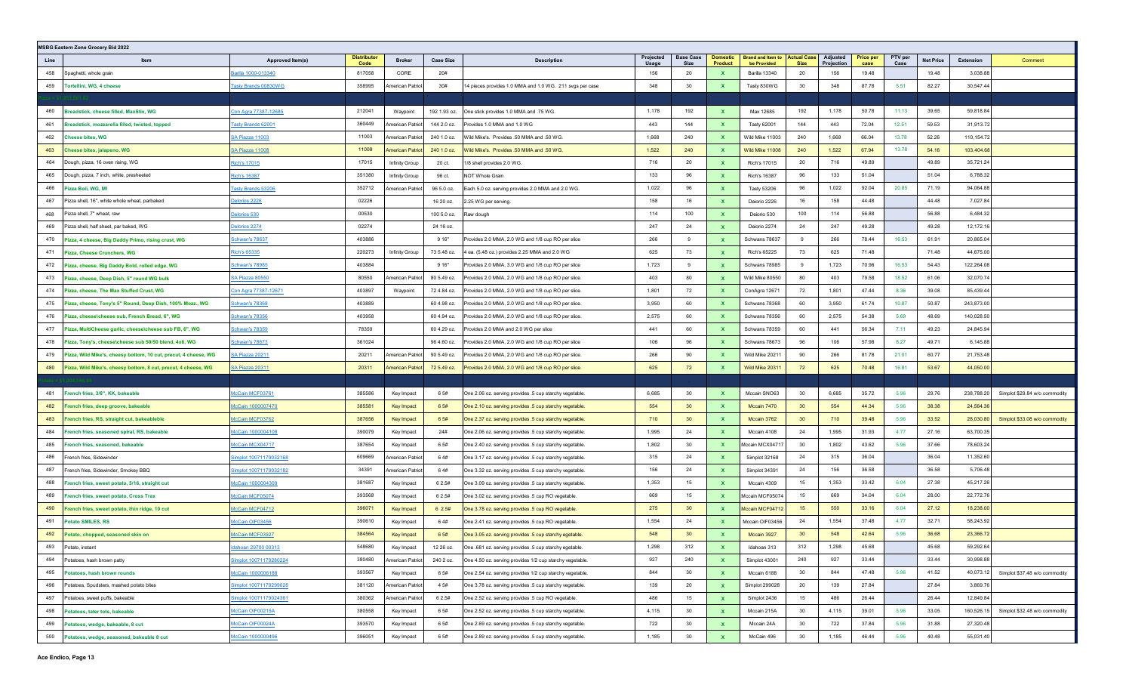|            | <b>MSBG Eastern Zone Grocery Bid 2022</b>                       |                                              |                           |                                |                        |                                                                                                                    |                    |                                 |                     |                                         |                                   |                        |                   |                 |                  |                        |                               |
|------------|-----------------------------------------------------------------|----------------------------------------------|---------------------------|--------------------------------|------------------------|--------------------------------------------------------------------------------------------------------------------|--------------------|---------------------------------|---------------------|-----------------------------------------|-----------------------------------|------------------------|-------------------|-----------------|------------------|------------------------|-------------------------------|
| Line       | Item                                                            | <b>Approved Item(s)</b>                      | <b>Distributo</b><br>Code | <b>Broker</b>                  | <b>Case Size</b>       | <b>Description</b>                                                                                                 | Projected<br>Usage | <b>Base Case</b><br><b>Size</b> | Domestic<br>Product | <b>Brand and Item to</b><br>be Provided | <b>Actual Case</b><br><b>Size</b> | Adjusted<br>Projection | Price per<br>case | PTV per<br>Case | <b>Net Price</b> | <b>Extension</b>       | Comment                       |
| 458        | Spaghetti, whole grain                                          | Barilla 1000-013340                          | 817058                    | CORE                           | 20#                    |                                                                                                                    | 156                | 20                              | $\mathbf{x}$        | Barilla 13340                           | 20                                | 156                    | 19.48             |                 | 19.48            | 3,038.88               |                               |
| 459        | Tortellini, WG, 4 cheese                                        | asty Brands 00830WG                          | 358995                    | American Patriot               | 30#                    | 14 pieces provides 1.0 MMA and 1.0 WG. 211 svgs per case                                                           | 348                | 30                              | $\mathbf{x}$        | Tasty 830WG                             | 30                                | 348                    | 87.78             | 5.51            | 82.27            | 30,547.44              |                               |
|            |                                                                 |                                              |                           |                                |                        |                                                                                                                    |                    |                                 |                     |                                         |                                   |                        |                   |                 |                  |                        |                               |
| 460        | Breadstick, cheese filled, MaxStix, WG                          | Con Agra 77387-12685                         | 212041                    | Waypoint                       | 192 1.93 oz.           | One stick provides 1.0 MMA and .75 WG.                                                                             | 1,178              | 192                             |                     | Max 12685                               | 192                               | 1,178                  | 50.78             | 11.13           | 39.65            | 59,818.84              |                               |
| 461        | Breadstick, mozzarella filled, twisted, topped                  | <b>Tasty Brands 62001</b>                    | 360449                    | American Patriot               | 144 2.0 oz.            | Provides 1.0 MMA and 1.0 WG                                                                                        | 443                | 144                             | $\mathbf{x}$        | Tasty 62001                             | 144                               | 443                    | 72.04             | 12.51           | 59.53            | 31,913.72              |                               |
| 462        | <b>Cheese bites, WG</b>                                         | SA Piazza 11003                              | 11003                     | American Patriot               | 240 1.0 oz.            | Wild Mike's. Provides .50 MMA and .50 WG.                                                                          | 1,668              | 240                             | $\mathbf{x}$        | Wild Mike 11003                         | 240                               | 1,668                  | 66.04             | 13.78           | 52.26            | 110,154.72             |                               |
| 463        | Cheese bites, jalapeno, WG                                      | <u>SA Piazza 11008</u>                       | 11008                     | <b>American Patriot</b>        | 240 1.0 oz.            | Wild Mike's. Provides .50 MMA and .50 WG.                                                                          | 1,522              | 240                             | $\mathbf{x}$        | Wild Mike 11008                         | 240                               | 1,522                  | 67.94             | 13.78           | 54.16            | 103,404.68             |                               |
| 464        | Dough, pizza, 16 oven rising, WG                                | Rich's 17015                                 | 17015                     | Infinity Group                 | 20 ct.                 | 1/8 shell provides 2.0 WG.                                                                                         | 716                | 20                              | $\mathbf{x}$        | Rich's 17015                            | 20                                | 716                    | 49.89             |                 | 49.89            | 35,721.24              |                               |
| 465        | Dough, pizza, 7 inch, white, presheeted                         | <u>Rich's 16387</u>                          | 351380                    | Infinity Group                 | 96 ct.                 | NOT Whole Grain                                                                                                    | 133                | 96                              | $\mathbf{x}$        | Rich's 16387                            | 96                                | 133                    | 51.04             |                 | 51.04            | 6,788.32               |                               |
| 466        | Pizza Boli, WG, IW                                              | <b>Tasty Brands 53206</b>                    | 352712                    | American Patriot               | 96 5.0 oz.             | Each 5.0 oz. serving provides 2.0 MMA and 2.0 WG.                                                                  | 1,022              | 96                              | $\mathbf{x}$        | Tasty 53206                             | 96                                | 1,022                  | 92.04             | 20.85           | 71.19            | 94,064.88              |                               |
| 467        | Pizza shell, 16", white whole wheat, parbaked                   | elorios 2226                                 | 02226                     |                                | 16 20 oz.              | 2.25 WG per serving.                                                                                               | 158                | 16                              | $\mathbf{x}$        | Deiorio 2226                            | 16                                | 158                    | 44.48             |                 | 44.48            | 7,027.84               |                               |
| 468        | Pizza shell, 7" wheat, raw                                      | elorios 530                                  | 00530                     |                                | 100 5.0 oz.            | Raw dough                                                                                                          | 114                | 100                             | $\mathbf{x}$        | Deiorio 530                             | 100                               | 114                    | 56.88             |                 | 56.88            | 6,484.32               |                               |
| 469        | Pizza shell, half sheet, par baked, WG                          | elorios 2274                                 | 02274                     |                                | 24 16 oz.              |                                                                                                                    | 247                | 24                              | $\mathbf{x}$        | Deiorio 2274                            | 24                                | 247                    | 49.28             |                 | 49.28            | 12,172.16              |                               |
| 470        | Pizza, 4 cheese, Big Daddy Primo, rising crust, WG              | chwan's 78637                                | 403886                    |                                | 9 16"                  | Provides 2.0 MMA, 2.0 WG and 1/8 cup RO per slice                                                                  | 266                | 9                               | $\mathbf{x}$        | Schwans 78637                           | 9                                 | 266                    | 78.44             | 16.53           | 61.91            | 20,865.04              |                               |
| 471        | Pizza, Cheese Crunchers, WG                                     | Rich's 65335                                 | 220273                    | Infinity Group                 | 73 5.48 oz.            | 4 ea. (5.48 oz.) provides 2.25 MMA and 2.0 WG                                                                      | 625                | 73                              | $\mathbf{x}$        | Rich's 65225                            | 73                                | 625                    | 71.48             |                 | 71.48            | 44,675.00              |                               |
| 472        | Pizza, cheese, Big Daddy Bold, rolled edge, WG                  | <u>Schwan's 78985</u>                        | 403884                    |                                | 916"                   | Provides 2.0 MMA, 3.0 WG and 1/8 cup RO per slice                                                                  | 1,723              | 9                               | $\mathbf{x}$        | Schwans 78985                           | 9                                 | 1,723                  | 70.96             | 16.53           | 54.43            | 122,264.08             |                               |
| 473        | Pizza, cheese, Deep Dish, 5" round WG bulk                      | <u>SA Piazza 80550</u>                       | 80550                     | American Patriot               | 80 5.49 oz.            | Provides 2.0 MMA, 2.0 WG and 1/8 cup RO per slice                                                                  | 403                | 80                              | $\mathbf{x}$        | Wild Mike 80550                         | 80                                | 403                    | 79.58             | 18.52           | 61.06            | 32,070.74              |                               |
| 474        | lizza, cheese, The Max Stuffed Crust, WG                        | Con Agra 77387-12671                         | 403897                    | Waypoint                       | 72 4.84 oz.            | Provides 2.0 MMA, 2.0 WG and 1/8 cup RO per slice.                                                                 | 1,801              | 72                              | $\mathbf{x}$        | ConAgra 12671                           | 72                                | 1,801                  | 47.44             | 8.36            | 39.08            | 85,439.44              |                               |
| 475        | Pizza, cheese, Tony's 5" Round, Deep Dish, 100% Mozz., WG       | chwan's 7836                                 | 403889                    |                                | 60 4.98 oz.            | Provides 2.0 MMA, 2.0 WG and 1/8 cup RO per slice                                                                  | 3,950              | 60                              | $\mathbf{x}$        | Schwans 78368                           | 60                                | 3,950                  | 61.74             | 10.87           | 50.87            | 243,873.00             |                               |
| 476        | Pizza, cheese\cheese sub, French Bread, 6", WG                  | <u>Schwan's 78356</u>                        | 403958                    |                                | 60 4.94 oz.            | Provides 2.0 MMA, 2.0 WG and 1/8 cup RO per slice.                                                                 | 2,575              | 60                              | $\mathbf{x}$        | Schwans 78356                           | 60                                | 2,575                  | 54.38             | 5.69            | 48.69            | 140,028.50             |                               |
| 477        | Pizza, MultiCheese garlic, cheese\cheese sub FB, 6", WG         | Schwan's 78359                               | 78359                     |                                | 60 4.29 oz.            | Provides 2.0 MMA and 2.0 WG per slice                                                                              | 441                | 60                              | $\mathbf{x}$        | Schwans 78359                           | 60                                | 441                    | 56.34             | 7.11            | 49.23            | 24,845.94              |                               |
| 478        | Pizza, Tony's, cheese\cheese sub 50/50 blend, 4x6, WG           | Schwan's 78673                               | 361024                    |                                | 96 4.60 oz.            | Provides 2.0 MMA, 2.0 WG and 1/8 cup RO per slice                                                                  | 106                | 96                              | $\mathbf{x}$        | Schwans 78673                           | 96                                | 106                    | 57.98             | 8.27            | 49.71            | 6,145.88               |                               |
| 479        | Pizza, Wild Mike's, cheesy bottom, 10 cut, precut, 4 cheese, WG | SA Piazza 20211                              | 20211                     | American Patriot               | 90 5.49 oz.            | Provides 2.0 MMA, 2.0 WG and 1/8 cup RO per slice.                                                                 | 266                | 90                              | $\mathbf{x}$        | Wild Mike 20211                         | 90                                | 266                    | 81.78             | 21.01           | 60.77            | 21,753.48              |                               |
| 480        | Pizza, Wild Mike's, cheesy bottom, 8 cut, precut, 4 cheese, WG  | SA Piazza 20311                              | 20311                     | <b>American Patriot</b>        | 72 5.49 oz.            | Provides 2.0 MMA, 2.0 WG and 1/8 cup RO per slice                                                                  | 625                | 72                              |                     | Wild Mike 2031                          | 72                                | 625                    | 70.48             | 16.81           | 53.67            | 44,050.00              |                               |
|            |                                                                 |                                              |                           |                                |                        |                                                                                                                    |                    |                                 |                     |                                         |                                   |                        |                   |                 |                  |                        |                               |
| 481        | rench fries, 3/8", KK, bakeable                                 | <b>IcCain MCF03761</b>                       | 385586                    | Key Impact                     | 6 5#                   | One 2.06 oz. serving provides .5 cup starchy vegetable.                                                            | 6,685              | 30                              | $\mathbf{x}$        | Mccain SNO63                            | 30                                | 6,685                  | 35.72             | 5.96            | 29.76            | 238,788.20             | Simplot \$29.84 w/o commodity |
| 482        | French fries, deep groove, bakeable                             | <u> McCain 1000007470</u>                    | 385581                    | Key Impact                     | 6 5#                   | One 2.10 oz. serving provides .5 cup starchy vegetable                                                             | 554                | 30                              | $\mathbf{x}$        | Mccain 7470                             | 30 <sup>°</sup>                   | 554                    | 44.34             | 5.96            | 38.38            | 24,564.36              |                               |
| 483        | rench fries, RS, straight cut, bakeableble                      | McCain MCF03762                              | 387656                    | Key Impact                     | 6 5#                   | One 2.37 oz. serving provides .5 cup starchy vegetable                                                             | 710                | 30                              | $\mathbf{x}$        | Mccain 3762                             | 30 <sup>°</sup>                   | 710                    | 39.48             | 5.96            | 33.52            | 28,030.80              | Simplot \$33.08 w/o commodity |
| 484        | rench fries, seasoned spiral, RS, bakeable                      | AcCain 1000004108                            | 390079                    | Key Impact                     | 24#                    | One 2.06 oz. serving provides .5 cup starchy vegetable.                                                            | 1,995              | 24                              | $\mathbf{x}$        | Mccain 4108                             | 24                                | 1,995                  | 31.93             | 4.77            | 27.16            | 63,700.35              |                               |
| 485        | French fries, seasoned, bakeable                                | McCain MCX04717                              | 387654                    | Key Impact                     | 6 5#                   | One 2.40 oz. serving provides .5 cup starchy vegetable.                                                            | 1,802              | 30                              | $\mathbf{x}$        | Mccain MCX0471                          | 30                                | 1,802                  | 43.62             | 5.96            | 37.66            | 78,603.24              |                               |
| 486        | French fries, Sidewinder                                        | Simplot 10071179032168                       | 609669                    | American Patriot               | 64#                    | One 3.17 oz. serving provides .5 cup starchy vegetable.                                                            | 315                | 24                              | $\mathbf{x}$        | Simplot 32168                           | 24                                | 315                    | 36.04             |                 | 36.04            | 11,352.60              |                               |
| 487        | French fries, Sidewinder, Smokey BBQ                            | implot 10071179032182                        | 34391                     | American Patriot               | 64#                    | One 3.32 oz. serving provides .5 cup starchy vegetable.                                                            | 156                | 24                              | $\mathbf{x}$        | Simplot 34391                           | 24                                | 156                    | 36.58             |                 | 36.58            | 5,706.48               |                               |
| 488        | rench fries, sweet potato, 5/16, straight cut                   | <u> McCain 1000004309</u>                    | 381687                    | Key Impact                     | 6 2.5#                 | One 3.09 oz. serving provides .5 cup starchy vegetable.                                                            | 1,353              | 15                              | X                   | Mccain 4309                             | 15                                | 1,353                  | 33.42             | 6.04            | 27.38            | 45,217.26              |                               |
| 489        | French fries, sweet potato, Cross Trax                          | McCain MCF05074                              | 393568                    | Key Impact                     | 6 2.5#                 | One 3.02 oz. serving provides .5 cup RO vegetable.                                                                 | 669                | 15                              | $\mathbf{x}$        | Mccain MCF05074                         | 15                                | 669                    | 34.04             | 6.04            | 28.00            | 22,772.76              |                               |
| 490        | rench fries, sweet potato, thin ridge, 10 cut                   | AcCain MCF04712                              | 396071                    | Key Impact                     | 62.5#                  | One 3.78 oz. serving provides .5 cup RO vegetable.                                                                 | 275                | 30<br>24                        | $\mathbf{x}$        | Mccain MCF04712                         | 15                                | 550                    | 33.16             | 6.04            | 27.12<br>32.71   | 18,238.00              |                               |
| 491        | <b>Potato SMILES, RS</b>                                        | AcCain OIF03456                              | 390610<br>384564          | Key Impact                     | 64#                    | One 2.41 oz. serving provides .5 cup RO vegetable.                                                                 | 1,554<br>548       | 30 <sup>°</sup>                 | $\mathbf{x}$        | Mccain OIF03456                         | 24<br>30 <sup>°</sup>             | 1,554<br>548           | 37.48             | 4.77<br>5.96    |                  | 58,243.92<br>23,366.72 |                               |
| 492        | Potato, chopped, seasoned skin on                               | AcCain MCF03927                              | 548680                    | Key Impact                     | 6 5#                   | One 3.05 oz. serving provides .5 cup starchy egetable.                                                             | 1,298              | 312                             |                     | Mccain 3927                             | 312                               | 1,298                  | 42.64<br>45.68    |                 | 36.68<br>45.68   | 59,292.64              |                               |
| 493<br>494 | Potato, instant<br>Potatoes, hash brown patty                   | Idahoan 29700 00313<br>implot 10071179280224 | 380480                    | Key Impact<br>American Patriot | 12 26 oz.<br>240 2 oz. | One .681 oz. serving provides .5 cup starchy egetable.<br>One 4.50 oz. serving provides 1/2 cup starchy vegetable. | 927                | 240                             | X<br>$\mathbf{x}$   | Idahoan 313<br>Simplot 43001            | 240                               | 927                    | 33.44             |                 | 33.44            | 30,998.88              |                               |
| 495        | Potatoes, hash brown rounds                                     | McCain 1000006188                            | 393567                    | Key Impact                     | 6 5#                   | One 2.54 oz. serving provides 1/2 cup starchy vegetable.                                                           | 844                | 30                              | $\mathbf{x}$        | Mccain 6188                             | 30                                | 844                    | 47.48             | 5.96            | 41.52            | 40,073.12              | Simplot \$37.48 w/o commodity |
| 496        | Potatoes, Spudsters, mashed potato bites                        | Simplot 10071179299028                       | 381120                    | American Patriot               | 4 5#                   | One 3.78 oz. serving provides .5 cup starchy vegetable.                                                            | 139                | 20                              | $\mathbf{x}$        | Simplot 299028                          | 20                                | 139                    | 27.84             |                 | 27.84            | 3,869.76               |                               |
| 497        | Potatoes, sweet puffs, bakeable                                 | Simplot 10071179024361                       | 380362                    | American Patriot               | 6 2.5#                 | One 2.52 oz. serving provides .5 cup RO vegetable.                                                                 | 486                | 15                              | $\mathbf{x}$        | Simplot 2436                            | 15                                | 486                    | 26.44             |                 | 26.44            | 12,849.84              |                               |
| 498        | Potatoes, tater tots, bakeable                                  | McCain OIF00215A                             | 380558                    | Key Impact                     | 6 5#                   | One 2.52 oz. serving provides .5 cup starchy vegetable.                                                            | 4,115              | 30                              | $\mathbf{x}$        | Mccain 215A                             | 30 <sup>°</sup>                   | 4,115                  | 39.01             | 5.96            | 33.05            | 160,526.15             | Simplot \$32.48 w/o commodity |
| 499        | Potatoes, wedge, bakeable, 8 cut                                | McCain OIF00024A                             | 393570                    | Key Impact                     | 6 5#                   | One 2.69 oz. serving provides .5 cup starchy vegetable.                                                            | 722                | 30                              | $\mathbf{x}$        | Mccain 24A                              | 30 <sup>°</sup>                   | 722                    | 37.84             | 5.96            | 31.88            | 27,320.48              |                               |
| 500        | Potatoes, wedge, seasoned, bakeable 8 cut                       | McCain 1000000496                            | 396051                    | Key Impact                     | 6 5#                   | One 2.89 oz. serving provides .5 cup starchy vegetable.                                                            | 1,185              | 30                              | $\mathbf{x}$        | McCain 496                              | 30 <sup>°</sup>                   | 1,185                  | 46.44             | 5.96            | 40.48            | 55,031.40              |                               |
|            |                                                                 |                                              |                           |                                |                        |                                                                                                                    |                    |                                 |                     |                                         |                                   |                        |                   |                 |                  |                        |                               |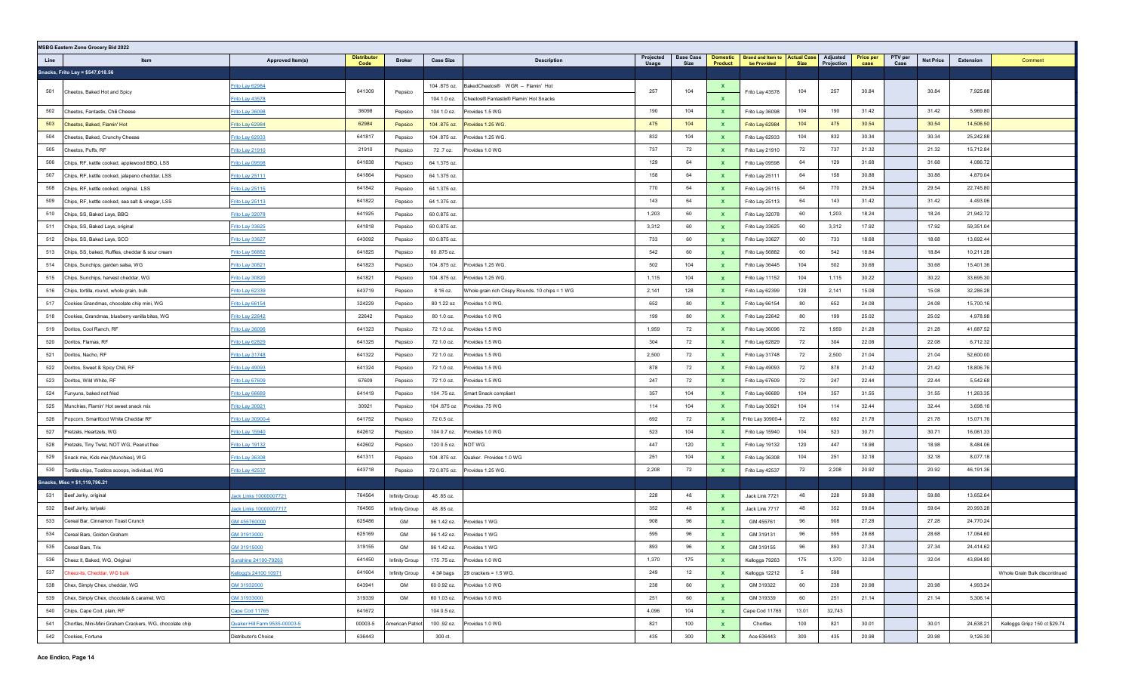| <b>MSBG Eastern Zone Grocery Bid 2022</b>                                   |                                    |                            |                    |                           |                                                 |                    |                          |                                   |                                                              |             |            |                          |                 |                  |                       |                               |
|-----------------------------------------------------------------------------|------------------------------------|----------------------------|--------------------|---------------------------|-------------------------------------------------|--------------------|--------------------------|-----------------------------------|--------------------------------------------------------------|-------------|------------|--------------------------|-----------------|------------------|-----------------------|-------------------------------|
| Line<br>Item                                                                | Approved Item(s)                   | <b>Distributor</b><br>Code | <b>Broker</b>      | <b>Case Size</b>          | <b>Description</b>                              | Projected<br>Usage | <b>Base Case</b><br>Size | <b>Domestic</b><br><b>Product</b> | <b>Brand and Item to Actual Case</b> Adjusted<br>be Provided | <b>Size</b> | Projection | <b>Price per</b><br>case | PTV per<br>Case | <b>Net Price</b> | Extension             | Comment                       |
| Snacks, Frito Lay = \$547,018.56                                            |                                    |                            |                    |                           |                                                 |                    |                          |                                   |                                                              |             |            |                          |                 |                  |                       |                               |
| 501                                                                         | Frito Lay 62984                    | 641309                     |                    | 104 .875 oz.              | BakedCheetos® WGR - Flamin' Hot                 | 257                | 104                      | $\mathbf{x}$                      |                                                              | 104         | 257        | 30.84                    |                 | 30.84            | 7,925.88              |                               |
| Cheetos, Baked Hot and Spicy                                                | Frito Lay 43578                    |                            | Pepsico            | 104 1.0 oz.               | Cheetos® Fantastix® Flamin' Hot Snacks          |                    |                          | $\mathbf{x}$                      | Frito Lay 43578                                              |             |            |                          |                 |                  |                       |                               |
| 502<br>Cheetos, Fantastix, Chili Cheese                                     | <u>Frito Lay 36098</u>             | 36098                      | Pepsico            | 104 1.0 oz.               | Provides 1.5 WG                                 |                    | 104                      | $\mathbf{x}$                      | Frito Lay 36098                                              | 104         | 190        | 31.42                    |                 | 31.42            | 5,969.80              |                               |
| 503<br>Cheetos, Baked, Flamin' Hot                                          | Frito Lay 62984                    | 62984                      | Pepsico            | 104 .875 oz.              | Provides 1.25 WG.                               | 475                | 104                      | $\mathbf{x}$                      | Frito Lay 62984                                              | 104         | 475        | 30.54                    |                 | 30.54            | 14,506.50             |                               |
| 504<br>Cheetos, Baked, Crunchy Cheese                                       | Frito Lay 62933                    | 641817                     | Pepsico            | 104 .875 oz.              | Provides 1.25 WG.                               | 832                | 104                      | $\mathbf{x}$                      | Frito Lay 62933                                              | 104         | 832        | 30.34                    |                 | 30.34            | 25,242.88             |                               |
| 505<br>Cheetos, Puffs, RF                                                   | Frito Lay 21910                    | 21910                      | Pepsico            | 72.7 oz.                  | Provides 1.0 WG                                 | 737                | 72                       | $\mathbf{x}$                      | Frito Lay 21910                                              | 72          | 737        | 21.32                    |                 | 21.32            | 15,712.84             |                               |
| 506<br>Chips, RF, kettle cooked, applewood BBQ, LSS                         | Frito Lay 09598                    | 641838                     | Pepsico            | 64 1.375 oz.              |                                                 | 129                | 64                       | $\mathbf{x}$                      | Frito Lay 09598                                              | 64          | 129        | 31.68                    |                 | 31.68            | 4,086.72              |                               |
| 507<br>Chips, RF, kettle cooked, jalapeno cheddar, LSS                      | Frito Lay 25111                    | 641864                     | Pepsico            | 64 1.375 oz.              |                                                 | 158                | 64                       | $\mathbf{x}$                      | Frito Lay 25111                                              | 64          | 158        | 30.88                    |                 | 30.88            | 4,879.04              |                               |
| 508<br>Chips, RF, kettle cooked, original, LSS                              | Frito Lay 25115                    | 641842                     | Pepsico            | 64 1.375 oz.              |                                                 | 770                | 64                       | $\mathbf{x}$                      | Frito Lay 25115                                              | 64          | 770        | 29.54                    |                 | 29.54            | 22,745.80             |                               |
| 509<br>Chips, RF, kettle cooked, sea salt & vinegar, LSS                    | Frito Lay 25113                    | 641822                     | Pepsico            | 64 1.375 oz.              |                                                 | 143                | 64                       | $\mathbf{x}$                      | Frito Lay 25113                                              | 64          | 143        | 31.42                    |                 | 31.42            | 4,493.06              |                               |
| 510<br>Chips, SS, Baked Lays, BBQ                                           | Frito Lay 32078                    | 641925                     | Pepsico            | 60 0.875 oz.              |                                                 | 1,203              | 60                       | $\mathbf{x}$                      | Frito Lay 32078                                              | 60          | 1,203      | 18.24                    |                 | 18.24            | 21,942.72             |                               |
| 511<br>Chips, SS, Baked Lays, original                                      | Frito Lay 33625                    | 641818                     | Pepsico            | 60 0.875 oz.              |                                                 | 3,312              | 60                       | $\mathbf{x}$                      | Frito Lay 33625                                              | 60          | 3,312      | 17.92                    |                 | 17.92            | 59,351.04             |                               |
| 512<br>Chips, SS, Baked Lays, SCO                                           | Frito Lay 33627                    | 643092                     | Pepsico            | 60 0.875 oz.              |                                                 | 733                | 60                       | $\mathbf{x}$                      | Frito Lay 33627                                              | 60          | 733        | 18.68                    |                 | 18.68            | 13,692.44             |                               |
| 513<br>Chips, SS, baked, Ruffles, cheddar & sour cream                      | Frito Lay 56882                    | 641825                     | Pepsico            | 60.875 oz.                |                                                 | 542                | 60                       | $\mathbf{x}$                      | Frito Lay 56882                                              | 60          | 542        | 18.84                    |                 | 18.84            | 10,211.28             |                               |
| 514<br>Chips, Sunchips, garden salsa, WG                                    | Frito Lay 30821                    | 641823                     | Pepsico            | 104 .875 oz.              | Provides 1.25 WG.                               | 502                | 104                      | $\mathbf{x}$                      | Frito Lay 36445                                              | 104         | 502        | 30.68                    |                 | 30.68            | 15,401.36             |                               |
| 515<br>Chips, Sunchips, harvest cheddar, WG                                 | Frito Lay 30820                    | 641821                     | Pepsico            | 104 .875 oz.              | Provides 1.25 WG.                               | 1,115              | 104                      | $\mathbf{x}$                      | Frito Lay 11152                                              | 104         | 1,115      | 30.22                    |                 | 30.22            | 33,695.30             |                               |
| 516<br>Chips, tortilla, round, whole grain, bulk                            | Frito Lay 62339                    | 643719                     | Pepsico            | 8 16 oz.                  | Whole grain rich Crispy Rounds. 10 chips = 1 WG | 2,141              | 128                      | $\mathbf{x}$                      | Frito Lay 62399                                              | 128         | 2,141      | 15.08                    |                 | 15.08            | 32,286.28             |                               |
| 517<br>Cookies Grandmas, chocolate chip mini, WG                            | Frito Lay 66154                    | 324229                     | Pepsico            | 80 1.22 oz                | Provides 1.0 WG.                                | 652                | 80                       | $\mathbf{x}$                      | Frito Lay 66154                                              | 80          | 652        | 24.08                    |                 | 24.08            | 15,700.16             |                               |
| 518<br>Cookies, Grandmas, blueberry vanilla bites, WG                       | Frito Lay 22642                    | 22642                      | Pepsico            | 80 1.0 oz.                | Provides 1.0 WG                                 | 199                | 80                       | $\mathbf{x}$                      | Frito Lay 22642                                              | 80          | 199        | 25.02                    |                 | 25.02            | 4,978.98              |                               |
| 519<br>Doritos, Cool Ranch, RF                                              | Frito Lay 36096                    | 641323                     | Pepsico            | 72 1.0 oz.                | Provides 1.5 WG                                 | 1,959              | 72                       | $\mathbf{x}$                      | Frito Lay 36096                                              | 72          | 1,959      | 21.28                    |                 | 21.28            | 41,687.52             |                               |
| 520<br>Doritos, Flamas, RF                                                  | Frito Lay 62829                    | 641325                     | Pepsico            | 72 1.0 oz.                | Provides 1.5 WG                                 | 304                | 72                       | $\mathbf{x}$                      | Frito Lay 62829                                              | 72          | 304        | 22.08                    |                 | 22.08            | 6,712.32              |                               |
| 521<br>Doritos, Nacho, RF                                                   | Frito Lay 31748                    | 641322                     | Pepsico            | 72 1.0 oz.                | Provides 1.5 WG                                 | 2,500              | 72                       | $\mathbf{x}$                      | Frito Lay 31748                                              | 72          | 2,500      | 21.04                    |                 | 21.04            | 52,600.00             |                               |
| Doritos, Sweet & Spicy Chili, RF<br>522                                     | Frito Lay 49093                    | 641324                     | Pepsico            | 72 1.0 oz.                | Provides 1.5 WG                                 | 878                | 72                       | $\mathbf{x}$                      | Frito Lay 49093                                              | 72          | 878        | 21.42                    |                 | 21.42            | 18,806.76             |                               |
| 523<br>Doritos, Wild White, RF                                              | Frito Lay 67609                    | 67609                      | Pepsico            | 72 1.0 oz.                | Provides 1.5 WG                                 | 247                | 72                       | $\mathbf{x}$                      | Frito Lay 67609                                              | 72<br>104   | 247<br>357 | 22.44                    |                 | 22.44            | 5,542.68<br>11,263.35 |                               |
| 524<br>Funyuns, baked not fried                                             | Frito Lay 66689                    | 641419                     | Pepsico            | 104 .75 oz.               | Smart Snack compliant                           | 357<br>114         | 104                      | $\mathbf{x}$                      | Frito Lay 66689                                              |             | 114        | 31.55                    |                 | 31.55<br>32.44   |                       |                               |
| 525<br>Munchies, Flamin' Hot sweet snack mix<br>526                         | Frito Lay 30921                    | 30921<br>641752            | Pepsico            | 104 .875 oz               | Provides .75 WG                                 | 692                | 104<br>72                | $\mathbf{x}$                      | Frito Lay 30921                                              | 104<br>72   | 692        | 32.44<br>21.78           |                 | 21.78            | 3,698.16<br>15,071.76 |                               |
| Popcorn, Smartfood White Cheddar RF<br>527                                  | Frito Lay 30900-4                  | 642612                     | Pepsico            | 72 0.5 oz.<br>104 0.7 oz. | Provides 1.0 WG                                 | 523                | 104                      | $\mathbf{x}$                      | Frito Lay 30900-4<br>Frito Lay 15940                         | 104         | 523        | 30.71                    |                 | 30.71            | 16,061.33             |                               |
| Pretzels, Heartzels, WG<br>Pretzels, Tiny Twist, NOT WG, Peanut free<br>528 | Frito Lay 15940<br>Frito Lay 19132 | 642602                     | Pepsico<br>Pepsico | 120 0.5 oz.               | NOT WG                                          | 447                | 120                      | $\mathbf{x}$<br>$\mathbf{x}$      | Frito Lay 19132                                              | 120         | 447        | 18.98                    |                 | 18.98            | 8,484.06              |                               |
| Snack mix, Kids mix (Munchies), WG<br>529                                   | Frito Lay 36308                    | 641311                     | Pepsico            | 104 .875 oz.              | Quaker. Provides 1.0 WG                         | 251                | 104                      | $\mathbf{x}$                      | Frito Lay 36308                                              | 104         | 251        | 32.18                    |                 | 32.18            | 8,077.18              |                               |
| 530<br>Tortilla chips, Tostitos scoops, individual, WG                      | Frito Lay 42537                    | 643718                     | Pepsico            | 72 0.875 oz.              | Provides 1.25 WG.                               | 2,208              | 72                       | $\mathbf{x}$                      | Frito Lay 42537                                              | 72          | 2,208      | 20.92                    |                 | 20.92            | 46,191.36             |                               |
| Snacks, Misc = \$1,119,796.21                                               |                                    |                            |                    |                           |                                                 |                    |                          |                                   |                                                              |             |            |                          |                 |                  |                       |                               |
| 531<br>Beef Jerky, original                                                 | lack Links 10000007721             | 764564                     | Infinity Group     | 48.85 oz.                 |                                                 | 228                | 48                       | $\mathbf{x}$                      | Jack Link 7721                                               | 48          | 228        | 59.88                    |                 | 59.88            | 13,652.64             |                               |
| 532<br>Beef Jerky, teriyaki                                                 | Jack Links 10000007717             | 764565                     | Infinity Group     | 48.85 oz.                 |                                                 | 352                | 48                       | $\mathbf{x}$                      | Jack Link 7717                                               | 48          | 352        | 59.64                    |                 | 59.64            | 20,993.28             |                               |
| 533<br>Cereal Bar, Cinnamon Toast Crunch                                    | GM 45576000                        | 625486                     | GM                 | 96 1.42 oz.               | Provides 1 WG                                   | 908                | 96                       | $\mathbf{x}$                      | GM 455761                                                    | 96          | 908        | 27.28                    |                 | 27.28            | 24,770.24             |                               |
| 534<br>Cereal Bars, Golden Graham                                           | GM 31913000                        | 625169                     | GM                 | 96 1.42 oz.               | Provides 1 WG                                   | 595                | 96                       | $\mathbf{x}$                      | GM 319131                                                    | 96          | 595        | 28.68                    |                 | 28.68            | 17,064.60             |                               |
| 535 Cereal Bars, Trix                                                       | GM 31915000                        | 319155                     | GM                 | 96 1.42 oz.               | Provides 1 WG                                   | 893                | 96                       | $\mathbf{x}$                      | GM 319155                                                    | 96          | 893        | 27.34                    |                 | 27.34            | 24,414.62             |                               |
| 536 Cheez It, Baked, WG, Original                                           | Sunshine 24100-79263               | 641450                     | Infinity Group     | 175 .75 oz.               | Provides 1.0 WG                                 | 1,370              | 175                      | $\mathbf{x}$                      | Kelloggs 79263                                               | 175         | 1,370      | 32.04                    |                 | 32.04            | 43,894.80             |                               |
| 537 Cheez-its, Cheddar, WG bulk                                             | Kellogg's 24100 10971              | 641604                     | Infinity Group     | 4 3# bags                 | 29 crackers = $1.5$ WG.                         | 249                | 12                       | $\mathbf{x}$                      | Kelloggs 12212                                               | $5^{\circ}$ | 598        |                          |                 |                  |                       | Whole Grain Bulk discontinued |
| 538 Chex, Simply Chex, cheddar, WG                                          | GM 31932000                        | 643941                     | GM                 | 60 0.92 oz.               | Provides 1.0 WG                                 | 238                | 60                       | $\mathbf{x}$                      | GM 319322                                                    | 60          | 238        | 20.98                    |                 | 20.98            | 4,993.24              |                               |
| 539 Chex, Simply Chex, chocolate & caramel, WG                              | GM 31933000                        | 319339                     | GM                 | 60 1.03 oz.               | Provides 1.0 WG                                 | 251                | 60                       | $\mathbf{x}$                      | GM 319339                                                    | 60          | 251        | 21.14                    |                 | 21.14            | 5,306.14              |                               |
| 540 Chips, Cape Cod, plain, RF                                              | Cape Cod 11765                     | 641672                     |                    | 104 0.5 oz.               |                                                 | 4,096              | 104                      | $\mathbf{x}$                      | Cape Cod 11765                                               | 13.01       | 32,743     |                          |                 |                  |                       |                               |
| 541 Chortles, Mini-Mini Graham Crackers, WG, chocolate chip                 | Quaker Hill Farm 9535-00003-5      | 00003-5                    | American Patriot   | 100 .92 oz.               | Provides 1.0 WG                                 | 821                | 100                      | $\mathbf{x}$                      | Chortles                                                     | 100         | 821        | 30.01                    |                 | 30.01            | 24,638.21             | Kelloggs Gripz 150 ct \$29.74 |
| 542 Cookies, Fortune                                                        | Distributor's Choice               | 636443                     |                    | 300 ct.                   |                                                 | 435                | 300                      | $\mathbf{x}$                      | Ace 636443                                                   | 300         | 435        | 20.98                    |                 | 20.98            | 9,126.30              |                               |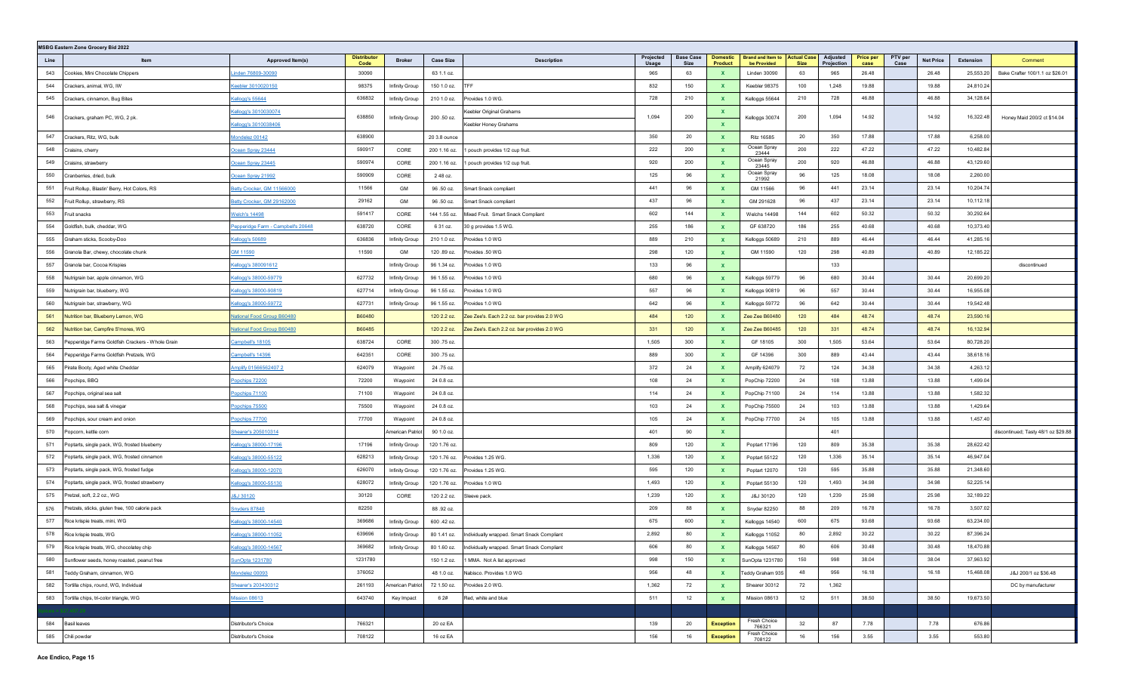| <b>MSBG Eastern Zone Grocery Bid 2022</b> |                                                  |                                    |                            |                  |                  |                                             |                    |                          |                                   |                                                     |             |                        |                          |                 |                  |           |                                     |
|-------------------------------------------|--------------------------------------------------|------------------------------------|----------------------------|------------------|------------------|---------------------------------------------|--------------------|--------------------------|-----------------------------------|-----------------------------------------------------|-------------|------------------------|--------------------------|-----------------|------------------|-----------|-------------------------------------|
| Line                                      | Item                                             | Approved Item(s)                   | <b>Distributor</b><br>Code | <b>Broker</b>    | <b>Case Size</b> | <b>Description</b>                          | Projected<br>Usage | <b>Base Case</b><br>Size | <b>Domestic</b><br><b>Product</b> | <b>Brand and Item to Actual Case</b><br>be Provided | <b>Size</b> | Adjusted<br>Projection | <b>Price per</b><br>case | PTV per<br>Case | <b>Net Price</b> | Extension | Comment                             |
| 543                                       | Cookies, Mini Chocolate Chippers                 | <u>inden 76809-30090</u>           | 30090                      |                  | 63 1.1 oz.       |                                             | 965                | 63                       | $\mathbf{x}$                      | Linden 30090                                        | 63          | 965                    | 26.48                    |                 | 26.48            | 25,553.20 | Bake Crafter 100/1.1 oz \$26.01     |
| 544                                       | Crackers, animal, WG, IW                         | cebler 3010020150                  | 98375                      | Infinity Group   | 150 1.0 oz.      | TFF                                         | 832                | 150                      | $\mathbf{x}$                      | Keebler 98375                                       | 100         | 1,248                  | 19.88                    |                 | 19.88            | 24,810.24 |                                     |
| 545                                       | Crackers, cinnamon, Bug Bites                    | Cellogg's 55644                    | 636832                     | Infinity Group   | 210 1.0 oz.      | Provides 1.0 WG.                            | 728                | 210                      | $\mathbf{x}$                      | Kelloggs 55644                                      | 210         | 728                    | 46.88                    |                 | 46.88            | 34,128.64 |                                     |
| 546                                       | Crackers, graham PC, WG, 2 pk.                   | Kellogg's 3010030074               | 638850                     | Infinity Group   | 200 .50 oz.      | Keebler Original Grahams                    | 1,094              | 200                      | $\mathbf{x}$                      | Kelloggs 30074                                      | 200         | 1,094                  | 14.92                    |                 | 14.92            | 16,322.48 | Honey Maid 200/2 ct \$14.04         |
|                                           |                                                  | Kellogg's 3010038406               |                            |                  |                  | Keebler Honey Grahams                       |                    |                          | $\mathbf{x}$                      |                                                     |             |                        |                          |                 |                  |           |                                     |
| 547                                       | Crackers, Ritz, WG, bulk                         | Mondelez 00142                     | 638900                     |                  | 20 3.8 ounce     |                                             | 350                | 20                       | $\mathbf{x}$                      | <b>Ritz 16585</b>                                   | 20          | 350                    | 17.88                    |                 | 17.88            | 6,258.00  |                                     |
| 548                                       | Craisins, cherry                                 | Ocean Spray 23444                  | 590917                     | CORE             | 200 1.16 oz.     | 1 pouch provides 1/2 cup fruit.             | 222                | 200                      | $\mathbf{x}$                      | Ocean Spray<br>23444                                | 200         | 222                    | 47.22                    |                 | 47.22            | 10,482.84 |                                     |
| 549                                       | Craisins, strawberry                             | Ocean Spray 23445                  | 590974                     | CORE             | 200 1.16 oz.     | 1 pouch provides 1/2 cup fruit.             | 920                | 200                      | $\mathbf{x}$                      | Ocean Spray<br>23445                                | 200         | 920                    | 46.88                    |                 | 46.88            | 43,129.60 |                                     |
| 550                                       | Cranberries, dried, bulk                         | Ocean Spray 21992                  | 590909                     | CORE             | 248 oz.          |                                             | 125                | 96                       | $\mathbf{x}$                      | Ocean Spray<br>21992                                | 96          | 125                    | 18.08                    |                 | 18.08            | 2,260.00  |                                     |
| 551                                       | ruit Rollup, Blastin' Berry, Hot Colors, RS      | Betty Crocker, GM 11566000         | 11566                      | GM               | 96 .50 oz.       | Smart Snack compliant                       | 441                | 96                       | $\mathbf{x}$                      | GM 11566                                            | 96          | 441                    | 23.14                    |                 | 23.14            | 10,204.74 |                                     |
| 552                                       | Fruit Rollup, strawberry, RS                     | Betty Crocker, GM 29162000         | 29162                      | GM               | 96 .50 oz.       | Smart Snack compliant                       | 437                | 96                       | $\mathbf{x}$                      | GM 291628                                           | 96          | 437                    | 23.14                    |                 | 23.14            | 10,112.18 |                                     |
| 553                                       | ruit snacks                                      | <u>Nelch's 14498</u>               | 591417                     | CORE             | 144 1.55 oz.     | Mixed Fruit. Smart Snack Compliant          | 602                | 144                      | $\mathbf{x}$                      | Welchs 14498                                        | 144         | 602                    | 50.32                    |                 | 50.32            | 30,292.64 |                                     |
| 554                                       | Goldfish, bulk, cheddar, WG                      | Pepperidge Farm - Campbell's 20648 | 638720                     | CORE             | 6 31 oz.         | 30 g provides 1.5 WG.                       | 255                | 186                      | $\mathbf{x}$                      | GF 638720                                           | 186         | 255                    | 40.68                    |                 | 40.68            | 10,373.40 |                                     |
| 555                                       | Graham sticks, Scooby-Doo                        | Kellogg's 50689                    | 636836                     | Infinity Group   | 210 1.0 oz.      | Provides 1.0 WG                             | 889                | 210                      | $\mathbf{x}$                      | Kelloggs 50689                                      | 210         | 889                    | 46.44                    |                 | 46.44            | 41,285.16 |                                     |
| 556                                       | Granola Bar, chewy, chocolate chunk              | GM 11590                           | 11590                      | GM               | 120 .89 oz.      | Provides .50 WG                             | 298                | 120                      | $\mathbf{x}$                      | GM 11590                                            | 120         | 298                    | 40.89                    |                 | 40.89            | 12,185.22 |                                     |
| 557                                       | Granola bar, Cocoa Krispies                      | Kellogg's 380091612                |                            | Infinity Group   | 96 1.34 oz.      | Provides 1.0 WG                             | 133                | 96                       | $\mathbf{x}$                      |                                                     |             | 133                    |                          |                 |                  |           | discontinued                        |
| 558                                       | Vutrigrain bar, apple cinnamon, WG               | Kellogg's 38000-59779              | 627732                     | Infinity Group   | 96 1.55 oz.      | Provides 1.0 WG                             | 680                | 96                       | $\mathbf{x}$                      | Kelloggs 59779                                      | 96          | 680                    | 30.44                    |                 | 30.44            | 20,699.20 |                                     |
| 559                                       | Nutrigrain bar, blueberry, WG                    | Kellogg's 38000-90819              | 627714                     | Infinity Group   | 96 1.55 oz.      | Provides 1.0 WG                             | 557                | 96                       | $\mathbf{x}$                      | Kelloggs 90819                                      | 96          | 557                    | 30.44                    |                 | 30.44            | 16,955.08 |                                     |
| 560                                       | Nutrigrain bar, strawberry, WG                   | Kellogg's 38000-59772              | 627731                     | Infinity Group   | 96 1.55 oz.      | Provides 1.0 WG                             | 642                | 96                       | $\mathbf{x}$                      | Kelloggs 59772                                      | 96          | 642                    | 30.44                    |                 | 30.44            | 19,542.48 |                                     |
| 561                                       | <b>Nutrition bar, Blueberry Lemon, WG</b>        | National Food Group B60480         | B60480                     |                  | 120 2.2 oz.      | Zee Zee's. Each 2.2 oz. bar provides 2.0 WG | 484                | 120                      | $\mathbf{x}$                      | Zee Zee B60480                                      | 120         | 484                    | 48.74                    |                 | 48.74            | 23,590.16 |                                     |
| 562                                       | Nutrition bar, Campfire S'mores, WG              | <b>Vational Food Group B60480</b>  | B60485                     |                  | 120 2.2 oz.      | Zee Zee's. Each 2.2 oz. bar provides 2.0 WG | 331                | 120                      | $\mathbf{x}$                      | Zee Zee B60485                                      | 120         | 331                    | 48.74                    |                 | 48.74            | 16,132.94 |                                     |
| 563                                       | Pepperidge Farms Goldfish Crackers - Whole Grain | Campbell's 18105                   | 638724                     | CORE             | 300 .75 oz.      |                                             | 1,505              | 300                      | $\mathbf{x}$                      | GF 18105                                            | 300         | 1,505                  | 53.64                    |                 | 53.64            | 80,728.20 |                                     |
| 564                                       | Pepperidge Farms Goldfish Pretzels, WG           | Campbell's 14396                   | 642351                     | CORE             | 300 .75 oz.      |                                             | 889                | 300                      | $\mathbf{x}$                      | GF 14396                                            | 300         | 889                    | 43.44                    |                 | 43.44            | 38,618.16 |                                     |
| 565                                       | Pirate Booty, Aged white Cheddar                 | Amplify 01566562407 2              | 624079                     | Waypoint         | 24 .75 oz.       |                                             | 372                | 24                       | $\mathbf{x}$                      | Amplify 624079                                      | 72          | 124                    | 34.38                    |                 | 34.38            | 4,263.12  |                                     |
| 566                                       | Popchips, BBQ                                    | Popchips 72200                     | 72200                      | Waypoint         | 24 0.8 oz.       |                                             | 108                | 24                       | $\mathbf{x}$                      | PopChip 72200                                       | 24          | 108                    | 13.88                    |                 | 13.88            | 1,499.04  |                                     |
| 567                                       | Popchips, original sea salt                      | Popchips 71100                     | 71100                      | Waypoint         | 24 0.8 oz.       |                                             | 114                | 24                       | $\mathbf{x}$                      | PopChip 71100                                       | 24          | 114                    | 13.88                    |                 | 13.88            | 1,582.32  |                                     |
| 568                                       | Popchips, sea salt & vinegar                     | Popchips 75500                     | 75500                      | Waypoint         | 24 0.8 oz.       |                                             | 103                | 24                       | $\mathbf{x}$                      | PopChip 75500                                       | 24          | 103                    | 13.88                    |                 | 13.88            | 1,429.64  |                                     |
| 569                                       | Popchips, sour cream and onion                   | Popchips 77700                     | 77700                      | Waypoint         | 24 0.8 oz.       |                                             | 105                | 24                       | $\mathbf{x}$                      | PopChip 77700                                       | 24          | 105                    | 13.88                    |                 | 13.88            | 1,457.40  |                                     |
| 570                                       | opcorn, kettle corn                              | Shearer's 205010314                |                            | merican Patriot  | 90 1.0 oz.       |                                             | 401                | 90                       | $\mathbf{x}$                      |                                                     |             | 401                    |                          |                 |                  |           | discontinued; Tasty 48/1 oz \$29.88 |
| 571                                       | Poptarts, single pack, WG, frosted blueberry     | Kellogg's 38000-17196              | 17196                      | Infinity Group   | 120 1.76 oz.     |                                             | 809                | 120                      | $\mathbf{x}$                      | Poptart 17196                                       | 120         | 809                    | 35.38                    |                 | 35.38            | 28,622.42 |                                     |
| 572                                       | Poptarts, single pack, WG, frosted cinnamon      | Kellogg's 38000-55122              | 628213                     | Infinity Group   | 120 1.76 oz.     | Provides 1.25 WG.                           | 1,336              | 120                      | $\mathbf{x}$                      | Poptart 55122                                       | 120         | 1,336                  | 35.14                    |                 | 35.14            | 46,947.04 |                                     |
| 573                                       | Poptarts, single pack, WG, frosted fudge         | Kellogg's 38000-12070              | 626070                     | Infinity Group   | 120 1.76 oz.     | Provides 1.25 WG.                           | 595                | 120                      | $\mathbf{x}$                      | Poptart 12070                                       | 120         | 595                    | 35.88                    |                 | 35.88            | 21,348.60 |                                     |
| 574                                       | Poptarts, single pack, WG, frosted strawberry    | Kellogg's 38000-55130              | 628072                     | Infinity Group   | 120 1.76 oz.     | Provides 1.0 WG                             | 1,493              | 120                      | $\mathbf{x}$                      | Poptart 55130                                       | 120         | 1,493                  | 34.98                    |                 | 34.98            | 52,225.14 |                                     |
| 575                                       | Pretzel, soft, 2.2 oz., WG                       | <b>J&amp;J 30120</b>               | 30120                      | CORE             | 120 2.2 oz.      | Sleeve pack.                                | 1,239              | 120                      | $\mathbf{x}$                      | J&J 30120                                           | 120         | 1,239                  | 25.98                    |                 | 25.98            | 32,189.22 |                                     |
| 576                                       | Pretzels, sticks, gluten free, 100 calorie pack  | Snyders 87840                      | 82250                      |                  | 88.92 oz.        |                                             | 209                | 88                       | $\mathbf{x}$                      | Snyder 82250                                        | 88          | 209                    | 16.78                    |                 | 16.78            | 3,507.02  |                                     |
| 577                                       | Rice krispie treats, mini, WG                    | Kellogg's 38000-14540              | 369686                     | Infinity Group   | 600 .42 oz.      |                                             | 675                | 600                      | $\mathbf{x}$                      | Kelloggs 14540                                      | 600         | 675                    | 93.68                    |                 | 93.68            | 63,234.00 |                                     |
| 578                                       | Rice krispie treats, WG                          | Kellogg's 38000-11052              | 639696                     | Infinity Group   | 80 1.41 oz.      | Individually wrapped. Smart Snack Compliant | 2,892              | 80                       | $\mathbf{x}$                      | Kelloggs 11052                                      | 80          | 2,892                  | 30.22                    |                 | 30.22            | 87,396.24 |                                     |
| 579                                       | Rice krispie treats, WG, chocolatey chip         | Kellogg's 38000-14567              | 369682                     | Infinity Group   | 80 1.60 oz.      | Individually wrapped. Smart Snack Compliant | 606                | 80                       | <b>X</b>                          | Kelloggs 14567                                      | 80          | 606                    | 30.48                    |                 | 30.48            | 18,470.88 |                                     |
| 580                                       | Sunflower seeds, honey roasted, peanut free      | SunOpta 1231780                    | 1231780                    |                  | 150 1.2 oz.      | 1 MMA. Not A list approved                  | 998                | 150                      | $\mathbf{x}$                      | SunOpta 1231780                                     | 150         | 998                    | 38.04                    |                 | 38.04            | 37,963.92 |                                     |
| 581                                       | Teddy Graham, cinnamon, WG                       | Mondelez 00093                     | 376052                     |                  | 48 1.0 oz.       | Nabisco. Provides 1.0 WG                    | 956                | 48                       | $\mathbf{X}$                      | Feddy Graham 935                                    | 48          | 956                    | 16.18                    |                 | 16.18            | 15,468.08 | J&J 200/1 oz \$36.48                |
| 582                                       | Tortilla chips, round, WG, Individual            | Shearer's 203430312                | 261193                     | American Patriot | 72 1.50 oz.      | Provides 2.0 WG.                            | 1,362              | 72                       | $\mathbf{x}$                      | Shearer 30312                                       | 72          | 1,362                  |                          |                 |                  |           | DC by manufacturer                  |
| 583                                       | Tortilla chips, tri-color triangle, WG           | <b>Mission 08613</b>               | 643740                     | Key Impact       | 6 2#             | Red, white and blue                         |                    | 12                       | $\mathbf{x}$                      | Mission 08613                                       | 12          | 511                    | 38.50                    |                 | 38.50            | 19,673.50 |                                     |
|                                           |                                                  |                                    |                            |                  |                  |                                             |                    |                          |                                   |                                                     |             |                        |                          |                 |                  |           |                                     |
| 584                                       | <b>Basil leaves</b>                              | Distributor's Choice               | 766321                     |                  | 20 oz EA         |                                             | 139                | 20                       | <b>Exception</b>                  | Fresh Choice<br>766321                              | 32          | 87                     | 7.78                     |                 | 7.78             | 676.86    |                                     |
| 585                                       | Chili powder                                     | Distributor's Choice               | 708122                     |                  | 16 oz EA         |                                             | 156                | 16                       | <b>Exception</b>                  | Fresh Choice<br>708122                              | 16          | 156                    | 3.55                     |                 | 3.55             | 553.80    |                                     |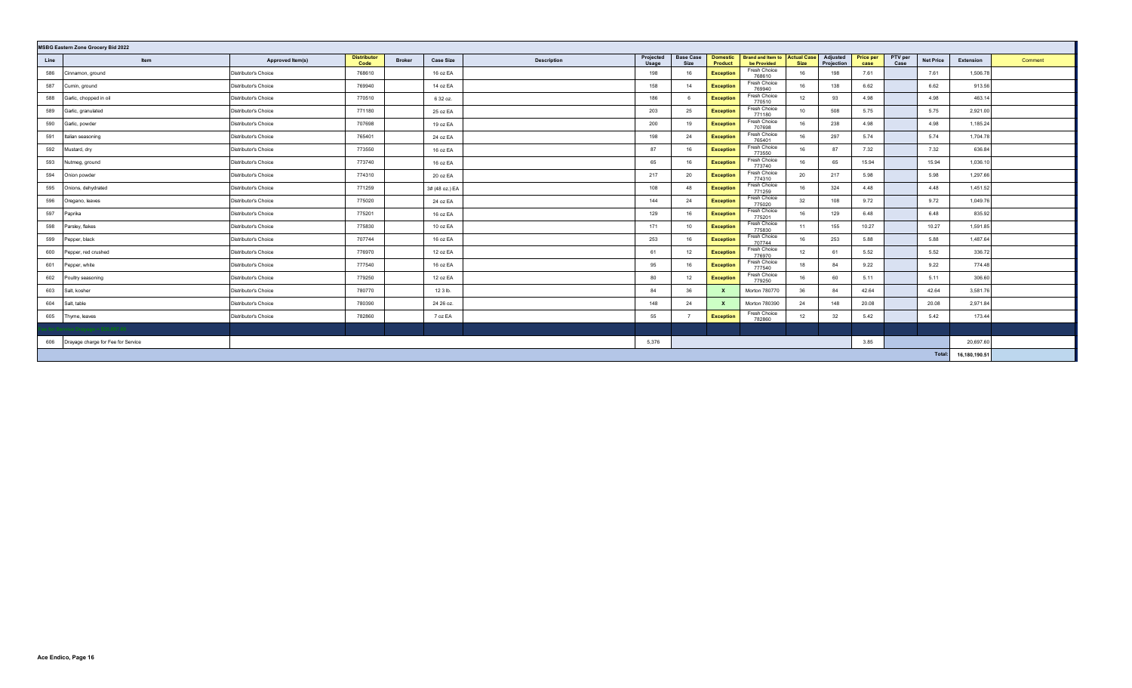| <b>MSBG Eastern Zone Grocery Bid 2022</b><br>Brand and Item to Actual Case<br><b>Distributor</b> |                                                     |                      |        |                                   |                                          |                          |                            |                        |             |                        |                          |                 |                  |               |         |
|--------------------------------------------------------------------------------------------------|-----------------------------------------------------|----------------------|--------|-----------------------------------|------------------------------------------|--------------------------|----------------------------|------------------------|-------------|------------------------|--------------------------|-----------------|------------------|---------------|---------|
| Line                                                                                             | Item                                                | Approved Item(s)     | Code   | <b>Broker</b><br><b>Case Size</b> | Projected<br><b>Description</b><br>Usage | <b>Base Case</b><br>Size | <b>Domestic</b><br>Product | be Provided            | <b>Size</b> | Adjusted<br>Projection | <b>Price per</b><br>case | PTV per<br>Case | <b>Net Price</b> | Extension     | Comment |
| 586                                                                                              | Cinnamon, ground                                    | Distributor's Choice | 768610 | 16 oz EA                          | 198                                      | 16                       | <b>Exception</b>           | Fresh Choice<br>768610 | 16          | 198                    | 7.61                     |                 | 7.61             | 1,506.78      |         |
| 587                                                                                              | Cumin, ground                                       | Distributor's Choice | 769940 | 14 oz EA                          | 158                                      | 14                       | <b>Exception</b>           | Fresh Choice<br>769940 | 16          | 138                    | 6.62                     |                 | 6.62             | 913.56        |         |
| 588                                                                                              | Garlic, chopped in oil                              | Distributor's Choice | 770510 | 6 32 oz.                          | 186                                      |                          | <b>Exception</b>           | Fresh Choice<br>770510 | 12          | 93                     | 4.98                     |                 | 4.98             | 463.14        |         |
| 589                                                                                              | Garlic, granulated                                  | Distributor's Choice | 771180 | 25 oz EA                          | 203                                      | 25                       | <b>Exception</b>           | Fresh Choice<br>771180 | 10          | 508                    | 5.75                     |                 | 5.75             | 2,921.00      |         |
| 590                                                                                              | Garlic, powder                                      | Distributor's Choice | 707698 | 19 oz EA                          | 200                                      | 19                       | <b>Exception</b>           | Fresh Choice<br>707698 | 16          | 238                    | 4.98                     |                 | 4.98             | 1,185.24      |         |
| 591                                                                                              | Italian seasoning                                   | Distributor's Choice | 765401 | 24 oz EA                          | 198                                      | 24                       | <b>Exception</b>           | Fresh Choice<br>765401 | 16          | 297                    | 5.74                     |                 | 5.74             | 1,704.78      |         |
| 592                                                                                              | Mustard, dry                                        | Distributor's Choice | 773550 | 16 oz EA                          | 87                                       | 16                       | <b>Exception</b>           | Fresh Choice<br>773550 | 16          | 87                     | 7.32                     |                 | 7.32             | 636.84        |         |
| 593                                                                                              | Nutmeg, ground                                      | Distributor's Choice | 773740 | 16 oz EA                          | 65                                       | 16                       | <b>Exception</b>           | Fresh Choice<br>773740 | 16          | 65                     | 15.94                    |                 | 15.94            | 1,036.10      |         |
| 594                                                                                              | Onion powder                                        | Distributor's Choice | 774310 | 20 oz EA                          | 217                                      | 20                       | <b>Exception</b>           | Fresh Choice<br>774310 | 20          | 217                    | 5.98                     |                 | 5.98             | 1,297.66      |         |
| 595                                                                                              | Onions, dehydrated                                  | Distributor's Choice | 771259 | 3# (48 oz.) EA                    | 108                                      | 48                       | <b>Exception</b>           | Fresh Choice<br>771259 | 16          | 324                    | 4.48                     |                 | 4.48             | 1,451.52      |         |
| 596                                                                                              | Oregano, leaves                                     | Distributor's Choice | 775020 | 24 oz EA                          | 144                                      | 24                       | <b>Exception</b>           | Fresh Choice<br>775020 | 32          | 108                    | 9.72                     |                 | 9.72             | 1,049.76      |         |
| 597                                                                                              | Paprika                                             | Distributor's Choice | 775201 | 16 oz EA                          | 129                                      | 16                       | <b>Exception</b>           | Fresh Choice<br>775201 | 16          | 129                    | 6.48                     |                 | 6.48             | 835.92        |         |
| 598                                                                                              | Parsley, flakes                                     | Distributor's Choice | 775830 | 10 oz EA                          | 171                                      | 10 <sup>1</sup>          | <b>Exception</b>           | Fresh Choice<br>775830 | 11          | 155                    | 10.27                    |                 | 10.27            | 1,591.85      |         |
| 599                                                                                              | Pepper, black                                       | Distributor's Choice | 707744 | 16 oz EA                          | 253                                      | 16                       | <b>Exception</b>           | Fresh Choice<br>707744 | 16          | 253                    | 5.88                     |                 | 5.88             | 1,487.64      |         |
| 600                                                                                              | Pepper, red crushed                                 | Distributor's Choice | 776970 | 12 oz EA                          | 61                                       | 12                       | <b>Exception</b>           | Fresh Choice<br>776970 | 12          | 61                     | 5.52                     |                 | 5.52             | 336.72        |         |
| 601                                                                                              | Pepper, white                                       | Distributor's Choice | 777540 | 16 oz EA                          | 95                                       | 16                       | <b>Exception</b>           | Fresh Choice<br>777540 | 18          | 84                     | 9.22                     |                 | 9.22             | 774.48        |         |
| 602                                                                                              | Poultry seasoning                                   | Distributor's Choice | 779250 | 12 oz EA                          | 80                                       | 12                       | <b>Exception</b>           | Fresh Choice<br>779250 | 16          | 60                     | 5.11                     |                 | 5.11             | 306.60        |         |
| 603                                                                                              | Salt, kosher                                        | Distributor's Choice | 780770 | 12 3 lb.                          | 84                                       | 36                       | $\mathbf{x}$               | Morton 780770          | 36          | 84                     | 42.64                    |                 | 42.64            | 3,581.76      |         |
| 604                                                                                              | Salt, table                                         | Distributor's Choice | 780390 | 24 26 oz.                         | 148                                      | 24                       | $\mathbf{x}$               | Morton 780390          | 24          | 148                    | 20.08                    |                 | 20.08            | 2,971.84      |         |
| 605                                                                                              | Thyme, leaves                                       | Distributor's Choice | 782860 | 7 oz EA                           | 55                                       |                          | <b>Exception</b>           | Fresh Choice<br>782860 | 12          | 32                     | 5.42                     |                 | 5.42             | 173.44        |         |
|                                                                                                  |                                                     |                      |        |                                   |                                          |                          |                            |                        |             |                        |                          |                 |                  |               |         |
| 606                                                                                              | 5,376<br>3.85<br>Drayage charge for Fee for Service |                      |        |                                   |                                          |                          |                            |                        |             |                        |                          |                 | 20,697.60        |               |         |
|                                                                                                  |                                                     |                      |        |                                   |                                          |                          |                            |                        |             |                        |                          |                 | Total:           | 16,180,190.51 |         |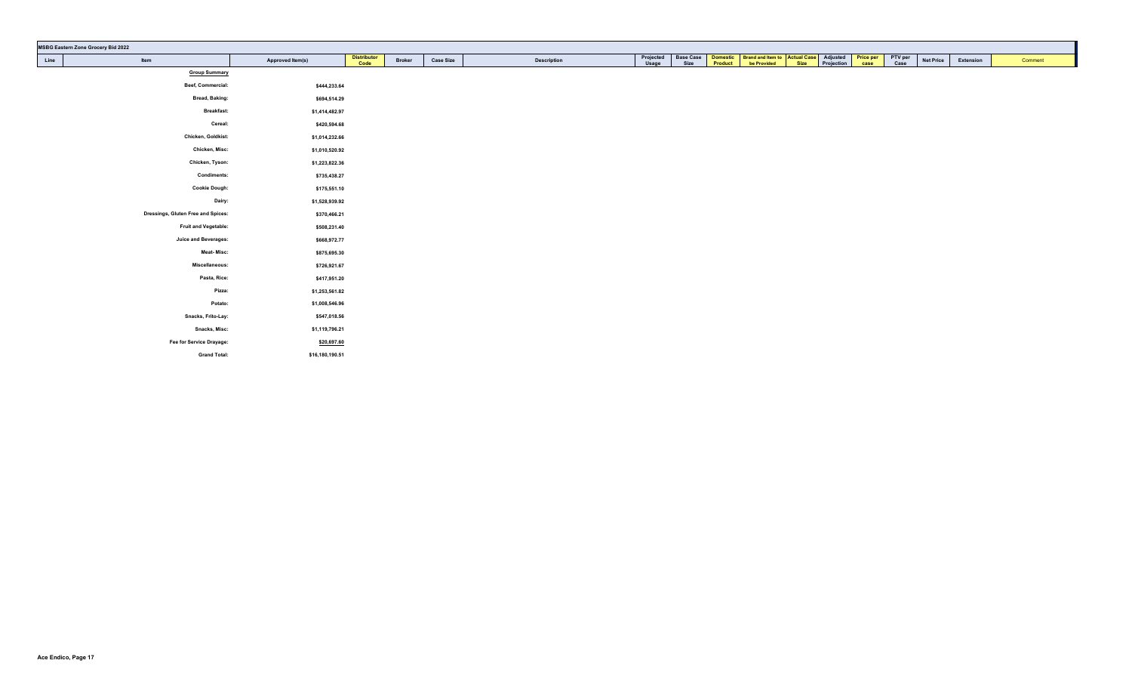|      | <b>MSBG Eastern Zone Grocery Bid 2022</b> |                  |                            |               |                  |                    |                    |                          |                                                                                                    |  |                 |                  |           |         |
|------|-------------------------------------------|------------------|----------------------------|---------------|------------------|--------------------|--------------------|--------------------------|----------------------------------------------------------------------------------------------------|--|-----------------|------------------|-----------|---------|
| Line | Item                                      | Approved Item(s) | <b>Distributor</b><br>Code | <b>Broker</b> | <b>Case Size</b> | <b>Description</b> | Projected<br>Usage | <b>Base Case</b><br>Size | Domestic Brand and Item to Actual Case Adjusted Price per Product be Provided Size Projection case |  | PTV per<br>Case | <b>Net Price</b> | Extension | Comment |
|      | <b>Group Summary</b>                      |                  |                            |               |                  |                    |                    |                          |                                                                                                    |  |                 |                  |           |         |
|      | Beef, Commercial:                         | \$444,233.64     |                            |               |                  |                    |                    |                          |                                                                                                    |  |                 |                  |           |         |
|      | <b>Bread, Baking:</b>                     | \$694,514.29     |                            |               |                  |                    |                    |                          |                                                                                                    |  |                 |                  |           |         |
|      | <b>Breakfast:</b>                         | \$1,414,482.97   |                            |               |                  |                    |                    |                          |                                                                                                    |  |                 |                  |           |         |
|      | Cereal:                                   | \$420,594.68     |                            |               |                  |                    |                    |                          |                                                                                                    |  |                 |                  |           |         |
|      | Chicken, Goldkist:                        | \$1,014,232.66   |                            |               |                  |                    |                    |                          |                                                                                                    |  |                 |                  |           |         |
|      | Chicken, Misc:                            | \$1,010,520.92   |                            |               |                  |                    |                    |                          |                                                                                                    |  |                 |                  |           |         |
|      | Chicken, Tyson:                           | \$1,223,822.36   |                            |               |                  |                    |                    |                          |                                                                                                    |  |                 |                  |           |         |
|      | <b>Condiments:</b>                        | \$735,438.27     |                            |               |                  |                    |                    |                          |                                                                                                    |  |                 |                  |           |         |
|      | <b>Cookie Dough:</b>                      | \$175,551.10     |                            |               |                  |                    |                    |                          |                                                                                                    |  |                 |                  |           |         |
|      | Dairy:                                    | \$1,528,939.92   |                            |               |                  |                    |                    |                          |                                                                                                    |  |                 |                  |           |         |
|      | Dressings, Gluten Free and Spices:        | \$370,466.21     |                            |               |                  |                    |                    |                          |                                                                                                    |  |                 |                  |           |         |
|      | Fruit and Vegetable:                      | \$508,231.40     |                            |               |                  |                    |                    |                          |                                                                                                    |  |                 |                  |           |         |
|      | <b>Juice and Beverages:</b>               | \$668,972.77     |                            |               |                  |                    |                    |                          |                                                                                                    |  |                 |                  |           |         |
|      | <b>Meat-Misc:</b>                         | \$875,695.30     |                            |               |                  |                    |                    |                          |                                                                                                    |  |                 |                  |           |         |
|      | Miscellaneous:                            | \$726,921.67     |                            |               |                  |                    |                    |                          |                                                                                                    |  |                 |                  |           |         |
|      | Pasta, Rice:                              | \$417,951.20     |                            |               |                  |                    |                    |                          |                                                                                                    |  |                 |                  |           |         |
|      | Pizza:                                    | \$1,253,561.82   |                            |               |                  |                    |                    |                          |                                                                                                    |  |                 |                  |           |         |
|      | Potato:                                   | \$1,008,546.96   |                            |               |                  |                    |                    |                          |                                                                                                    |  |                 |                  |           |         |
|      | Snacks, Frito-Lay:                        | \$547,018.56     |                            |               |                  |                    |                    |                          |                                                                                                    |  |                 |                  |           |         |
|      | Snacks, Misc:                             | \$1,119,796.21   |                            |               |                  |                    |                    |                          |                                                                                                    |  |                 |                  |           |         |
|      | Fee for Service Drayage:                  | \$20,697.60      |                            |               |                  |                    |                    |                          |                                                                                                    |  |                 |                  |           |         |
|      | <b>Grand Total:</b>                       | \$16,180,190.51  |                            |               |                  |                    |                    |                          |                                                                                                    |  |                 |                  |           |         |
|      |                                           |                  |                            |               |                  |                    |                    |                          |                                                                                                    |  |                 |                  |           |         |